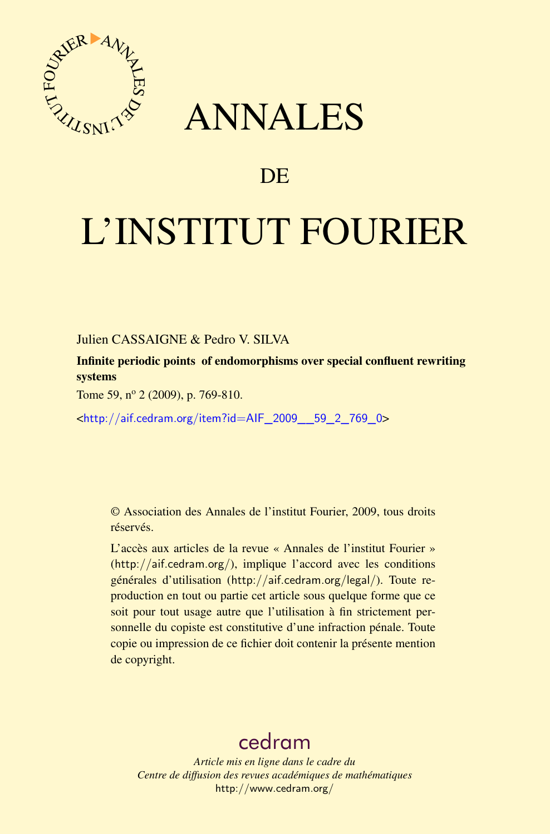

## ANNALES

## **DE**

# L'INSTITUT FOURIER

Julien CASSAIGNE & Pedro V. SILVA

Infinite periodic points of endomorphisms over special confluent rewriting systems

Tome 59, nº 2 (2009), p. 769-810.

<[http://aif.cedram.org/item?id=AIF\\_2009\\_\\_59\\_2\\_769\\_0](http://aif.cedram.org/item?id=AIF_2009__59_2_769_0)>

© Association des Annales de l'institut Fourier, 2009, tous droits réservés.

L'accès aux articles de la revue « Annales de l'institut Fourier » (<http://aif.cedram.org/>), implique l'accord avec les conditions générales d'utilisation (<http://aif.cedram.org/legal/>). Toute reproduction en tout ou partie cet article sous quelque forme que ce soit pour tout usage autre que l'utilisation à fin strictement personnelle du copiste est constitutive d'une infraction pénale. Toute copie ou impression de ce fichier doit contenir la présente mention de copyright.

## [cedram](http://www.cedram.org/)

*Article mis en ligne dans le cadre du Centre de diffusion des revues académiques de mathématiques* <http://www.cedram.org/>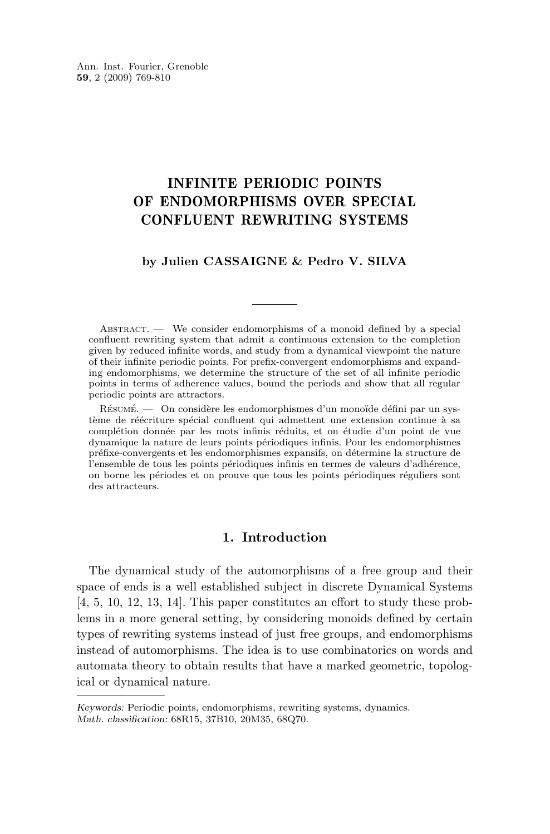### INFINITE PERIODIC POINTS OF ENDOMORPHISMS OVER SPECIAL CONFLUENT REWRITING SYSTEMS

#### **by Julien CASSAIGNE & Pedro V. SILVA**

ABSTRACT. — We consider endomorphisms of a monoid defined by a special confluent rewriting system that admit a continuous extension to the completion given by reduced infinite words, and study from a dynamical viewpoint the nature of their infinite periodic points. For prefix-convergent endomorphisms and expanding endomorphisms, we determine the structure of the set of all infinite periodic points in terms of adherence values, bound the periods and show that all regular periodic points are attractors.

Résumé. — On considère les endomorphismes d'un monoïde défini par un système de réécriture spécial confluent qui admettent une extension continue à sa complétion donnée par les mots infinis réduits, et on étudie d'un point de vue dynamique la nature de leurs points périodiques infinis. Pour les endomorphismes préfixe-convergents et les endomorphismes expansifs, on détermine la structure de l'ensemble de tous les points périodiques infinis en termes de valeurs d'adhérence, on borne les périodes et on prouve que tous les points périodiques réguliers sont des attracteurs.

#### **1. Introduction**

The dynamical study of the automorphisms of a free group and their space of ends is a well established subject in discrete Dynamical Systems [\[4,](#page-41-0) [5,](#page-41-0) [10,](#page-41-0) [12,](#page-41-0) [13,](#page-41-0) [14\]](#page-41-0). This paper constitutes an effort to study these problems in a more general setting, by considering monoids defined by certain types of rewriting systems instead of just free groups, and endomorphisms instead of automorphisms. The idea is to use combinatorics on words and automata theory to obtain results that have a marked geometric, topological or dynamical nature.

*Keywords:* Periodic points, endomorphisms, rewriting systems, dynamics. *Math. classification:* 68R15, 37B10, 20M35, 68Q70.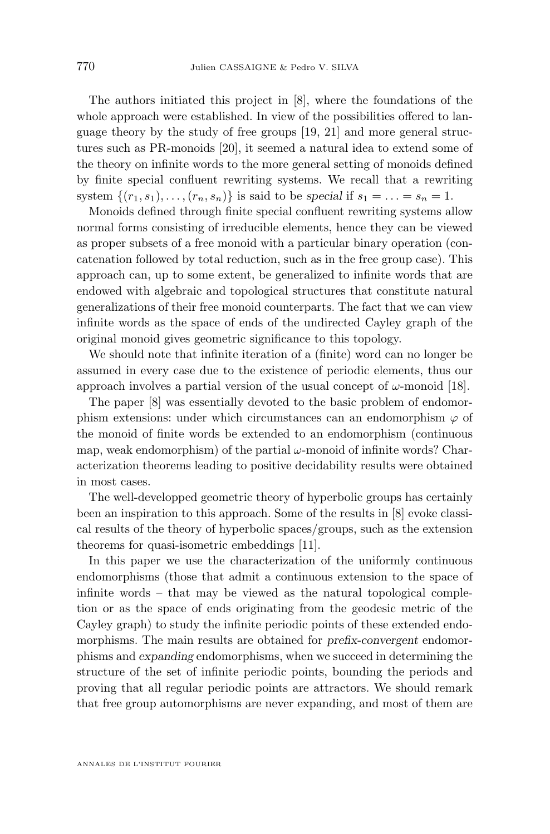The authors initiated this project in [\[8\]](#page-41-0), where the foundations of the whole approach were established. In view of the possibilities offered to language theory by the study of free groups [\[19,](#page-42-0) [21\]](#page-42-0) and more general structures such as PR-monoids [\[20\]](#page-42-0), it seemed a natural idea to extend some of the theory on infinite words to the more general setting of monoids defined by finite special confluent rewriting systems. We recall that a rewriting system  $\{(r_1, s_1), \ldots, (r_n, s_n)\}\)$  is said to be *special* if  $s_1 = \ldots = s_n = 1$ .

Monoids defined through finite special confluent rewriting systems allow normal forms consisting of irreducible elements, hence they can be viewed as proper subsets of a free monoid with a particular binary operation (concatenation followed by total reduction, such as in the free group case). This approach can, up to some extent, be generalized to infinite words that are endowed with algebraic and topological structures that constitute natural generalizations of their free monoid counterparts. The fact that we can view infinite words as the space of ends of the undirected Cayley graph of the original monoid gives geometric significance to this topology.

We should note that infinite iteration of a (finite) word can no longer be assumed in every case due to the existence of periodic elements, thus our approach involves a partial version of the usual concept of  $\omega$ -monoid [\[18\]](#page-42-0).

The paper [\[8\]](#page-41-0) was essentially devoted to the basic problem of endomorphism extensions: under which circumstances can an endomorphism  $\varphi$  of the monoid of finite words be extended to an endomorphism (continuous map, weak endomorphism) of the partial  $\omega$ -monoid of infinite words? Characterization theorems leading to positive decidability results were obtained in most cases.

The well-developped geometric theory of hyperbolic groups has certainly been an inspiration to this approach. Some of the results in [\[8\]](#page-41-0) evoke classical results of the theory of hyperbolic spaces/groups, such as the extension theorems for quasi-isometric embeddings [\[11\]](#page-41-0).

In this paper we use the characterization of the uniformly continuous endomorphisms (those that admit a continuous extension to the space of infinite words – that may be viewed as the natural topological completion or as the space of ends originating from the geodesic metric of the Cayley graph) to study the infinite periodic points of these extended endomorphisms. The main results are obtained for *prefix-convergent* endomorphisms and *expanding* endomorphisms, when we succeed in determining the structure of the set of infinite periodic points, bounding the periods and proving that all regular periodic points are attractors. We should remark that free group automorphisms are never expanding, and most of them are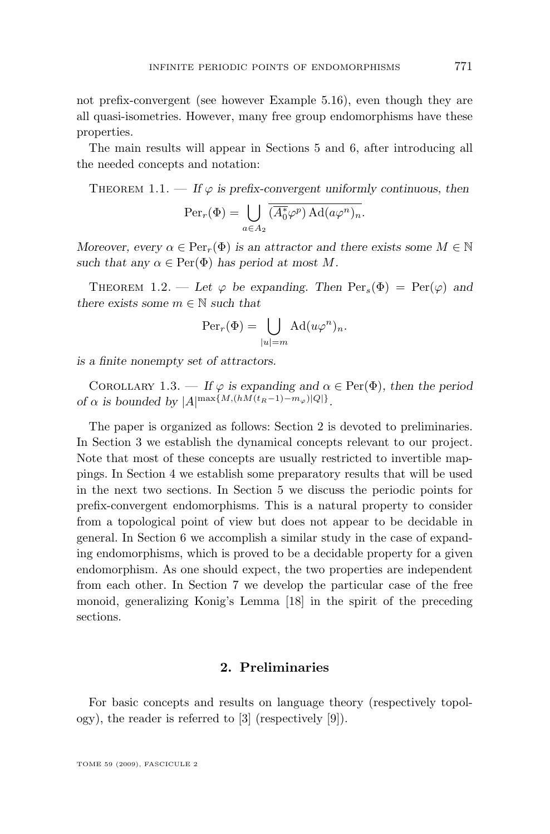not prefix-convergent (see however Example [5.16\)](#page-23-0), even though they are all quasi-isometries. However, many free group endomorphisms have these properties.

The main results will appear in Sections [5](#page-15-0) and [6,](#page-26-0) after introducing all the needed concepts and notation:

THEOREM 1.1.  $\overline{\phantom{a}}$  *If*  $\varphi$  *is prefix-convergent uniformly continuous, then* 

$$
\operatorname{Per}_r(\Phi) = \bigcup_{a \in A_2} \overline{(\overline{A_0^*} \varphi^p) \operatorname{Ad}(a \varphi^n)_n}.
$$

*Moreover, every*  $\alpha \in \text{Per}_r(\Phi)$  *is an attractor and there exists some*  $M \in \mathbb{N}$ such that any  $\alpha \in \text{Per}(\Phi)$  has period at most M.

THEOREM 1.2. — Let  $\varphi$  be expanding. Then  $\text{Per}_s(\Phi) = \text{Per}(\varphi)$  and *there exists some*  $m \in \mathbb{N}$  *such that* 

$$
\operatorname{Per}_r(\Phi) = \bigcup_{|u|=m} \operatorname{Ad}(u\varphi^n)_n.
$$

*is a finite nonempty set of attractors.*

COROLLARY 1.3. — If  $\varphi$  is expanding and  $\alpha \in \text{Per}(\Phi)$ , then the period *of*  $\alpha$  *is bounded by*  $|A|^{\max\{M,(hM(t_R-1)-m_{\varphi})|Q|\}}$ .

The paper is organized as follows: Section 2 is devoted to preliminaries. In Section [3](#page-9-0) we establish the dynamical concepts relevant to our project. Note that most of these concepts are usually restricted to invertible mappings. In Section [4](#page-12-0) we establish some preparatory results that will be used in the next two sections. In Section [5](#page-15-0) we discuss the periodic points for prefix-convergent endomorphisms. This is a natural property to consider from a topological point of view but does not appear to be decidable in general. In Section [6](#page-26-0) we accomplish a similar study in the case of expanding endomorphisms, which is proved to be a decidable property for a given endomorphism. As one should expect, the two properties are independent from each other. In Section [7](#page-36-0) we develop the particular case of the free monoid, generalizing Konig's Lemma [\[18\]](#page-42-0) in the spirit of the preceding sections.

#### **2. Preliminaries**

For basic concepts and results on language theory (respectively topology), the reader is referred to [\[3\]](#page-41-0) (respectively [\[9\]](#page-41-0)).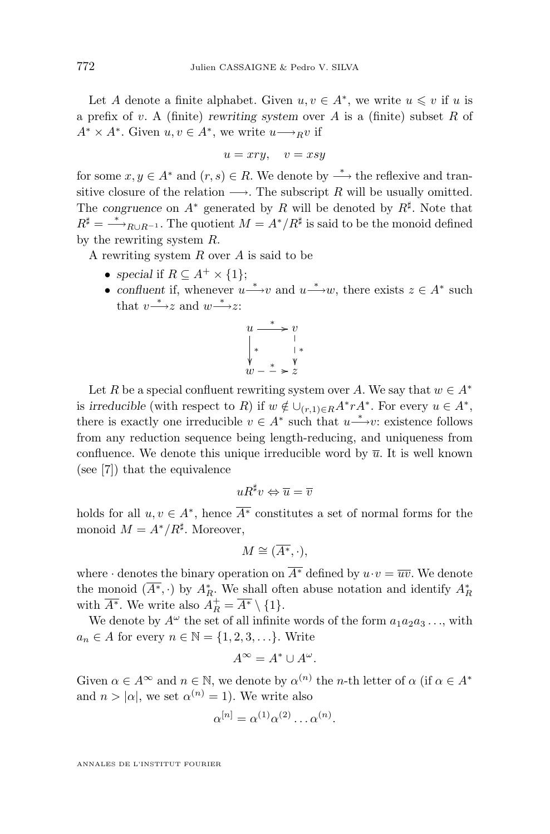Let A denote a finite alphabet. Given  $u, v \in A^*$ , we write  $u \leq v$  if u is a prefix of v. A (finite) *rewriting system* over A is a (finite) subset R of  $A^* \times A^*$ . Given  $u, v \in A^*$ , we write  $u \longrightarrow_R v$  if

$$
u = xry, \quad v = xsy
$$

for some  $x, y \in A^*$  and  $(r, s) \in R$ . We denote by  $\stackrel{*}{\longrightarrow}$  the reflexive and transitive closure of the relation  $\longrightarrow$ . The subscript R will be usually omitted. The *congruence* on  $A^*$  generated by R will be denoted by  $R^{\sharp}$ . Note that  $R^{\sharp} = \longrightarrow_{R \cup R^{-1}}$ . The quotient  $M = A^*/R^{\sharp}$  is said to be the monoid defined by the rewriting system R.

A rewriting system  $R$  over  $A$  is said to be

- *special* if  $R \subseteq A^+ \times \{1\};$
- *confluent* if, whenever  $u \stackrel{*}{\longrightarrow} v$  and  $u \stackrel{*}{\longrightarrow} w$ , there exists  $z \in A^*$  such that  $v \xrightarrow{*} z$  and  $w \xrightarrow{*} z$ :



Let R be a special confluent rewriting system over A. We say that  $w \in A^*$ is *irreducible* (with respect to R) if  $w \notin \bigcup_{(r,1)\in R} A^* r A^*$ . For every  $u \in A^*$ , there is exactly one irreducible  $v \in A^*$  such that  $u \xrightarrow{*} v$ : existence follows from any reduction sequence being length-reducing, and uniqueness from confluence. We denote this unique irreducible word by  $\overline{u}$ . It is well known (see [\[7\]](#page-41-0)) that the equivalence

$$
uR^\sharp v \Leftrightarrow \overline{u} = \overline{v}
$$

holds for all  $u, v \in A^*$ , hence  $\overline{A^*}$  constitutes a set of normal forms for the monoid  $M = A^*/R^{\sharp}$ . Moreover,

$$
M\cong (\overline{A^*},\cdot),
$$

where  $\cdot$  denotes the binary operation on  $\overline{A^*}$  defined by  $u \cdot v = \overline{uv}$ . We denote the monoid  $(\overline{A^*}, \cdot)$  by  $A_R^*$ . We shall often abuse notation and identify  $A_R^*$ with  $\overline{A^*}$ . We write also  $A_R^+ = \overline{A^*} \setminus \{1\}$ .

We denote by  $A^{\omega}$  the set of all infinite words of the form  $a_1a_2a_3\ldots$ , with  $a_n \in A$  for every  $n \in \mathbb{N} = \{1, 2, 3, \ldots\}$ . Write

$$
A^{\infty}=A^*\cup A^{\omega}.
$$

Given  $\alpha \in A^{\infty}$  and  $n \in \mathbb{N}$ , we denote by  $\alpha^{(n)}$  the *n*-th letter of  $\alpha$  (if  $\alpha \in A^*$ and  $n > |\alpha|$ , we set  $\alpha^{(n)} = 1$ ). We write also

$$
\alpha^{[n]} = \alpha^{(1)} \alpha^{(2)} \dots \alpha^{(n)}.
$$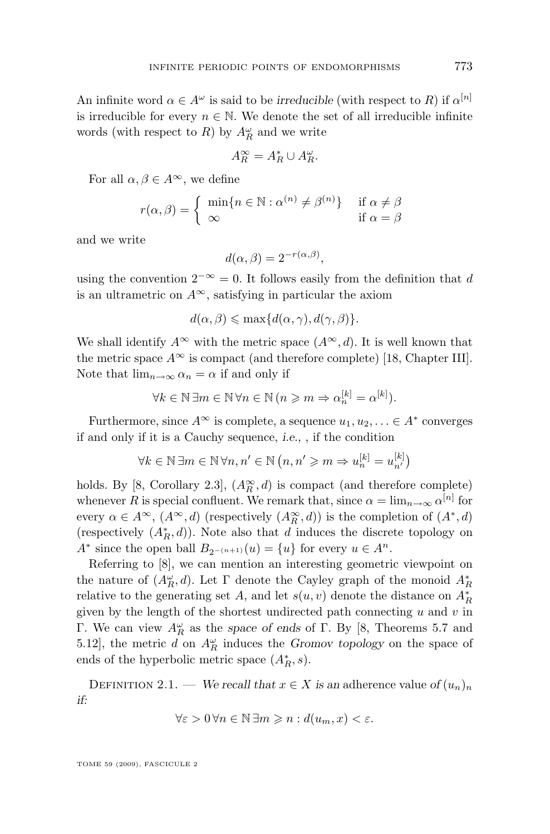An infinite word  $\alpha \in A^{\omega}$  is said to be *irreducible* (with respect to R) if  $\alpha^{[n]}$ is irreducible for every  $n \in \mathbb{N}$ . We denote the set of all irreducible infinite words (with respect to  $R$ ) by  $A_R^{\omega}$  and we write

$$
A_R^{\infty} = A_R^* \cup A_R^{\omega}.
$$

For all  $\alpha, \beta \in A^{\infty}$ , we define

$$
r(\alpha, \beta) = \begin{cases} \min\{n \in \mathbb{N} : \alpha^{(n)} \neq \beta^{(n)}\} & \text{if } \alpha \neq \beta \\ \infty & \text{if } \alpha = \beta \end{cases}
$$

and we write

$$
d(\alpha, \beta) = 2^{-r(\alpha, \beta)},
$$

using the convention  $2^{-\infty} = 0$ . It follows easily from the definition that d is an ultrametric on  $A^{\infty}$ , satisfying in particular the axiom

$$
d(\alpha, \beta) \le \max\{d(\alpha, \gamma), d(\gamma, \beta)\}.
$$

We shall identify  $A^{\infty}$  with the metric space  $(A^{\infty}, d)$ . It is well known that the metric space  $A^{\infty}$  is compact (and therefore complete) [\[18,](#page-42-0) Chapter III]. Note that  $\lim_{n\to\infty} \alpha_n = \alpha$  if and only if

$$
\forall k \in \mathbb{N} \,\exists m \in \mathbb{N} \,\forall n \in \mathbb{N} \,(n \geq m \Rightarrow \alpha_n^{[k]} = \alpha^{[k]}).
$$

Furthermore, since  $A^{\infty}$  is complete, a sequence  $u_1, u_2, \ldots \in A^*$  converges if and only if it is a Cauchy sequence, *i.e.,* , if the condition

$$
\forall k \in \mathbb{N} \, \exists m \in \mathbb{N} \, \forall n, n' \in \mathbb{N} \, (n, n' \geq m \Rightarrow u_n^{[k]} = u_{n'}^{[k]})
$$

holds. By [\[8,](#page-41-0) Corollary 2.3],  $(A_R^{\infty}, d)$  is compact (and therefore complete) whenever R is special confluent. We remark that, since  $\alpha = \lim_{n \to \infty} \alpha^{[n]}$  for every  $\alpha \in A^{\infty}$ ,  $(A^{\infty}, d)$  (respectively  $(A_R^{\infty}, d)$ ) is the completion of  $(A^*, d)$ (respectively  $(A_R^*, d)$ ). Note also that d induces the discrete topology on  $A^*$  since the open ball  $B_{2^{-(n+1)}}(u) = \{u\}$  for every  $u \in A^n$ .

Referring to [\[8\]](#page-41-0), we can mention an interesting geometric viewpoint on the nature of  $(A_R^{\omega}, d)$ . Let  $\Gamma$  denote the Cayley graph of the monoid  $A_R^*$ relative to the generating set A, and let  $s(u, v)$  denote the distance on  $A_R^*$ given by the length of the shortest undirected path connecting  $u$  and  $v$  in Γ. We can view  $A_R^{\omega}$  as the *space of ends* of Γ. By [\[8,](#page-41-0) Theorems 5.7 and 5.12], the metric  $d$  on  $A_R^{\omega}$  induces the *Gromov topology* on the space of ends of the hyperbolic metric space  $(A_R^*, s)$ .

DEFINITION 2.1. — *We recall that*  $x \in X$  *is an adherence value of*  $(u_n)_n$ *if:*

$$
\forall \varepsilon > 0 \, \forall n \in \mathbb{N} \, \exists m \geqslant n : d(u_m, x) < \varepsilon.
$$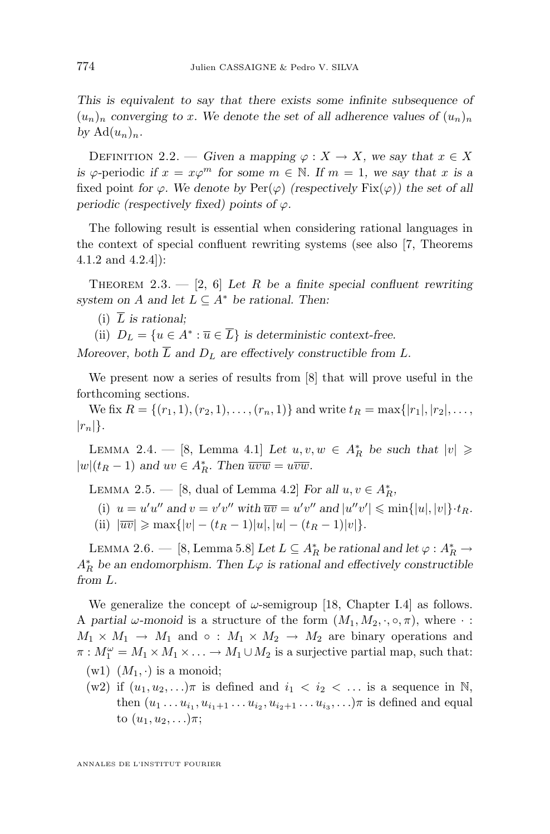<span id="page-6-0"></span>*This is equivalent to say that there exists some infinite subsequence of*  $(u_n)_n$  converging to x. We denote the set of all adherence values of  $(u_n)_n$ by  $\mathrm{Ad}(u_n)_n$ .

DEFINITION 2.2. — *Given a mapping*  $\varphi : X \to X$ *, we say that*  $x \in X$ *is*  $\varphi$ -periodic *if*  $x = x\varphi^m$  for some  $m \in \mathbb{N}$ . If  $m = 1$ , we say that x is a fixed point *for*  $\varphi$ *. We denote by*  $\text{Per}(\varphi)$  *(respectively*  $\text{Fix}(\varphi)$ *)* the set of all *periodic (respectively fixed) points of*  $\varphi$ *.* 

The following result is essential when considering rational languages in the context of special confluent rewriting systems (see also [\[7,](#page-41-0) Theorems 4.1.2 and 4.2.4]):

THEOREM  $2.3. - [2, 6]$  $2.3. - [2, 6]$  $2.3. - [2, 6]$  $2.3. - [2, 6]$  *Let* R *be a finite special confluent rewriting system on A* and let  $L \subseteq A^*$  be rational. Then:

- $(i)$   $\overline{L}$  *is rational:*
- (ii)  $D_L = \{u \in A^* : \overline{u} \in \overline{L}\}\$ is deterministic context-free.

*Moreover, both*  $\overline{L}$  *and*  $D_L$  *are effectively constructible from*  $L$ *.* 

We present now a series of results from [\[8\]](#page-41-0) that will prove useful in the forthcoming sections.

We fix  $R = \{(r_1, 1), (r_2, 1), \ldots, (r_n, 1)\}\$  and write  $t_R = \max\{|r_1|, |r_2|, \ldots,$  $|r_n|\}.$ 

LEMMA 2.4. — [\[8,](#page-41-0) Lemma 4.1] Let  $u, v, w \in A_R^*$  be such that  $|v| \geq$  $|w|(t_R - 1)$  and  $uv \in A_R^*$ . Then  $\overline{uvw} = u\overline{vw}$ .

LEMMA 2.5. — [\[8,](#page-41-0) dual of Lemma 4.2] For all  $u, v \in A_R^*$ ,

- (i)  $u = u'u''$  and  $v = v'v''$  with  $\overline{uv} = u'v''$  and  $|u''v'| \leq \min\{|u|, |v|\} \cdot t_R$ .
- (ii)  $|\overline{uv}| \ge \max\{|v| (t_R 1)|u|, |u| (t_R 1)|v|\}.$

LEMMA 2.6. — [\[8,](#page-41-0) Lemma 5.8] Let  $L \subseteq A_R^*$  be rational and let  $\varphi : A_R^* \to$  $A_R^*$  be an endomorphism. Then  $L\varphi$  is rational and effectively constructible *from* L*.*

We generalize the concept of  $\omega$ -semigroup [\[18,](#page-42-0) Chapter I.4] as follows. A *partial*  $\omega$ -monoid is a structure of the form  $(M_1, M_2, \cdot, \circ, \pi)$ , where  $\cdot$ :  $M_1 \times M_1 \to M_1$  and  $\circ$ :  $M_1 \times M_2 \to M_2$  are binary operations and  $\pi: M_1^{\omega} = M_1 \times M_1 \times \ldots \to M_1 \cup M_2$  is a surjective partial map, such that:

- $(w1)$   $(M_1, \cdot)$  is a monoid;
- (w2) if  $(u_1, u_2, \ldots)\pi$  is defined and  $i_1 < i_2 < \ldots$  is a sequence in N, then  $(u_1 \ldots u_{i_1}, u_{i_1+1} \ldots u_{i_2}, u_{i_2+1} \ldots u_{i_3}, \ldots)$  is defined and equal to  $(u_1, u_2, \ldots) \pi;$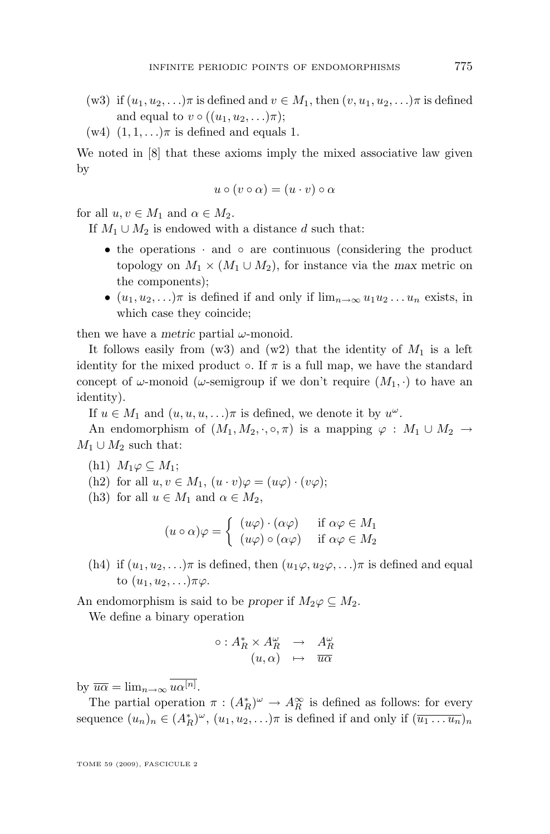- (w3) if  $(u_1, u_2, \ldots)\pi$  is defined and  $v \in M_1$ , then  $(v, u_1, u_2, \ldots)\pi$  is defined and equal to  $v \circ ((u_1, u_2, \ldots)\pi);$
- $(w4)$   $(1, 1, \ldots)\pi$  is defined and equals 1.

We noted in [\[8\]](#page-41-0) that these axioms imply the mixed associative law given by

$$
u \circ (v \circ \alpha) = (u \cdot v) \circ \alpha
$$

for all  $u, v \in M_1$  and  $\alpha \in M_2$ .

If  $M_1 \cup M_2$  is endowed with a distance d such that:

- the operations · and ∘ are continuous (considering the product topology on  $M_1 \times (M_1 \cup M_2)$ , for instance via the *max* metric on the components);
- $(u_1, u_2, \ldots)\pi$  is defined if and only if  $\lim_{n\to\infty} u_1u_2\ldots u_n$  exists, in which case they coincide;

then we have a *metric* partial  $\omega$ -monoid.

It follows easily from  $(w3)$  and  $(w2)$  that the identity of  $M_1$  is a left identity for the mixed product  $\circ$ . If  $\pi$  is a full map, we have the standard concept of  $\omega$ -monoid ( $\omega$ -semigroup if we don't require  $(M_1, \cdot)$  to have an identity).

If  $u \in M_1$  and  $(u, u, u, \ldots)\pi$  is defined, we denote it by  $u^{\omega}$ .

An endomorphism of  $(M_1, M_2, \cdot, \circ, \pi)$  is a mapping  $\varphi : M_1 \cup M_2 \to$  $M_1 \cup M_2$  such that:

(h1) 
$$
M_1\varphi \subseteq M_1
$$
;

(h2) for all 
$$
u, v \in M_1
$$
,  $(u \cdot v)\varphi = (u\varphi) \cdot (v\varphi)$ ;

(h3) for all  $u \in M_1$  and  $\alpha \in M_2$ ,

$$
(u \circ \alpha)\varphi = \begin{cases} (u\varphi) \cdot (\alpha \varphi) & \text{if } \alpha \varphi \in M_1 \\ (u\varphi) \circ (\alpha \varphi) & \text{if } \alpha \varphi \in M_2 \end{cases}
$$

(h4) if  $(u_1, u_2, \ldots)\pi$  is defined, then  $(u_1\varphi, u_2\varphi, \ldots)\pi$  is defined and equal to  $(u_1, u_2, \ldots) \pi \varphi$ .

An endomorphism is said to be *proper* if  $M_2\varphi \subseteq M_2$ .

We define a binary operation

$$
\circ: A_R^* \times A_R^{\omega} \rightarrow A_R^{\omega}
$$
  

$$
(u, \alpha) \leftrightarrow \overline{u\alpha}
$$

by  $\overline{u\alpha} = \lim_{n \to \infty} u\alpha^{[n]}.$ 

The partial operation  $\pi : (A_R^*)^{\omega} \to A_R^{\infty}$  is defined as follows: for every sequence  $(u_n)_n \in (A_R^*)^\omega$ ,  $(u_1, u_2, \ldots)\pi$  is defined if and only if  $(\overline{u_1 \ldots u_n})_n$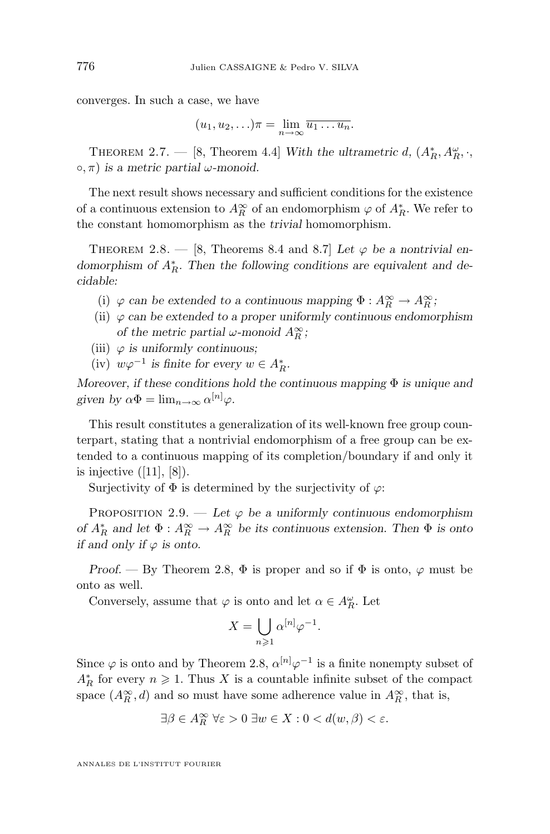<span id="page-8-0"></span>converges. In such a case, we have

$$
(u_1, u_2, \ldots)\pi = \lim_{n \to \infty} \overline{u_1 \ldots u_n}.
$$

THEOREM 2.7. — [\[8,](#page-41-0) Theorem 4.4] *With the ultrametric d,*  $(A_R^*, A_R^{\omega}, \cdot, )$  $\circ$ ,  $\pi$ ) *is a metric partial*  $\omega$ -monoid.

The next result shows necessary and sufficient conditions for the existence of a continuous extension to  $A_R^{\infty}$  of an endomorphism  $\varphi$  of  $A_R^*$ . We refer to the constant homomorphism as the *trivial* homomorphism.

THEOREM 2.8.  $-$  [\[8,](#page-41-0) Theorems 8.4 and 8.7] Let  $\varphi$  be a nontrivial en*domorphism of*  $A<sup>*</sup><sub>R</sub>$ *. Then the following conditions are equivalent and decidable:*

- (i)  $\varphi$  *can be extended to a continuous mapping*  $\Phi : A_R^{\infty} \to A_R^{\infty}$ ;
- (ii)  $\varphi$  *can be extended to a proper uniformly continuous endomorphism of the metric partial*  $\omega$ -monoid  $A_R^{\infty}$ ;
- (iii)  $\varphi$  *is uniformly continuous;*
- $(iv)$   $w\varphi^{-1}$  *is finite for every*  $w \in A_R^*$ .

*Moreover, if these conditions hold the continuous mapping* Φ *is unique and* given by  $\alpha \Phi = \lim_{n \to \infty} \alpha^{[n]} \varphi$ .

This result constitutes a generalization of its well-known free group counterpart, stating that a nontrivial endomorphism of a free group can be extended to a continuous mapping of its completion/boundary if and only it is injective  $([11], [8])$  $([11], [8])$  $([11], [8])$  $([11], [8])$  $([11], [8])$ .

Surjectivity of  $\Phi$  is determined by the surjectivity of  $\varphi$ :

PROPOSITION 2.9. — Let  $\varphi$  be a uniformly continuous endomorphism *of*  $A_R^*$  *and let*  $\Phi : A_R^{\infty} \to A_R^{\infty}$  *be its continuous extension. Then*  $\Phi$  *is onto if and only if*  $\varphi$  *is onto.* 

*Proof.* — By Theorem 2.8,  $\Phi$  is proper and so if  $\Phi$  is onto,  $\varphi$  must be onto as well.

Conversely, assume that  $\varphi$  is onto and let  $\alpha \in A_R^{\omega}$ . Let

$$
X=\bigcup_{n\geqslant 1}\alpha^{[n]}\varphi^{-1}
$$

.

Since  $\varphi$  is onto and by Theorem 2.8,  $\alpha^{[n]} \varphi^{-1}$  is a finite nonempty subset of  $A_R^*$  for every  $n \geq 1$ . Thus X is a countable infinite subset of the compact space  $(A_R^{\infty}, d)$  and so must have some adherence value in  $A_R^{\infty}$ , that is,

$$
\exists \beta \in A_R^{\infty} \ \forall \varepsilon > 0 \ \exists w \in X : 0 < d(w, \beta) < \varepsilon.
$$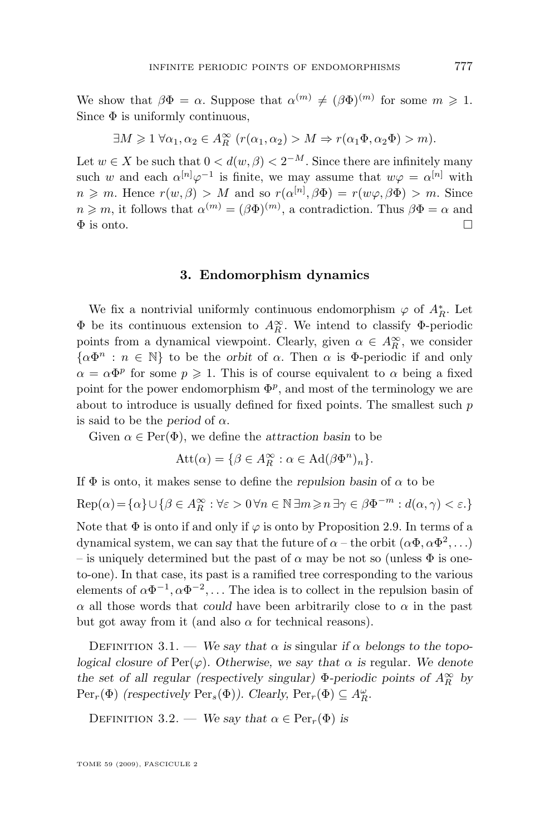<span id="page-9-0"></span>We show that  $\beta \Phi = \alpha$ . Suppose that  $\alpha^{(m)} \neq (\beta \Phi)^{(m)}$  for some  $m \geq 1$ . Since  $\Phi$  is uniformly continuous,

$$
\exists M \geq 1 \,\forall \alpha_1, \alpha_2 \in A_R^{\infty} \ (r(\alpha_1, \alpha_2) > M \Rightarrow r(\alpha_1 \Phi, \alpha_2 \Phi) > m).
$$

Let  $w \in X$  be such that  $0 < d(w, \beta) < 2^{-M}$ . Since there are infinitely many such w and each  $\alpha^{[n]}\varphi^{-1}$  is finite, we may assume that  $w\varphi = \alpha^{[n]}$  with  $n \geq m$ . Hence  $r(w, \beta) > M$  and so  $r(\alpha^{[n]}, \beta \Phi) = r(w\varphi, \beta \Phi) > m$ . Since  $n \geqslant m$ , it follows that  $\alpha^{(m)} = (\beta \Phi)^{(m)}$ , a contradiction. Thus  $\beta \Phi = \alpha$  and  $\Phi$  is onto.

#### **3. Endomorphism dynamics**

We fix a nontrivial uniformly continuous endomorphism  $\varphi$  of  $A_R^*$ . Let  $\Phi$  be its continuous extension to  $A_R^{\infty}$ . We intend to classify  $\Phi$ -periodic points from a dynamical viewpoint. Clearly, given  $\alpha \in A_R^{\infty}$ , we consider  $\{\alpha \Phi^n : n \in \mathbb{N}\}\)$  to be the *orbit* of  $\alpha$ . Then  $\alpha$  is  $\Phi$ -periodic if and only  $\alpha = \alpha \Phi^p$  for some  $p \geq 1$ . This is of course equivalent to  $\alpha$  being a fixed point for the power endomorphism  $\Phi^p$ , and most of the terminology we are about to introduce is usually defined for fixed points. The smallest such  $p$ is said to be the *period* of  $\alpha$ .

Given  $\alpha \in \text{Per}(\Phi)$ , we define the *attraction basin* to be

$$
Att(\alpha) = \{ \beta \in A_R^{\infty} : \alpha \in Ad(\beta \Phi^n)_n \}.
$$

If  $\Phi$  is onto, it makes sense to define the *repulsion basin* of  $\alpha$  to be

$$
\text{Rep}(\alpha)\!=\!\{\alpha\}\cup\{\beta\in A_{R}^{\infty}:\forall\varepsilon>0\,\forall n\in\mathbb{N}\,\exists m\!\geqslant\!n\,\exists\gamma\in\beta\Phi^{-m}:d(\alpha,\gamma)<\varepsilon.\}
$$

Note that  $\Phi$  is onto if and only if  $\varphi$  is onto by Proposition [2.9.](#page-8-0) In terms of a dynamical system, we can say that the future of  $\alpha$  – the orbit  $(\alpha \Phi, \alpha \Phi^2, \ldots)$ – is uniquely determined but the past of  $\alpha$  may be not so (unless  $\Phi$  is oneto-one). In that case, its past is a ramified tree corresponding to the various elements of  $\alpha \Phi^{-1}, \alpha \Phi^{-2}, \ldots$  The idea is to collect in the repulsion basin of  $\alpha$  all those words that *could* have been arbitrarily close to  $\alpha$  in the past but got away from it (and also  $\alpha$  for technical reasons).

DEFINITION 3.1. — We say that  $\alpha$  is singular if  $\alpha$  belongs to the topo*logical closure of*  $\text{Per}(\varphi)$ *. Otherwise, we say that*  $\alpha$  *is* regular. We denote *the set of all regular (respectively singular)*  $\Phi$ *-periodic points of*  $A_R^{\infty}$  *by*  $\text{Per}_r(\Phi)$  *(respectively*  $\text{Per}_s(\Phi)$ *). Clearly,*  $\text{Per}_r(\Phi) \subseteq A_R^{\omega}$ *.* 

DEFINITION 3.2. — *We say that*  $\alpha \in \text{Per}_r(\Phi)$  *is*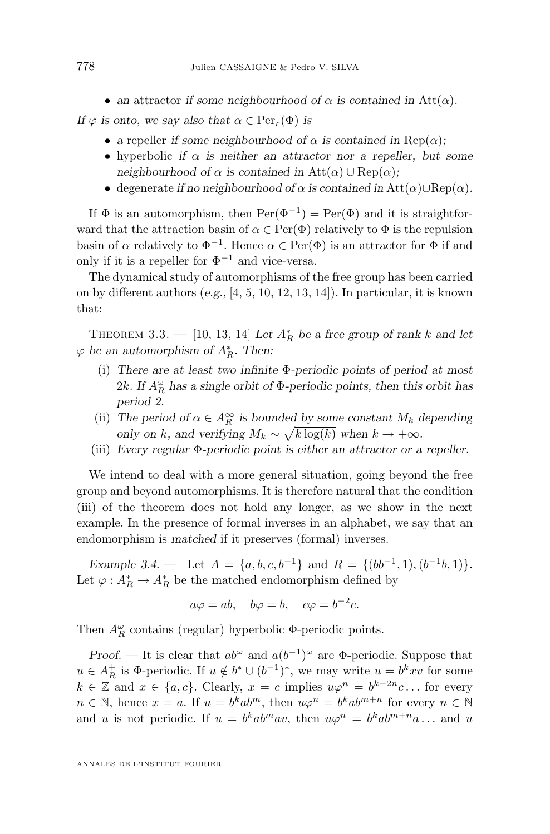• an attractor *if some neighbourhood* of  $\alpha$  *is contained in* Att $(\alpha)$ *.* 

<span id="page-10-0"></span>*If*  $\varphi$  *is onto, we say also that*  $\alpha \in \text{Per}_r(\Phi)$  *is* 

- a repeller *if some neighbourhood of*  $\alpha$  *is contained in* Rep( $\alpha$ );
- hyperbolic *if*  $\alpha$  *is neither an attractor nor a repeller, but some neighbourhood of*  $\alpha$  *is contained in* Att $(\alpha) \cup \text{Rep}(\alpha)$ ;
- degenerate *if no neighbourhood of*  $\alpha$  *is contained in* Att $(\alpha) \cup \text{Rep}(\alpha)$ *.*

If  $\Phi$  is an automorphism, then  $\text{Per}(\Phi^{-1}) = \text{Per}(\Phi)$  and it is straightforward that the attraction basin of  $\alpha \in \text{Per}(\Phi)$  relatively to  $\Phi$  is the repulsion basin of  $\alpha$  relatively to  $\Phi^{-1}$ . Hence  $\alpha \in \text{Per}(\Phi)$  is an attractor for  $\Phi$  if and only if it is a repeller for  $\Phi^{-1}$  and vice-versa.

The dynamical study of automorphisms of the free group has been carried on by different authors (*e.g.,* [\[4,](#page-41-0) [5,](#page-41-0) [10,](#page-41-0) [12,](#page-41-0) [13,](#page-41-0) [14\]](#page-41-0)). In particular, it is known that:

THEOREM 3.3. — [\[10,](#page-41-0) [13,](#page-41-0) [14\]](#page-41-0) Let  $A_R^*$  be a free group of rank k and let  $\varphi$  be an automorphism of  $A_R^*$ . Then:

- (i) *There are at least two infinite* Φ*-periodic points of period at most* 2k. If  $A_R^{\omega}$  has a single orbit of  $\Phi$ -periodic points, then this orbit has *period 2.*
- (ii) *The period of*  $\alpha \in A_R^{\infty}$  *is bounded by some constant*  $M_k$  *depending only on* k*, and verifying*  $M_k \sim \sqrt{k \log(k)}$  *when*  $k \to +\infty$ *.*
- (iii) *Every regular* Φ*-periodic point is either an attractor or a repeller.*

We intend to deal with a more general situation, going beyond the free group and beyond automorphisms. It is therefore natural that the condition (iii) of the theorem does not hold any longer, as we show in the next example. In the presence of formal inverses in an alphabet, we say that an endomorphism is *matched* if it preserves (formal) inverses.

*Example 3.4.* — Let  $A = \{a, b, c, b^{-1}\}\$ and  $R = \{(bb^{-1}, 1), (b^{-1}b, 1)\}.$ Let  $\varphi: A_R^* \to A_R^*$  be the matched endomorphism defined by

$$
a\varphi = ab, \quad b\varphi = b, \quad c\varphi = b^{-2}c.
$$

Then  $A_R^{\omega}$  contains (regular) hyperbolic  $\Phi$ -periodic points.

*Proof.* — It is clear that  $ab^{\omega}$  and  $a(b^{-1})^{\omega}$  are  $\Phi$ -periodic. Suppose that  $u \in A_R^+$  is  $\Phi$ -periodic. If  $u \notin b^* \cup (b^{-1})^*$ , we may write  $u = b^k x v$  for some  $k \in \mathbb{Z}$  and  $x \in \{a, c\}$ . Clearly,  $x = c$  implies  $u\varphi^n = b^{k-2n}c \dots$  for every  $n \in \mathbb{N}$ , hence  $x = a$ . If  $u = b^k ab^m$ , then  $u\varphi^n = b^k ab^{m+n}$  for every  $n \in \mathbb{N}$ and u is not periodic. If  $u = b^k ab^m a v$ , then  $u\varphi^n = b^k ab^{m+n} a \dots$  and u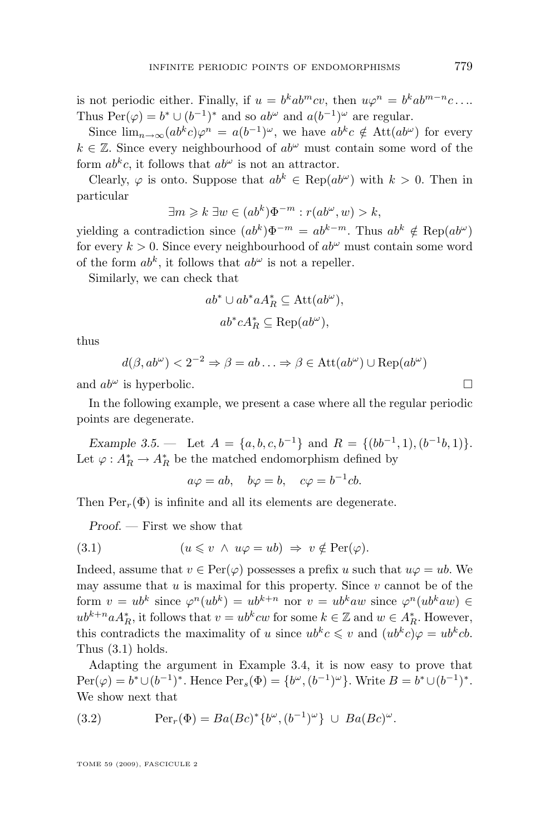<span id="page-11-0"></span>is not periodic either. Finally, if  $u = b^k ab^m c v$ , then  $u\varphi^n = b^k ab^{m-n} c \dots$ Thus  $\text{Per}(\varphi) = b^* \cup (b^{-1})^*$  and so  $ab^{\omega}$  and  $a(b^{-1})^{\omega}$  are regular.

Since  $\lim_{n\to\infty}(ab^kc)\varphi^n = a(b^{-1})^{\omega}$ , we have  $ab^kc \notin \text{Att}(ab^{\omega})$  for every  $k \in \mathbb{Z}$ . Since every neighbourhood of  $ab^{\omega}$  must contain some word of the form  $ab^kc$ , it follows that  $ab^{\omega}$  is not an attractor.

Clearly,  $\varphi$  is onto. Suppose that  $ab^k \in \text{Rep}(ab^{\omega})$  with  $k > 0$ . Then in particular

$$
\exists m \geq k \ \exists w \in (ab^k)\Phi^{-m} : r(ab^{\omega}, w) > k,
$$

yielding a contradiction since  $(ab^k)\Phi^{-m} = ab^{k-m}$ . Thus  $ab^k \notin \text{Rep}(ab^{\omega})$ for every  $k > 0$ . Since every neighbourhood of  $ab^{\omega}$  must contain some word of the form  $ab^k$ , it follows that  $ab^{\omega}$  is not a repeller.

Similarly, we can check that

$$
ab^* \cup ab^* a A_R^* \subseteq \text{Att}(ab^\omega),
$$
  

$$
ab^* c A_R^* \subseteq \text{Rep}(ab^\omega),
$$

thus

$$
d(\beta, ab^{\omega}) < 2^{-2} \Rightarrow \beta = ab \dots \Rightarrow \beta \in \text{Att}(ab^{\omega}) \cup \text{Rep}(ab^{\omega})
$$

and  $ab^{\omega}$  is hyperbolic.

In the following example, we present a case where all the regular periodic points are degenerate.

*Example 3.5.* — Let  $A = \{a, b, c, b^{-1}\}\$ and  $R = \{(bb^{-1}, 1), (b^{-1}b, 1)\}.$ Let  $\varphi: A_R^* \to A_R^*$  be the matched endomorphism defined by

$$
a\varphi = ab
$$
,  $b\varphi = b$ ,  $c\varphi = b^{-1}cb$ .

Then  $\text{Per}_r(\Phi)$  is infinite and all its elements are degenerate.

*Proof. —* First we show that

(3.1) 
$$
(u \leq v \land u\varphi = ub) \Rightarrow v \notin Per(\varphi).
$$

Indeed, assume that  $v \in \text{Per}(\varphi)$  possesses a prefix u such that  $u\varphi = ub$ . We may assume that  $u$  is maximal for this property. Since  $v$  cannot be of the form  $v = ub^k$  since  $\varphi^n(ub^k) = ub^{k+n}$  nor  $v = ub^kaw$  since  $\varphi^n(ub^kaw) \in$  $ub^{k+n}aA_R^*$ , it follows that  $v = ub^k c w$  for some  $k \in \mathbb{Z}$  and  $w \in A_R^*$ . However, this contradicts the maximality of u since  $ub<sup>k</sup>c \leq v$  and  $(ub<sup>k</sup>c)\varphi = ub<sup>k</sup>cb$ . Thus (3.1) holds.

Adapting the argument in Example [3.4,](#page-10-0) it is now easy to prove that  $\text{Per}(\varphi) = b^* \cup (b^{-1})^*$ . Hence  $\text{Per}_s(\Phi) = \{b^\omega, (b^{-1})^\omega\}$ . Write  $B = b^* \cup (b^{-1})^*$ . We show next that

(3.2) 
$$
\operatorname{Per}_r(\Phi) = Ba(Bc)^* \{b^{\omega}, (b^{-1})^{\omega}\} \cup Ba(Bc)^{\omega}.
$$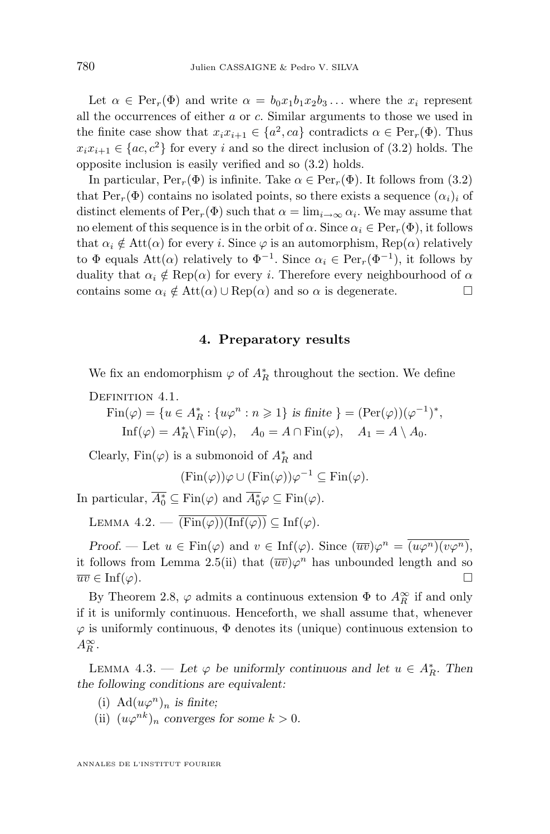<span id="page-12-0"></span>Let  $\alpha \in \text{Per}_r(\Phi)$  and write  $\alpha = b_0x_1b_1x_2b_3...$  where the  $x_i$  represent all the occurrences of either a or c. Similar arguments to those we used in the finite case show that  $x_i x_{i+1} \in \{a^2, ca\}$  contradicts  $\alpha \in \text{Per}_r(\Phi)$ . Thus  $x_i x_{i+1} \in \{ac, c^2\}$  for every i and so the direct inclusion of [\(3.2\)](#page-11-0) holds. The opposite inclusion is easily verified and so [\(3.2\)](#page-11-0) holds.

In particular,  $\text{Per}_r(\Phi)$  is infinite. Take  $\alpha \in \text{Per}_r(\Phi)$ . It follows from [\(3.2\)](#page-11-0) that  $\text{Per}_r(\Phi)$  contains no isolated points, so there exists a sequence  $(\alpha_i)_i$  of distinct elements of  $\text{Per}_r(\Phi)$  such that  $\alpha = \lim_{i \to \infty} \alpha_i$ . We may assume that no element of this sequence is in the orbit of  $\alpha$ . Since  $\alpha_i \in \text{Per}_r(\Phi)$ , it follows that  $\alpha_i \notin \text{Att}(\alpha)$  for every i. Since  $\varphi$  is an automorphism,  $\text{Rep}(\alpha)$  relatively to  $\Phi$  equals Att $(\alpha)$  relatively to  $\Phi^{-1}$ . Since  $\alpha_i \in \text{Per}_r(\Phi^{-1})$ , it follows by duality that  $\alpha_i \notin \text{Rep}(\alpha)$  for every *i*. Therefore every neighbourhood of  $\alpha$ contains some  $\alpha_i \notin \text{Att}(\alpha) \cup \text{Rep}(\alpha)$  and so  $\alpha$  is degenerate.

#### **4. Preparatory results**

We fix an endomorphism  $\varphi$  of  $A_R^*$  throughout the section. We define

DEFINITION 4.1.

 $\text{Fin}(\varphi) = \{u \in A_R^* : \{u\varphi^n : n \geq 1\} \text{ is finite } \} = (\text{Per}(\varphi))(\varphi^{-1})^*,$  $\text{Inf}(\varphi) = A_R^* \backslash \text{Fin}(\varphi), \quad A_0 = A \cap \text{Fin}(\varphi), \quad A_1 = A \backslash A_0.$ 

Clearly,  $\mathrm{Fin}(\varphi)$  is a submonoid of  $A_R^*$  and

$$
(\operatorname{Fin}(\varphi))\varphi \cup (\operatorname{Fin}(\varphi))\varphi^{-1} \subseteq \operatorname{Fin}(\varphi).
$$

In particular,  $\overline{A_0^*} \subseteq \text{Fin}(\varphi)$  and  $\overline{A_0^*} \varphi \subseteq \text{Fin}(\varphi)$ .

LEMMA  $4.2. - \overline{(Fin(\varphi))(\text{Inf}(\varphi))} \subseteq \text{Inf}(\varphi)$ .

*Proof.* — Let  $u \in \text{Fin}(\varphi)$  and  $v \in \text{Inf}(\varphi)$ . Since  $(\overline{uv})\varphi^n = \overline{(u\varphi^n)(v\varphi^n)}$ , it follows from Lemma [2.5\(](#page-6-0)ii) that  $(\overline{uv})\varphi^n$  has unbounded length and so  $\overline{uv} \in \text{Inf}(\varphi).$ 

By Theorem [2.8,](#page-8-0)  $\varphi$  admits a continuous extension  $\Phi$  to  $A_R^{\infty}$  if and only if it is uniformly continuous. Henceforth, we shall assume that, whenever  $\varphi$  is uniformly continuous,  $\Phi$  denotes its (unique) continuous extension to  $A_R^{\infty}$ .

LEMMA 4.3. — Let  $\varphi$  be uniformly continuous and let  $u \in A_R^*$ . Then *the following conditions are equivalent:*

- (i)  $\text{Ad}(u\varphi^n)_n$  *is finite*;
- (ii)  $(u\varphi^{nk})_n$  *converges for some*  $k > 0$ *.*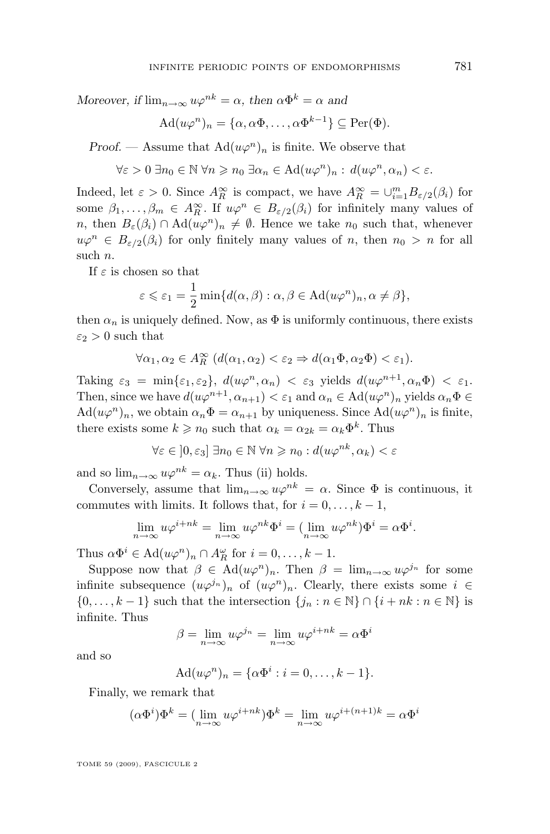*Moreover, if*  $\lim_{n\to\infty} u\varphi^{nk} = \alpha$ , then  $\alpha\Phi^k = \alpha$  and

$$
Ad(u\varphi^n)_n = \{\alpha, \alpha\Phi, \dots, \alpha\Phi^{k-1}\} \subseteq \text{Per}(\Phi).
$$

*Proof.* — Assume that  $\text{Ad}(u\varphi^n)_n$  is finite. We observe that

$$
\forall \varepsilon > 0 \ \exists n_0 \in \mathbb{N} \ \forall n \geqslant n_0 \ \exists \alpha_n \in \mathrm{Ad}(u\varphi^n)_n : d(u\varphi^n, \alpha_n) < \varepsilon.
$$

Indeed, let  $\varepsilon > 0$ . Since  $A_R^{\infty}$  is compact, we have  $A_R^{\infty} = \bigcup_{i=1}^m B_{\varepsilon/2}(\beta_i)$  for some  $\beta_1, \ldots, \beta_m \in A_R^{\infty}$ . If  $u\varphi^n \in B_{\varepsilon/2}(\beta_i)$  for infinitely many values of n, then  $B_{\varepsilon}(\beta_i) \cap \text{Ad}(u\varphi^n)_n \neq \emptyset$ . Hence we take  $n_0$  such that, whenever  $u\varphi^n \in B_{\varepsilon/2}(\beta_i)$  for only finitely many values of n, then  $n_0 > n$  for all such n.

If  $\varepsilon$  is chosen so that

$$
\varepsilon \leqslant \varepsilon_1 = \frac{1}{2} \min \{ d(\alpha, \beta) : \alpha, \beta \in \mathrm{Ad}(u\varphi^n)_n, \alpha \neq \beta \},\
$$

then  $\alpha_n$  is uniquely defined. Now, as  $\Phi$  is uniformly continuous, there exists  $\varepsilon_2 > 0$  such that

$$
\forall \alpha_1, \alpha_2 \in A_R^{\infty} \ (d(\alpha_1, \alpha_2) < \varepsilon_2 \Rightarrow d(\alpha_1 \Phi, \alpha_2 \Phi) < \varepsilon_1).
$$

Taking  $\varepsilon_3 = \min\{\varepsilon_1, \varepsilon_2\}, d(u\varphi^n, \alpha_n) < \varepsilon_3$  yields  $d(u\varphi^{n+1}, \alpha_n \Phi) < \varepsilon_1$ . Then, since we have  $d(u\varphi^{n+1}, \alpha_{n+1}) < \varepsilon_1$  and  $\alpha_n \in \mathrm{Ad}(u\varphi^n)_n$  yields  $\alpha_n \Phi \in$  $\text{Ad}(u\varphi^n)_n$ , we obtain  $\alpha_n\Phi = \alpha_{n+1}$  by uniqueness. Since  $\text{Ad}(u\varphi^n)_n$  is finite, there exists some  $k \geq n_0$  such that  $\alpha_k = \alpha_{2k} = \alpha_k \Phi^k$ . Thus

$$
\forall \varepsilon \in [0, \varepsilon_3] \; \exists n_0 \in \mathbb{N} \; \forall n \geqslant n_0 : d(u\varphi^{nk}, \alpha_k) < \varepsilon
$$

and so  $\lim_{n\to\infty}u\varphi^{nk}=\alpha_k$ . Thus (ii) holds.

Conversely, assume that  $\lim_{n\to\infty} u\varphi^{nk} = \alpha$ . Since  $\Phi$  is continuous, it commutes with limits. It follows that, for  $i = 0, \ldots, k - 1$ ,

$$
\lim_{n \to \infty} u\varphi^{i+nk} = \lim_{n \to \infty} u\varphi^{nk} \Phi^i = (\lim_{n \to \infty} u\varphi^{nk}) \Phi^i = \alpha \Phi^i.
$$

Thus  $\alpha \Phi^i \in \text{Ad}(u\varphi^n)_n \cap A_R^{\omega}$  for  $i = 0, \ldots, k - 1$ .

Suppose now that  $\beta \in \text{Ad}(u\varphi^n)_n$ . Then  $\beta = \lim_{n \to \infty} u\varphi^{j_n}$  for some infinite subsequence  $(u\varphi^{j_n})_n$  of  $(u\varphi^n)_n$ . Clearly, there exists some  $i \in$  $\{0, \ldots, k-1\}$  such that the intersection  $\{j_n : n \in \mathbb{N}\} \cap \{i + nk : n \in \mathbb{N}\}$  is infinite. Thus

$$
\beta = \lim_{n \to \infty} u\varphi^{j_n} = \lim_{n \to \infty} u\varphi^{i+nk} = \alpha \Phi^i
$$

and so

$$
Ad(u\varphi^n)_n = \{\alpha \Phi^i : i = 0, \dots, k-1\}.
$$

Finally, we remark that

$$
(\alpha \Phi^i)\Phi^k = (\lim_{n \to \infty} u\varphi^{i+nk})\Phi^k = \lim_{n \to \infty} u\varphi^{i+(n+1)k} = \alpha \Phi^i
$$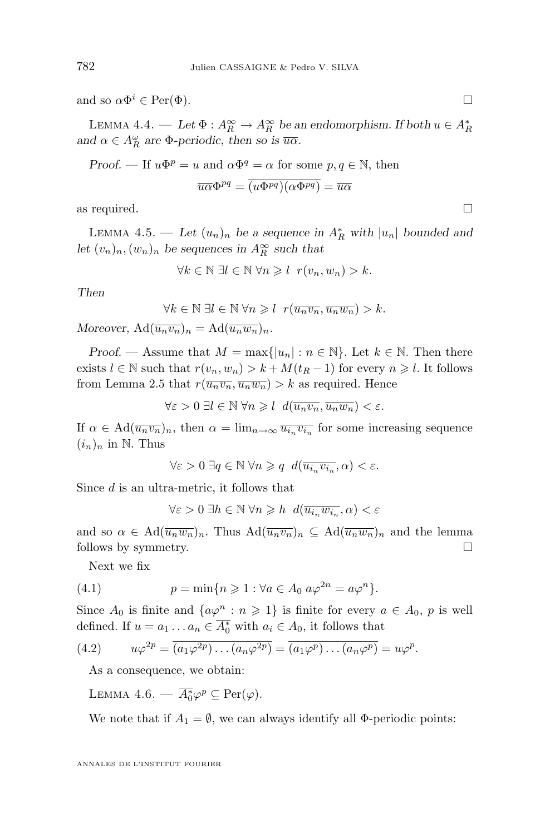<span id="page-14-0"></span>and so  $\alpha \Phi^i \in \text{Per}(\Phi)$ .

LEMMA 4.4. — Let  $\Phi: A_R^{\infty} \to A_R^{\infty}$  be an endomorphism. If both  $u \in A_R^*$ and  $\alpha \in A_R^{\omega}$  are  $\Phi$ -periodic, then so is  $\overline{u\alpha}$ .

Proof. — If 
$$
u\Phi^p = u
$$
 and  $\alpha \Phi^q = \alpha$  for some  $p, q \in \mathbb{N}$ , then

$$
\overline{u\alpha}\Phi^{pq} = \overline{(u\Phi^{pq})(\alpha\Phi^{pq})} = \overline{u\alpha}
$$

as required.  $\Box$ 

LEMMA 4.5. — Let  $(u_n)_n$  be a sequence in  $A_R^*$  with  $|u_n|$  bounded and *let*  $(v_n)_n$ ,  $(w_n)_n$  *be sequences in*  $A_R^{\infty}$  *such that* 

$$
\forall k \in \mathbb{N} \; \exists l \in \mathbb{N} \; \forall n \geqslant l \; r(v_n, w_n) > k.
$$

*Then*

$$
\forall k \in \mathbb{N} \ \exists l \in \mathbb{N} \ \forall n \geqslant l \ \ r(\overline{u_n v_n}, \overline{u_n w_n}) > k.
$$

*Moreover,*  $\text{Ad}(\overline{u_n v_n})_n = \text{Ad}(\overline{u_n w_n})_n$ .

*Proof.* — Assume that  $M = \max\{|u_n| : n \in \mathbb{N}\}\)$ . Let  $k \in \mathbb{N}$ . Then there exists  $l \in \mathbb{N}$  such that  $r(v_n, w_n) > k + M(t_R - 1)$  for every  $n \geq l$ . It follows from Lemma [2.5](#page-6-0) that  $r(\overline{u_n v_n}, \overline{u_n w_n}) > k$  as required. Hence

$$
\forall \varepsilon > 0 \; \exists l \in \mathbb{N} \; \forall n \geqslant l \; d(\overline{u_n v_n}, \overline{u_n w_n}) < \varepsilon.
$$

If  $\alpha \in \text{Ad}(\overline{u_n v_n})_n$ , then  $\alpha = \lim_{n \to \infty} \overline{u_{i_n} v_{i_n}}$  for some increasing sequence  $(i_n)_n$  in N. Thus

$$
\forall \varepsilon > 0 \; \exists q \in \mathbb{N} \; \forall n \geqslant q \; d(\overline{u_{i_n}v_{i_n}}, \alpha) < \varepsilon.
$$

Since d is an ultra-metric, it follows that

 $\forall \varepsilon > 0 \; \exists h \in \mathbb{N} \; \forall n \geqslant h \; d(\overline{u_{i_n}w_{i_n}}, \alpha) < \varepsilon$ 

and so  $\alpha \in \text{Ad}(\overline{u_n w_n})_n$ . Thus  $\text{Ad}(\overline{u_n v_n})_n \subseteq \text{Ad}(\overline{u_n w_n})_n$  and the lemma follows by symmetry.

Next we fix

(4.1) 
$$
p = \min\{n \geq 1 : \forall a \in A_0 \ a\varphi^{2n} = a\varphi^n\}.
$$

Since  $A_0$  is finite and  $\{a\varphi^n : n \geq 1\}$  is finite for every  $a \in A_0$ , p is well defined. If  $u = a_1 \dots a_n \in \overline{A_0^*}$  with  $a_i \in A_0$ , it follows that

(4.2) 
$$
u\varphi^{2p} = \overline{(a_1\varphi^{2p})\dots(a_n\varphi^{2p})} = \overline{(a_1\varphi^p)\dots(a_n\varphi^p)} = u\varphi^p.
$$

As a consequence, we obtain:

LEMMA 4.6. —  $\overline{A_0^*} \varphi^p \subseteq \text{Per}(\varphi)$ .

We note that if  $A_1 = \emptyset$ , we can always identify all  $\Phi$ -periodic points: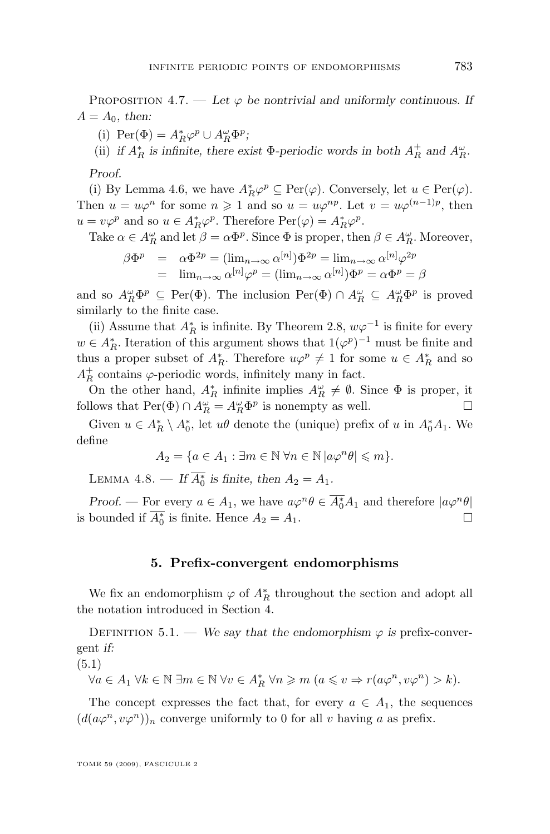<span id="page-15-0"></span>PROPOSITION 4.7. — Let  $\varphi$  be nontrivial and uniformly continuous. If  $A = A_0$ , then:

(i) Per( $\Phi$ ) =  $A_R^* \varphi^p \cup A_R^{\omega} \Phi^p$ ;

(ii) *if*  $A_R^*$  *is infinite, there exist*  $\Phi$ -periodic words in both  $A_R^+$  and  $A_R^{\omega}$ .

*Proof.*

(i) By Lemma [4.6,](#page-14-0) we have  $A_R^*\varphi^p \subseteq \text{Per}(\varphi)$ . Conversely, let  $u \in \text{Per}(\varphi)$ . Then  $u = u\varphi^n$  for some  $n \geq 1$  and so  $u = u\varphi^{np}$ . Let  $v = u\varphi^{(n-1)p}$ , then  $u = v\varphi^p$  and so  $u \in A_R^*\varphi^p$ . Therefore  $\text{Per}(\varphi) = A_R^*\varphi^p$ .

Take  $\alpha \in A_R^{\omega}$  and let  $\beta = \alpha \Phi^p$ . Since  $\Phi$  is proper, then  $\beta \in A_R^{\omega}$ . Moreover,

$$
\beta \Phi^p = \alpha \Phi^{2p} = (\lim_{n \to \infty} \alpha^{[n]}) \Phi^{2p} = \lim_{n \to \infty} \alpha^{[n]} \varphi^{2p}
$$
  
=  $\lim_{n \to \infty} \alpha^{[n]} \varphi^p = (\lim_{n \to \infty} \alpha^{[n]}) \Phi^p = \alpha \Phi^p = \beta$ 

and so  $A_R^{\omega} \Phi^p \subseteq \text{Per}(\Phi)$ . The inclusion  $\text{Per}(\Phi) \cap A_R^{\omega} \subseteq A_R^{\omega} \Phi^p$  is proved similarly to the finite case.

(ii) Assume that  $A_R^*$  is infinite. By Theorem [2.8,](#page-8-0)  $w\varphi^{-1}$  is finite for every  $w \in A_R^*$ . Iteration of this argument shows that  $1(\varphi^p)^{-1}$  must be finite and thus a proper subset of  $A_R^*$ . Therefore  $u\varphi^p \neq 1$  for some  $u \in A_R^*$  and so  $A_R^+$  contains  $\varphi$ -periodic words, infinitely many in fact.

On the other hand,  $A_R^*$  infinite implies  $A_R^{\omega} \neq \emptyset$ . Since  $\Phi$  is proper, it follows that  $\text{Per}(\Phi) \cap A_R^{\omega} = A_R^{\omega} \Phi^p$  is nonempty as well.

Given  $u \in A_R^* \setminus A_0^*$ , let  $u\theta$  denote the (unique) prefix of u in  $A_0^*A_1$ . We define

$$
A_2 = \{ a \in A_1 : \exists m \in \mathbb{N} \,\forall n \in \mathbb{N} \, |a\varphi^n \theta| \leqslant m \}.
$$

LEMMA 4.8. — If  $\overline{A_0^*}$  is finite, then  $A_2 = A_1$ .

*Proof.* — For every  $a \in A_1$ , we have  $a\varphi^n \theta \in \overline{A_0^*A_1}$  and therefore  $|a\varphi^n \theta|$ is bounded if  $\overline{A_0^*}$  is finite. Hence  $A_2 = A_1$ .

#### **5. Prefix-convergent endomorphisms**

We fix an endomorphism  $\varphi$  of  $A_R^*$  throughout the section and adopt all the notation introduced in Section [4.](#page-12-0)

DEFINITION 5.1. — *We say that the endomorphism*  $\varphi$  *is* prefix-convergent *if:*

(5.1)

$$
\forall a \in A_1 \ \forall k \in \mathbb{N} \ \exists m \in \mathbb{N} \ \forall v \in A_R^* \ \forall n \geq m \ (a \leq v \Rightarrow r(a\varphi^n, v\varphi^n) > k).
$$

The concept expresses the fact that, for every  $a \in A_1$ , the sequences  $(d(a\varphi^n, v\varphi^n))_n$  converge uniformly to 0 for all v having a as prefix.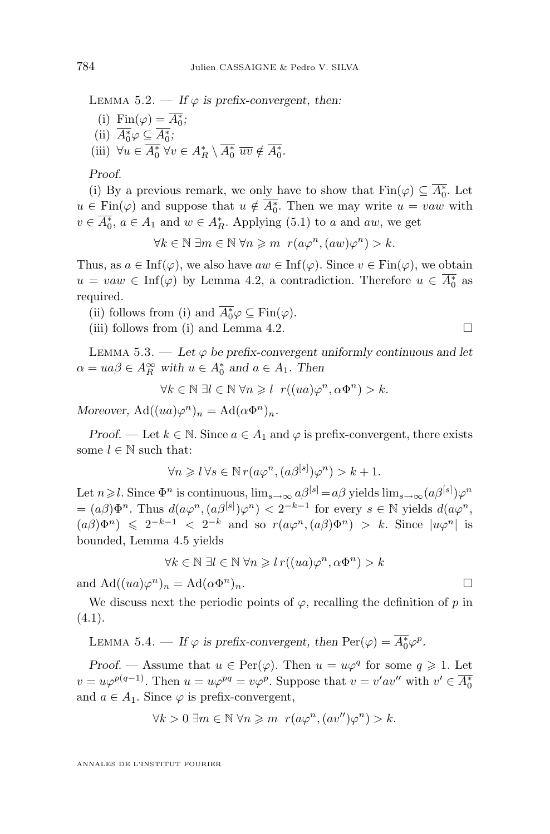<span id="page-16-0"></span>LEMMA 5.2. — If  $\varphi$  is prefix-convergent, then:

(i)  $\text{Fin}(\varphi) = \overline{A_0^*};$ (ii)  $\overline{A_0^*} \varphi \subseteq \overline{A_0^*}$ ; (iii)  $\forall u \in \overline{A_0^*} \,\forall v \in A_R^* \setminus \overline{A_0^*} \,\,\overline{uv} \notin \overline{A_0^*}.$ 

*Proof.*

(i) By a previous remark, we only have to show that  $\text{Fin}(\varphi) \subseteq \overline{A_0^*}$ . Let  $u \in \text{Fin}(\varphi)$  and suppose that  $u \notin \overline{A_0^*}$ . Then we may write  $u = vaw$  with  $v \in \overline{A_0^*}$ ,  $a \in A_1$  and  $w \in A_R^*$ . Applying [\(5.1\)](#page-15-0) to a and aw, we get

$$
\forall k \in \mathbb{N} \; \exists m \in \mathbb{N} \; \forall n \geq m \; r(a\varphi^n, (aw)\varphi^n) > k.
$$

Thus, as  $a \in \text{Inf}(\varphi)$ , we also have  $aw \in \text{Inf}(\varphi)$ . Since  $v \in \text{Fin}(\varphi)$ , we obtain  $u = vaw \in \text{Inf}(\varphi)$  by Lemma [4.2,](#page-12-0) a contradiction. Therefore  $u \in \overline{A_0^*}$  as required.

(ii) follows from (i) and  $\overline{A_0^*} \varphi \subseteq \text{Fin}(\varphi)$ .

(iii) follows from (i) and Lemma [4.2.](#page-12-0)

LEMMA 5.3.  $-$  *Let*  $\varphi$  *be prefix-convergent uniformly continuous and let*  $\alpha = ua\beta \in A_R^{\infty}$  with  $u \in A_0^*$  and  $a \in A_1$ . Then

$$
\forall k \in \mathbb{N} \,\,\exists l \in \mathbb{N} \,\,\forall n \geqslant l \,\, r((ua)\varphi^n, \alpha \Phi^n) > k.
$$

*Moreover,*  $\text{Ad}((ua)\varphi^n)_n = \text{Ad}(\alpha \Phi^n)_n$ *.* 

*Proof.* — Let  $k \in \mathbb{N}$ . Since  $a \in A_1$  and  $\varphi$  is prefix-convergent, there exists some  $l \in \mathbb{N}$  such that:

$$
\forall n \geqslant l \,\forall s \in \mathbb{N} \, r(a\varphi^n, (a\beta^{[s]})\varphi^n) > k+1.
$$

Let  $n \geq l$ . Since  $\Phi^n$  is continuous,  $\lim_{s\to\infty} a\beta^{[s]} = a\beta$  yields  $\lim_{s\to\infty} (a\beta^{[s]})\varphi^n$  $=(a\beta)\Phi^{n}$ . Thus  $d(a\varphi^{n}, (a\beta^{[s]})\varphi^{n}) < 2^{-k-1}$  for every  $s \in \mathbb{N}$  yields  $d(a\varphi^{n},$  $(a\beta)\Phi^n$ )  $\leq 2^{-k-1} < 2^{-k}$  and so  $r(a\varphi^n,(a\beta)\Phi^n) > k$ . Since  $|u\varphi^n|$  is bounded, Lemma [4.5](#page-14-0) yields

$$
\forall k \in \mathbb{N} \,\,\exists l \in \mathbb{N} \,\forall n \geqslant l \,r((ua)\varphi^n, \alpha \Phi^n) > k
$$

and  $\text{Ad}((ua)\varphi^n)_n = \text{Ad}(\alpha\Phi)$  $\Box$ <sup>n</sup>)<sub>n</sub>.

We discuss next the periodic points of  $\varphi$ , recalling the definition of p in  $(4.1).$  $(4.1).$ 

LEMMA 5.4. — If  $\varphi$  is prefix-convergent, then  $\text{Per}(\varphi) = \overline{A_0^*} \varphi^p$ .

*Proof.* — Assume that  $u \in \text{Per}(\varphi)$ . Then  $u = u\varphi^q$  for some  $q \geq 1$ . Let  $v = u\varphi^{p(q-1)}$ . Then  $u = u\varphi^{pq} = v\varphi^p$ . Suppose that  $v = v'av''$  with  $v' \in \overline{A_0^*}$ and  $a \in A_1$ . Since  $\varphi$  is prefix-convergent,

$$
\forall k > 0 \ \exists m \in \mathbb{N} \ \forall n \geq m \ r(a\varphi^n, (av'')\varphi^n) > k.
$$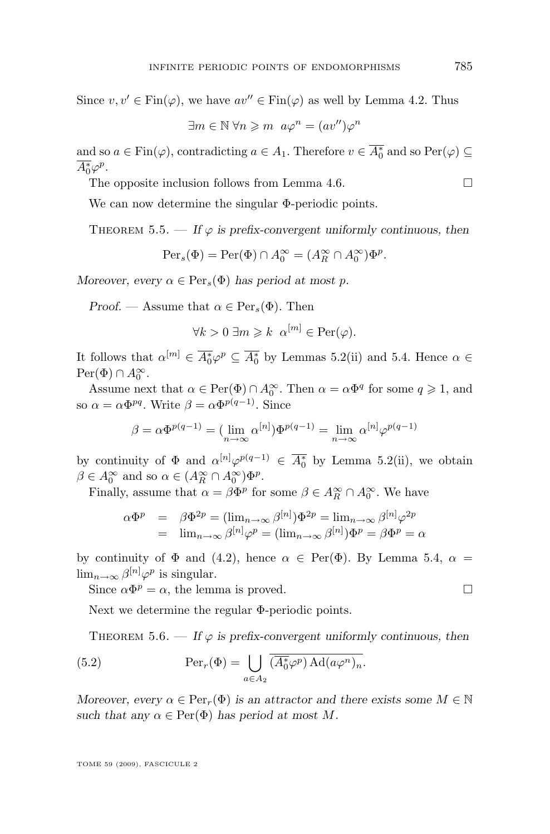<span id="page-17-0"></span>Since  $v, v' \in \text{Fin}(\varphi)$ , we have  $av'' \in \text{Fin}(\varphi)$  as well by Lemma [4.2.](#page-12-0) Thus

$$
\exists m \in \mathbb{N} \,\forall n \geqslant m \, a\varphi^n = (av'')\varphi^n
$$

and so  $a \in \text{Fin}(\varphi)$ , contradicting  $a \in A_1$ . Therefore  $v \in \overline{A_0^*}$  and so  $\text{Per}(\varphi) \subseteq$  $\overline{A_0^*} \varphi^p.$ 

The opposite inclusion follows from Lemma [4.6.](#page-14-0)  $\Box$ 

We can now determine the singular Φ-periodic points.

THEOREM 5.5. — If  $\varphi$  is prefix-convergent uniformly continuous, then

$$
\text{Per}_s(\Phi) = \text{Per}(\Phi) \cap A_0^{\infty} = (A_R^{\infty} \cap A_0^{\infty})\Phi^p.
$$

*Moreover, every*  $\alpha \in \text{Per}_s(\Phi)$  *has period at most p.* 

*Proof.* — Assume that  $\alpha \in \text{Per}_s(\Phi)$ . Then

$$
\forall k > 0 \ \exists m \geq k \ \alpha^{[m]} \in \text{Per}(\varphi).
$$

It follows that  $\alpha^{[m]} \in \overline{A_0^*} \varphi^p \subseteq \overline{A_0^*}$  by Lemmas [5.2\(](#page-15-0)ii) and [5.4.](#page-16-0) Hence  $\alpha \in$  $\text{Per}(\Phi) \cap A_0^{\infty}.$ 

Assume next that  $\alpha \in \text{Per}(\Phi) \cap A_0^{\infty}$ . Then  $\alpha = \alpha \Phi^q$  for some  $q \geq 1$ , and so  $\alpha = \alpha \Phi^{pq}$ . Write  $\beta = \alpha \Phi^{p(q-1)}$ . Since

$$
\beta = \alpha \Phi^{p(q-1)} = (\lim_{n \to \infty} \alpha^{[n]}) \Phi^{p(q-1)} = \lim_{n \to \infty} \alpha^{[n]} \varphi^{p(q-1)}
$$

by continuity of  $\Phi$  and  $\alpha^{[n]}\varphi^{p(q-1)} \in \overline{A_0^*}$  by Lemma [5.2\(](#page-15-0)ii), we obtain  $\beta \in A_0^{\infty}$  and so  $\alpha \in (A_R^{\infty} \cap A_0^{\infty}) \Phi^p$ .

Finally, assume that  $\alpha = \beta \Phi^p$  for some  $\beta \in A_R^{\infty} \cap A_0^{\infty}$ . We have

$$
\alpha \Phi^p = \beta \Phi^{2p} = (\lim_{n \to \infty} \beta^{[n]}) \Phi^{2p} = \lim_{n \to \infty} \beta^{[n]} \varphi^{2p}
$$
  
= 
$$
\lim_{n \to \infty} \beta^{[n]} \varphi^p = (\lim_{n \to \infty} \beta^{[n]}) \Phi^p = \beta \Phi^p = \alpha
$$

by continuity of  $\Phi$  and [\(4.2\)](#page-14-0), hence  $\alpha \in Per(\Phi)$ . By Lemma [5.4,](#page-16-0)  $\alpha =$  $\lim_{n\to\infty}\beta^{[n]}\varphi^p$  is singular.

Since  $\alpha \Phi^p = \alpha$ , the lemma is proved.

Next we determine the regular Φ-periodic points.

THEOREM 5.6. — If  $\varphi$  is prefix-convergent uniformly continuous, then

(5.2) 
$$
\operatorname{Per}_r(\Phi) = \bigcup_{a \in A_2} \overline{(A_0^* \varphi^p) \operatorname{Ad}(a \varphi^n)_n}.
$$

*Moreover, every*  $\alpha \in \text{Per}_r(\Phi)$  *is an attractor and there exists some*  $M \in \mathbb{N}$ *such that any*  $\alpha \in Per(\Phi)$  *has period at most* M.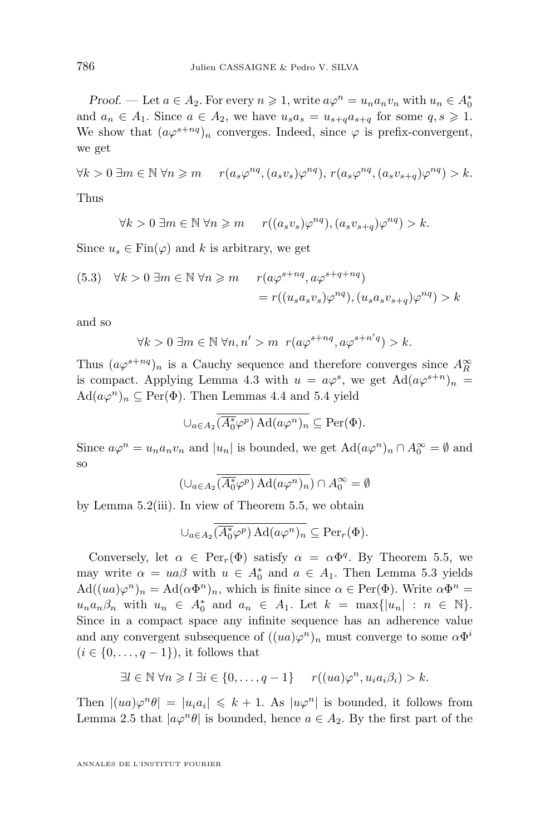*Proof.* — Let  $a \in A_2$ . For every  $n \ge 1$ , write  $a\varphi^n = u_n a_n v_n$  with  $u_n \in A_0^*$ and  $a_n \in A_1$ . Since  $a \in A_2$ , we have  $u_s a_s = u_{s+a} a_{s+a}$  for some  $q, s \geq 1$ . We show that  $(a\varphi^{s+nq})_n$  converges. Indeed, since  $\varphi$  is prefix-convergent, we get

$$
\forall k > 0 \ \exists m \in \mathbb{N} \ \forall n \geq m \qquad r(a_s \varphi^{nq}, (a_s v_s) \varphi^{nq}), \ r(a_s \varphi^{nq}, (a_s v_{s+q}) \varphi^{nq}) > k.
$$

Thus

$$
\forall k > 0 \ \exists m \in \mathbb{N} \ \forall n \geqslant m \qquad r((a_s v_s)\varphi^{nq}), (a_s v_{s+q})\varphi^{nq}) > k.
$$

Since  $u_s \in \text{Fin}(\varphi)$  and k is arbitrary, we get

(5.3) 
$$
\forall k > 0 \ \exists m \in \mathbb{N} \ \forall n \geq m \quad r(a\varphi^{s+nq}, a\varphi^{s+q+nq}) = r((u_s a_s v_s)\varphi^{nq}), (u_s a_s v_{s+q})\varphi^{nq}) > k
$$

and so

$$
\forall k > 0 \ \exists m \in \mathbb{N} \ \forall n, n' > m \ r(a\varphi^{s+nq}, a\varphi^{s+n'q}) > k.
$$

Thus  $(a\varphi^{s+nq})_n$  is a Cauchy sequence and therefore converges since  $A_R^{\infty}$ is compact. Applying Lemma [4.3](#page-12-0) with  $u = a\varphi^s$ , we get  $\text{Ad}(a\varphi^{s+n})_n =$  $\text{Ad}(a\varphi^n)_n \subseteq \text{Per}(\Phi)$ . Then Lemmas [4.4](#page-14-0) and [5.4](#page-16-0) yield

$$
\bigcup_{a \in A_2} \overline{\overline{A_0^*} \varphi^p \,} \operatorname{Ad}(a \varphi^n)_n \subseteq \operatorname{Per}(\Phi).
$$

Since  $a\varphi^n = u_n a_n v_n$  and  $|u_n|$  is bounded, we get  $\text{Ad}(a\varphi^n)_n \cap A_0^{\infty} = \emptyset$  and so

$$
(\cup_{a \in A_2} (\overline{A_0^*} \varphi^p) \operatorname{Ad}(a \varphi^n)_n) \cap A_0^{\infty} = \emptyset
$$

by Lemma [5.2\(](#page-15-0)iii). In view of Theorem [5.5,](#page-17-0) we obtain

$$
\cup_{a\in A_2} \overline{(A_0^*\varphi^p)\operatorname{Ad}(a\varphi^n)_n} \subseteq \operatorname{Per}_r(\Phi).
$$

Conversely, let  $\alpha \in \text{Per}_r(\Phi)$  satisfy  $\alpha = \alpha \Phi^q$ . By Theorem [5.5,](#page-17-0) we may write  $\alpha = ua\beta$  with  $u \in A_0^*$  and  $a \in A_1$ . Then Lemma [5.3](#page-16-0) yields  $\text{Ad}((ua)\varphi^n)_n = \text{Ad}(\alpha \Phi^n)_n$ , which is finite since  $\alpha \in \text{Per}(\Phi)$ . Write  $\alpha \Phi^n =$  $u_n a_n \beta_n$  with  $u_n \in A_0^*$  and  $a_n \in A_1$ . Let  $k = \max\{|u_n| : n \in \mathbb{N}\}.$ Since in a compact space any infinite sequence has an adherence value and any convergent subsequence of  $((ua)\varphi^n)_n$  must converge to some  $\alpha\Phi^i$  $(i \in \{0, \ldots, q-1\})$ , it follows that

$$
\exists l \in \mathbb{N} \,\forall n \geq l \,\exists i \in \{0,\ldots,q-1\} \qquad r((ua)\varphi^n, u_i a_i \beta_i) > k.
$$

Then  $|(ua)\varphi^n\theta| = |u_i a_i| \leq k+1$ . As  $|u\varphi^n|$  is bounded, it follows from Lemma [2.5](#page-6-0) that  $|a\varphi^n\theta|$  is bounded, hence  $a \in A_2$ . By the first part of the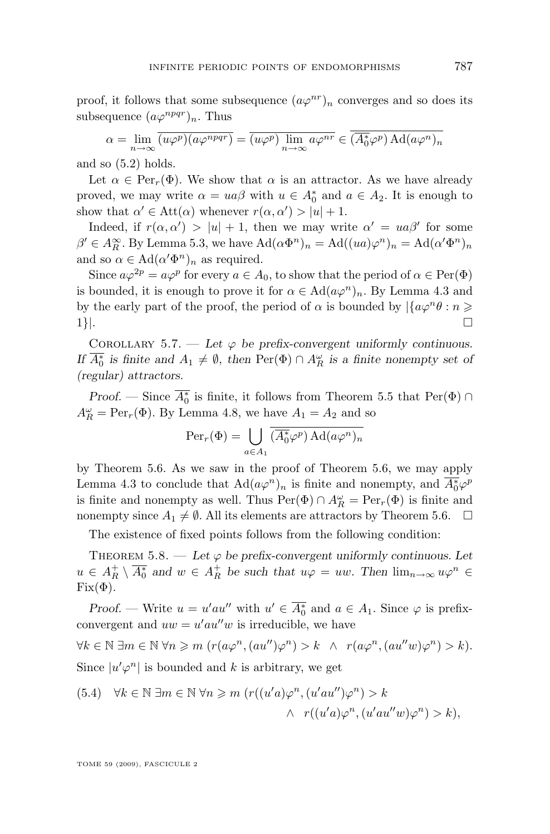<span id="page-19-0"></span>proof, it follows that some subsequence  $(a\varphi^{nr})_n$  converges and so does its subsequence  $(a\varphi^{npqr})_n$ . Thus

$$
\alpha = \lim_{n \to \infty} \overline{(u\varphi^p)(a\varphi^{npqr})} = \overline{(u\varphi^p)} \lim_{n \to \infty} a\varphi^{nr} \in \overline{(\overline{A_0^*}\varphi^p)} \text{Ad}(a\varphi^n)_n
$$

and so [\(5.2\)](#page-17-0) holds.

Let  $\alpha \in \text{Per}_r(\Phi)$ . We show that  $\alpha$  is an attractor. As we have already proved, we may write  $\alpha = ua\beta$  with  $u \in A_0^*$  and  $a \in A_2$ . It is enough to show that  $\alpha' \in \text{Att}(\alpha)$  whenever  $r(\alpha, \alpha') > |u| + 1$ .

Indeed, if  $r(\alpha, \alpha') > |u| + 1$ , then we may write  $\alpha' = u\alpha\beta'$  for some  $\beta' \in A_R^{\infty}$ . By Lemma [5.3,](#page-16-0) we have  $\text{Ad}(\alpha \Phi^n)_n = \text{Ad}((ua)\varphi^n)_n = \text{Ad}(\alpha' \Phi^n)_n$ and so  $\alpha \in \mathrm{Ad}(\alpha' \Phi^n)_n$  as required.

Since  $a\varphi^{2p} = a\varphi^p$  for every  $a \in A_0$ , to show that the period of  $\alpha \in \text{Per}(\Phi)$ is bounded, it is enough to prove it for  $\alpha \in \text{Ad}(a\varphi^n)_n$ . By Lemma [4.3](#page-12-0) and by the early part of the proof, the period of  $\alpha$  is bounded by  $|\{a\varphi^n\theta : n \geqslant \}$  $1\}.$ 

COROLLARY 5.7. — Let  $\varphi$  be prefix-convergent uniformly continuous. *If*  $\overline{A_0^*}$  *is finite and*  $A_1 \neq \emptyset$ *, then*  $\text{Per}(\Phi) \cap A_R^{\omega}$  *is a finite nonempty set of (regular) attractors.*

*Proof.* — Since  $\overline{A_0^*}$  is finite, it follows from Theorem [5.5](#page-17-0) that  $\text{Per}(\Phi) \cap$  $A_R^{\omega} = \text{Per}_r(\Phi)$ . By Lemma [4.8,](#page-15-0) we have  $A_1 = A_2$  and so

$$
\operatorname{Per}_r(\Phi) = \bigcup_{a \in A_1} \overline{(\overline{A_0^*} \varphi^p) \operatorname{Ad}(a \varphi^n)_n}
$$

by Theorem [5.6.](#page-17-0) As we saw in the proof of Theorem [5.6,](#page-17-0) we may apply Lemma [4.3](#page-12-0) to conclude that  $\text{Ad}(a\varphi^n)_n$  is finite and nonempty, and  $\overline{A_0^*} \varphi^p$ is finite and nonempty as well. Thus  $\text{Per}(\Phi) \cap A_R^{\omega} = \text{Per}_r(\Phi)$  is finite and nonempty since  $A_1 \neq \emptyset$ . All its elements are attractors by Theorem [5.6.](#page-17-0)  $\Box$ 

The existence of fixed points follows from the following condition:

THEOREM 5.8. — Let  $\varphi$  be prefix-convergent uniformly continuous. Let  $u \in A_R^+ \setminus \overline{A_0^*}$  and  $w \in A_R^+$  be such that  $u\varphi = uw$ . Then  $\lim_{n\to\infty} u\varphi^n \in$  $Fix(\Phi)$ .

*Proof.* — Write  $u = u'au''$  with  $u' \in \overline{A_0^*}$  and  $a \in A_1$ . Since  $\varphi$  is prefixconvergent and  $uw = u'au''w$  is irreducible, we have

 $\forall k \in \mathbb{N} \ \exists m \in \mathbb{N} \ \forall n \geq m \ (r(a\varphi^n, (au'')\varphi^n) > k \ \land \ r(a\varphi^n, (au''w)\varphi^n) > k).$ Since  $|u'\varphi^n|$  is bounded and k is arbitrary, we get

(5.4) 
$$
\forall k \in \mathbb{N} \exists m \in \mathbb{N} \forall n \geq m \ (r((u'a)\varphi^n, (u'au'')\varphi^n) > k \land \quad r((u'a)\varphi^n, (u'au''w)\varphi^n) > k),
$$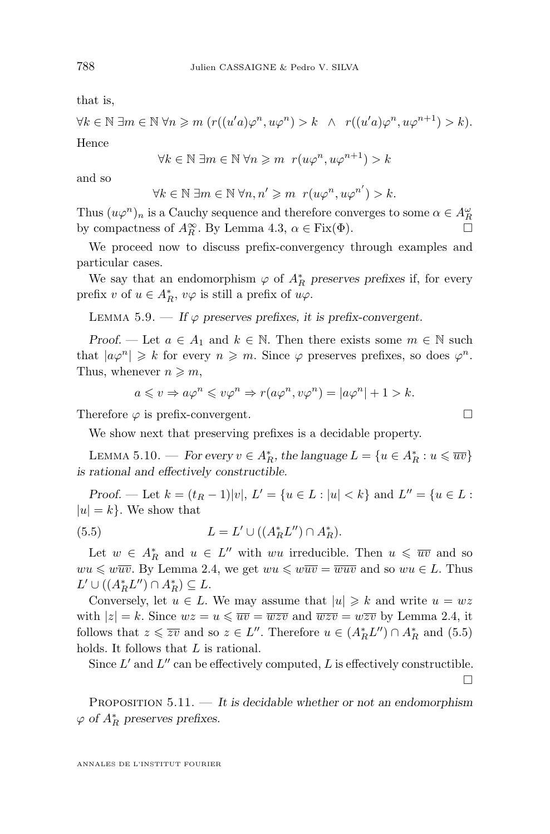<span id="page-20-0"></span>that is,

$$
\forall k \in \mathbb{N} \; \exists m \in \mathbb{N} \; \forall n \geq m \; (r((u'a)\varphi^n, u\varphi^n) > k \; \wedge \; r((u'a)\varphi^n, u\varphi^{n+1}) > k).
$$

Hence

$$
\forall k \in \mathbb{N} \; \exists m \in \mathbb{N} \; \forall n \geqslant m \; r(u\varphi^n, u\varphi^{n+1}) > k
$$

and so

$$
\forall k \in \mathbb{N} \; \exists m \in \mathbb{N} \; \forall n, n' \geq m \; r(u\varphi^n, u\varphi^{n'}) > k.
$$

Thus  $(u\varphi^n)_n$  is a Cauchy sequence and therefore converges to some  $\alpha \in A_R^{\omega}$ by compactness of  $A_R^{\infty}$ . By Lemma [4.3,](#page-12-0)  $\alpha \in \text{Fix}(\Phi)$ .

We proceed now to discuss prefix-convergency through examples and particular cases.

We say that an endomorphism  $\varphi$  of  $A_R^*$  preserves prefixes if, for every prefix v of  $u \in A_R^*$ ,  $v\varphi$  is still a prefix of  $u\varphi$ .

LEMMA 5.9. — If  $\varphi$  preserves prefixes, it is prefix-convergent.

*Proof.* — Let  $a \in A_1$  and  $k \in \mathbb{N}$ . Then there exists some  $m \in \mathbb{N}$  such that  $|a\varphi^n| \geq k$  for every  $n \geq m$ . Since  $\varphi$  preserves prefixes, so does  $\varphi^n$ . Thus, whenever  $n \geqslant m$ ,

$$
a \leq v \Rightarrow a\varphi^n \leq v\varphi^n \Rightarrow r(a\varphi^n, v\varphi^n) = |a\varphi^n| + 1 > k.
$$

Therefore  $\varphi$  is prefix-convergent.

We show next that preserving prefixes is a decidable property.

LEMMA 5.10. — *For every*  $v \in A_R^*$ , the language  $L = \{u \in A_R^* : u \leq w\}$ *is rational and effectively constructible.*

*Proof.* — Let  $k = (t_R - 1)|v|$ ,  $L' = \{u \in L : |u| < k\}$  and  $L'' = \{u \in L : |u| \leq k\}$  $|u| = k$ . We show that

(5.5) 
$$
L = L' \cup ((A_R^* L'') \cap A_R^*).
$$

Let  $w \in A_R^*$  and  $u \in L''$  with wu irreducible. Then  $u \leq \overline{uv}$  and so  $wu \leq w\overline{uv}$ . By Lemma [2.4,](#page-6-0) we get  $wu \leq w\overline{uv} = \overline{wuv}$  and so  $wu \in L$ . Thus  $L' \cup ((A_R^* L'') \cap A_R^*) \subseteq L.$ 

Conversely, let  $u \in L$ . We may assume that  $|u| \geq k$  and write  $u = wz$ with  $|z| = k$ . Since  $wz = u \le \overline{uv} = \overline{wzv}$  and  $\overline{wzv} = w\overline{zv}$  by Lemma [2.4,](#page-6-0) it follows that  $z \leq \overline{zv}$  and so  $z \in L''$ . Therefore  $u \in (A_R^*L'') \cap A_R^*$  and  $(5.5)$ holds. It follows that L is rational.

Since  $L'$  and  $L''$  can be effectively computed,  $L$  is effectively constructible.

□

Proposition 5.11. — *It is decidable whether or not an endomorphism*  $\varphi$  *of*  $A_R^*$  preserves prefixes.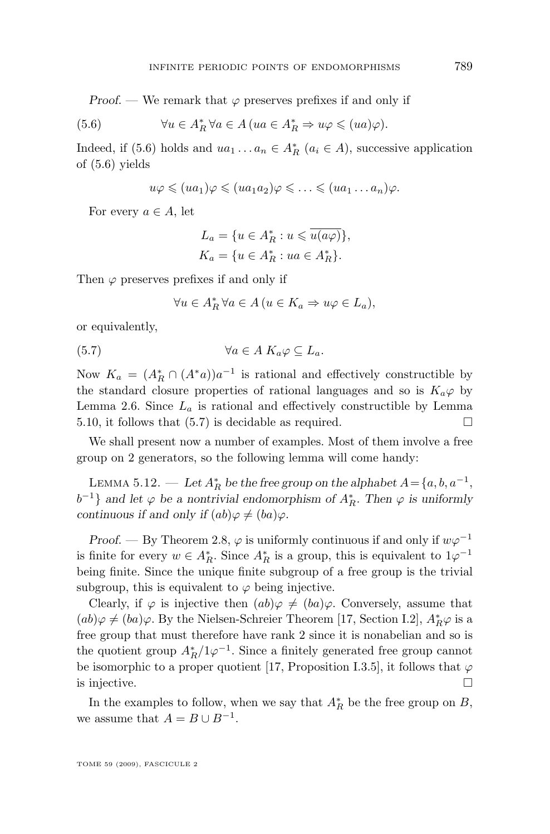<span id="page-21-0"></span>*Proof.* — We remark that  $\varphi$  preserves prefixes if and only if

(5.6) 
$$
\forall u \in A_R^* \,\forall a \in A \,(ua \in A_R^* \Rightarrow u\varphi \leq (ua)\varphi).
$$

Indeed, if (5.6) holds and  $ua_1 \ldots a_n \in A_R^*$   $(a_i \in A)$ , successive application of (5.6) yields

$$
u\varphi \leqslant (ua_1)\varphi \leqslant (ua_1a_2)\varphi \leqslant \ldots \leqslant (ua_1 \ldots a_n)\varphi.
$$

For every  $a \in A$ , let

$$
L_a = \{ u \in A_R^* : u \leqslant \overline{u(a\varphi)} \},
$$
  

$$
K_a = \{ u \in A_R^* : ua \in A_R^* \}.
$$

Then  $\varphi$  preserves prefixes if and only if

$$
\forall u \in A_R^* \,\forall a \in A \,(u \in K_a \Rightarrow u\varphi \in L_a),
$$

or equivalently,

$$
(5.7) \t\t\t \forall a \in A \; K_a \varphi \subseteq L_a.
$$

Now  $K_a = (A_R^* \cap (A^*a))a^{-1}$  is rational and effectively constructible by the standard closure properties of rational languages and so is  $K_a\varphi$  by Lemma [2.6.](#page-6-0) Since  $L_a$  is rational and effectively constructible by Lemma [5.10,](#page-20-0) it follows that  $(5.7)$  is decidable as required.

We shall present now a number of examples. Most of them involve a free group on 2 generators, so the following lemma will come handy:

LEMMA 5.12. — Let  $A_R^*$  be the free group on the alphabet  $A = \{a, b, a^{-1},$  $b^{-1}$ } and let  $\varphi$  be a nontrivial endomorphism of  $A_R^*$ . Then  $\varphi$  is uniformly *continuous if and only if*  $(ab)\varphi \neq (ba)\varphi$ .

*Proof.* — By Theorem [2.8,](#page-8-0)  $\varphi$  is uniformly continuous if and only if  $w\varphi^{-1}$ is finite for every  $w \in A_R^*$ . Since  $A_R^*$  is a group, this is equivalent to  $1\varphi^{-1}$ being finite. Since the unique finite subgroup of a free group is the trivial subgroup, this is equivalent to  $\varphi$  being injective.

Clearly, if  $\varphi$  is injective then  $(ab)\varphi \neq (ba)\varphi$ . Conversely, assume that  $(ab)\varphi \neq (ba)\varphi$ . By the Nielsen-Schreier Theorem [\[17,](#page-42-0) Section I.2],  $A_R^*\varphi$  is a free group that must therefore have rank 2 since it is nonabelian and so is the quotient group  $A_R^*/1\varphi^{-1}$ . Since a finitely generated free group cannot be isomorphic to a proper quotient [\[17,](#page-42-0) Proposition I.3.5], it follows that  $\varphi$ is injective.  $\Box$ 

In the examples to follow, when we say that  $A_R^*$  be the free group on B, we assume that  $A = B \cup B^{-1}$ .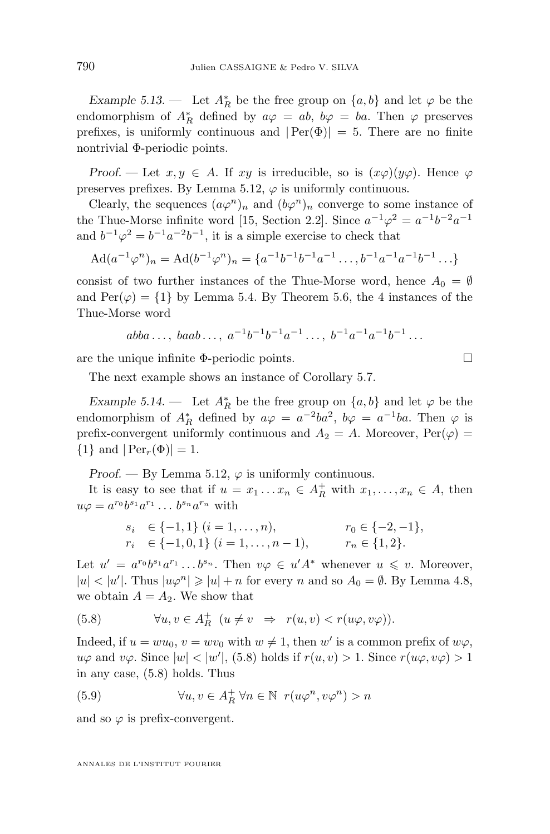<span id="page-22-0"></span>*Example 5.13.* — Let  $A_R^*$  be the free group on  $\{a, b\}$  and let  $\varphi$  be the endomorphism of  $A_R^*$  defined by  $a\varphi = ab$ ,  $b\varphi = ba$ . Then  $\varphi$  preserves prefixes, is uniformly continuous and  $|Per(\Phi)| = 5$ . There are no finite nontrivial Φ-periodic points.

*Proof.* — Let  $x, y \in A$ . If  $xy$  is irreducible, so is  $(x\varphi)(y\varphi)$ . Hence  $\varphi$ preserves prefixes. By Lemma [5.12,](#page-21-0)  $\varphi$  is uniformly continuous.

Clearly, the sequences  $(a\varphi^n)_n$  and  $(b\varphi^n)_n$  converge to some instance of the Thue-Morse infinite word [\[15,](#page-41-0) Section 2.2]. Since  $a^{-1}\varphi^2 = a^{-1}b^{-2}a^{-1}$ and  $b^{-1}\varphi^2 = b^{-1}a^{-2}b^{-1}$ , it is a simple exercise to check that

$$
Ad(a^{-1}\varphi^n)_n = Ad(b^{-1}\varphi^n)_n = \{a^{-1}b^{-1}b^{-1}a^{-1}\dots, b^{-1}a^{-1}a^{-1}b^{-1}\dots\}
$$

consist of two further instances of the Thue-Morse word, hence  $A_0 = \emptyset$ and  $\text{Per}(\varphi) = \{1\}$  by Lemma [5.4.](#page-16-0) By Theorem [5.6,](#page-17-0) the 4 instances of the Thue-Morse word

$$
abba...,baab..., a^{-1}b^{-1}b^{-1}a^{-1}..., b^{-1}a^{-1}a^{-1}b^{-1}...
$$

are the unique infinite  $\Phi$ -periodic points.

The next example shows an instance of Corollary [5.7.](#page-19-0)

*Example 5.14.* — Let  $A_R^*$  be the free group on  $\{a, b\}$  and let  $\varphi$  be the endomorphism of  $A_R^*$  defined by  $a\varphi = a^{-2}ba^2$ ,  $b\varphi = a^{-1}ba$ . Then  $\varphi$  is prefix-convergent uniformly continuous and  $A_2 = A$ . Moreover,  $\text{Per}(\varphi) =$  $\{1\}$  and  $|\text{Per}_r(\Phi)| = 1$ .

*Proof.* — By Lemma [5.12,](#page-21-0)  $\varphi$  is uniformly continuous.

It is easy to see that if  $u = x_1 \dots x_n \in A_R^+$  with  $x_1, \dots, x_n \in A$ , then  $u\varphi = a^{r_0}b^{s_1}a^{r_1}\ldots b^{s_n}a^{r_n}$  with

$$
s_i \in \{-1, 1\} \ (i = 1, \dots, n), \qquad \qquad r_0 \in \{-2, -1\},
$$
  
\n
$$
r_i \in \{-1, 0, 1\} \ (i = 1, \dots, n-1), \qquad \qquad r_n \in \{1, 2\}.
$$

Let  $u' = a^{r_0}b^{s_1}a^{r_1}\dots b^{s_n}$ . Then  $v\varphi \in u'A^*$  whenever  $u \leq v$ . Moreover,  $|u| < |u'|$ . Thus  $|u\varphi^n| \geqslant |u| + n$  for every n and so  $A_0 = \emptyset$ . By Lemma [4.8,](#page-15-0) we obtain  $A = A_2$ . We show that

(5.8) 
$$
\forall u, v \in A_R^+ \ (u \neq v \Rightarrow r(u, v) < r(u\varphi, v\varphi)).
$$

Indeed, if  $u = w u_0$ ,  $v = w v_0$  with  $w \neq 1$ , then  $w'$  is a common prefix of  $w \varphi$ ,  $u\varphi$  and  $v\varphi$ . Since  $|w| < |w'|$ , (5.8) holds if  $r(u, v) > 1$ . Since  $r(u\varphi, v\varphi) > 1$ in any case, (5.8) holds. Thus

(5.9) 
$$
\forall u, v \in A_R^+ \,\forall n \in \mathbb{N} \, r(u\varphi^n, v\varphi^n) > n
$$

and so  $\varphi$  is prefix-convergent.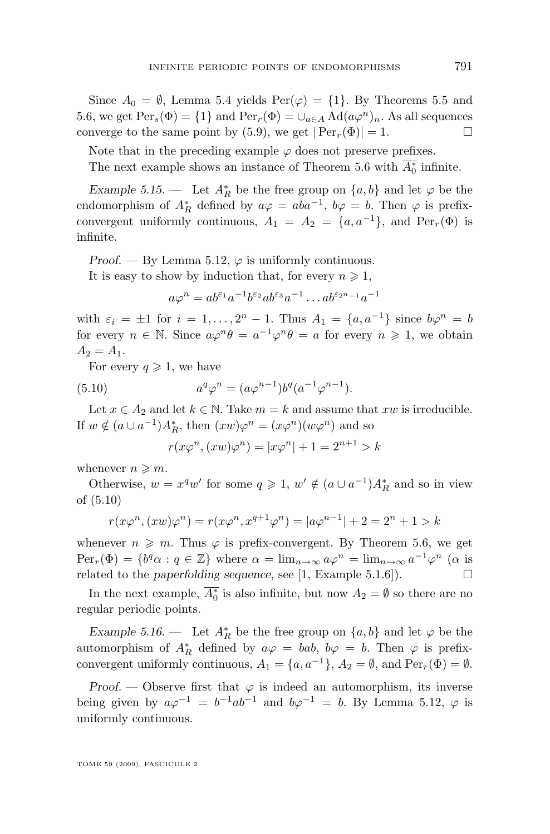<span id="page-23-0"></span>Since  $A_0 = \emptyset$ , Lemma [5.4](#page-16-0) yields  $\text{Per}(\varphi) = \{1\}$ . By Theorems [5.5](#page-17-0) and [5.6,](#page-17-0) we get  $Per_s(\Phi) = \{1\}$  and  $Per_r(\Phi) = \bigcup_{a \in A} \text{Ad}(a\varphi^n)_n$ . As all sequences converge to the same point by [\(5.9\)](#page-22-0), we get  $|Per_r(\Phi)| = 1$ .

Note that in the preceding example  $\varphi$  does not preserve prefixes. The next example shows an instance of Theorem [5.6](#page-17-0) with  $\overline{A_0^*}$  infinite.

*Example 5.15.* — Let  $A_R^*$  be the free group on  $\{a, b\}$  and let  $\varphi$  be the endomorphism of  $A_R^*$  defined by  $a\varphi = aba^{-1}$ ,  $b\varphi = b$ . Then  $\varphi$  is prefixconvergent uniformly continuous,  $A_1 = A_2 = \{a, a^{-1}\}\$ , and  $Per_r(\Phi)$  is infinite.

*Proof.* — By Lemma [5.12,](#page-21-0)  $\varphi$  is uniformly continuous.

It is easy to show by induction that, for every  $n \geq 1$ ,

$$
a\varphi^n = ab^{\varepsilon_1}a^{-1}b^{\varepsilon_2}ab^{\varepsilon_3}a^{-1}\dots ab^{\varepsilon_{2^n-1}}a^{-1}
$$

with  $\varepsilon_i = \pm 1$  for  $i = 1, ..., 2^n - 1$ . Thus  $A_1 = \{a, a^{-1}\}\$  since  $b\varphi^n = b$ for every  $n \in \mathbb{N}$ . Since  $a\varphi^n \theta = a^{-1} \varphi^n \theta = a$  for every  $n \geq 1$ , we obtain  $A_2 = A_1.$ 

For every  $q \geq 1$ , we have

(5.10) 
$$
a^q \varphi^n = (a \varphi^{n-1}) b^q (a^{-1} \varphi^{n-1}).
$$

Let  $x \in A_2$  and let  $k \in \mathbb{N}$ . Take  $m = k$  and assume that xw is irreducible. If  $w \notin (a \cup a^{-1})A_R^*$ , then  $(xw)\varphi^n = (x\varphi^n)(w\varphi^n)$  and so

$$
r(x\varphi^n,(xw)\varphi^n) = |x\varphi^n| + 1 = 2^{n+1} > k
$$

whenever  $n \geqslant m$ .

Otherwise,  $w = x^q w'$  for some  $q \ge 1$ ,  $w' \notin (a \cup a^{-1})A_R^*$  and so in view of (5.10)

$$
r(x\varphi^{n}, (xw)\varphi^{n}) = r(x\varphi^{n}, x^{q+1}\varphi^{n}) = |a\varphi^{n-1}| + 2 = 2^{n} + 1 > k
$$

whenever  $n \geqslant m$ . Thus  $\varphi$  is prefix-convergent. By Theorem [5.6,](#page-17-0) we get  $Per_r(\Phi) = \{b^q \alpha : q \in \mathbb{Z}\}\$  where  $\alpha = \lim_{n \to \infty} a\varphi^n = \lim_{n \to \infty} a^{-1}\varphi^n$  ( $\alpha$  is related to the *paperfolding sequence*, see [\[1,](#page-41-0) Example 5.1.6]).

In the next example,  $\overline{A_0^*}$  is also infinite, but now  $A_2 = \emptyset$  so there are no regular periodic points.

*Example 5.16.* — Let  $A_R^*$  be the free group on  $\{a, b\}$  and let  $\varphi$  be the automorphism of  $A_R^*$  defined by  $a\varphi = bab$ ,  $b\varphi = b$ . Then  $\varphi$  is prefixconvergent uniformly continuous,  $A_1 = \{a, a^{-1}\}, A_2 = \emptyset$ , and  $Per_r(\Phi) = \emptyset$ .

*Proof.* — Observe first that  $\varphi$  is indeed an automorphism, its inverse being given by  $a\varphi^{-1} = b^{-1}ab^{-1}$  and  $b\varphi^{-1} = b$ . By Lemma [5.12,](#page-21-0)  $\varphi$  is uniformly continuous.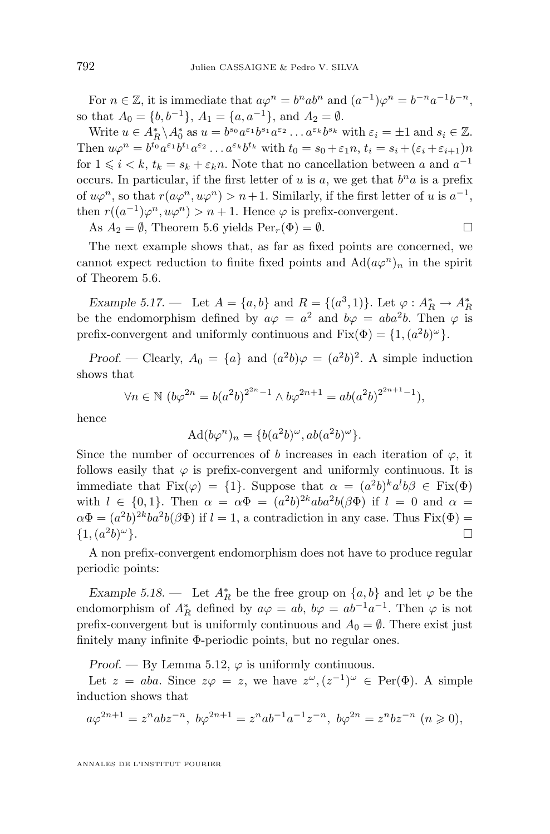<span id="page-24-0"></span>For  $n \in \mathbb{Z}$ , it is immediate that  $a\varphi^n = b^nab^n$  and  $(a^{-1})\varphi^n = b^{-n}a^{-1}b^{-n}$ , so that  $A_0 = \{b, b^{-1}\}, A_1 = \{a, a^{-1}\}, \text{ and } A_2 = \emptyset.$ 

Write  $u \in A_R^* \backslash A_0^*$  as  $u = b^{s_0} a^{\varepsilon_1} b^{s_1} a^{\varepsilon_2} \dots a^{\varepsilon_k} b^{s_k}$  with  $\varepsilon_i = \pm 1$  and  $s_i \in \mathbb{Z}$ . Then  $u\varphi^n = b^{t_0}a^{\varepsilon_1}b^{t_1}a^{\varepsilon_2}\dots a^{\varepsilon_k}b^{t_k}$  with  $t_0 = s_0 + \varepsilon_1 n, t_i = s_i + (\varepsilon_i + \varepsilon_{i+1})n$ for  $1 \leq i \leq k$ ,  $t_k = s_k + \varepsilon_k n$ . Note that no cancellation between a and  $a^{-1}$ occurs. In particular, if the first letter of u is a, we get that  $b<sup>n</sup>a$  is a prefix of  $u\varphi^n$ , so that  $r(a\varphi^n, u\varphi^n) > n+1$ . Similarly, if the first letter of u is  $a^{-1}$ , then  $r((a^{-1})\varphi^n, u\varphi^n) > n+1$ . Hence  $\varphi$  is prefix-convergent.

As  $A_2 = \emptyset$ , Theorem [5.6](#page-17-0) yields  $\text{Per}_r(\Phi) = \emptyset$ .

The next example shows that, as far as fixed points are concerned, we cannot expect reduction to finite fixed points and  $\text{Ad}(a\varphi^n)_n$  in the spirit of Theorem [5.6.](#page-17-0)

*Example 5.17.* — Let  $A = \{a, b\}$  and  $R = \{(a^3, 1)\}\$ . Let  $\varphi : A_R^* \to A_R^*$ be the endomorphism defined by  $a\varphi = a^2$  and  $b\varphi = aba^2b$ . Then  $\varphi$  is prefix-convergent and uniformly continuous and  $Fix(\Phi) = \{1, (a^2b)^{\omega}\}.$ 

*Proof.* — Clearly,  $A_0 = \{a\}$  and  $(a^2b)\varphi = (a^2b)^2$ . A simple induction shows that

$$
\forall n \in \mathbb{N} \ (b\varphi^{2n} = b(a^2b)^{2^{2n}-1} \wedge b\varphi^{2n+1} = ab(a^2b)^{2^{2n+1}-1}),
$$

hence

$$
Ad(b\varphi^n)_n = \{b(a^2b)^\omega, ab(a^2b)^\omega\}.
$$

Since the number of occurrences of b increases in each iteration of  $\varphi$ , it follows easily that  $\varphi$  is prefix-convergent and uniformly continuous. It is immediate that  $Fix(\varphi) = \{1\}$ . Suppose that  $\alpha = (a^2b)^k a^l b \beta \in Fix(\Phi)$ with  $l \in \{0,1\}$ . Then  $\alpha = \alpha \Phi = (a^2b)^{2k}aba^2b(\beta \Phi)$  if  $l = 0$  and  $\alpha =$  $\alpha \Phi = (a^2 b)^{2k} b a^2 b (\beta \Phi)$  if  $l = 1$ , a contradiction in any case. Thus  $Fix(\Phi) =$  $\{1, (a^2b)\}$  $\omega$ .

A non prefix-convergent endomorphism does not have to produce regular periodic points:

*Example 5.18.* — Let  $A_R^*$  be the free group on  $\{a, b\}$  and let  $\varphi$  be the endomorphism of  $A_R^*$  defined by  $a\varphi = ab$ ,  $b\varphi = ab^{-1}a^{-1}$ . Then  $\varphi$  is not prefix-convergent but is uniformly continuous and  $A_0 = \emptyset$ . There exist just finitely many infinite Φ-periodic points, but no regular ones.

*Proof.* — By Lemma [5.12,](#page-21-0)  $\varphi$  is uniformly continuous.

Let  $z = aba$ . Since  $z\varphi = z$ , we have  $z^{\omega}$ ,  $(z^{-1})^{\omega} \in \text{Per}(\Phi)$ . A simple induction shows that

$$
a\varphi^{2n+1} = z^nabz^{-n}, \ b\varphi^{2n+1} = z^nab^{-1}a^{-1}z^{-n}, \ b\varphi^{2n} = z^nbz^{-n} \ (n \geq 0),
$$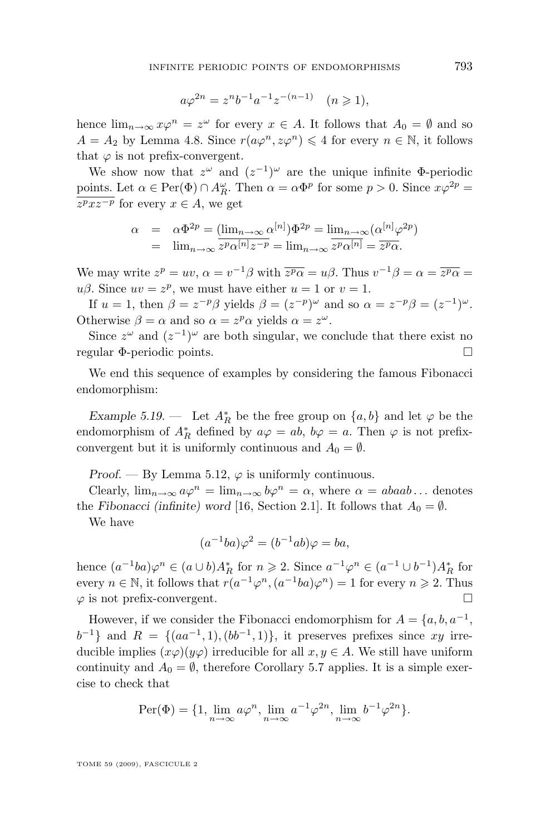$$
a\varphi^{2n} = z^n b^{-1} a^{-1} z^{-(n-1)} \quad (n \ge 1),
$$

hence  $\lim_{n\to\infty} x\varphi^n = z^{\omega}$  for every  $x \in A$ . It follows that  $A_0 = \emptyset$  and so  $A = A_2$  by Lemma [4.8.](#page-15-0) Since  $r(a\varphi^n, z\varphi^n) \leq 4$  for every  $n \in \mathbb{N}$ , it follows that  $\varphi$  is not prefix-convergent.

We show now that  $z^{\omega}$  and  $(z^{-1})^{\omega}$  are the unique infinite  $\Phi$ -periodic <u>points.</u> Let  $\alpha \in \text{Per}(\Phi) \cap A_R^{\omega}$ . Then  $\alpha = \alpha \Phi^p$  for some  $p > 0$ . Since  $x\varphi^{2p} =$  $z^p x z^{-p}$  for every  $x \in A$ , we get

$$
\alpha = \alpha \Phi^{2p} = (\lim_{n \to \infty} \alpha^{[n]}) \Phi^{2p} = \lim_{n \to \infty} (\alpha^{[n]} \varphi^{2p})
$$
  
=  $\lim_{n \to \infty} \overline{z^p \alpha^{[n]} z^{-p}} = \lim_{n \to \infty} \overline{z^p \alpha^{[n]}} = \overline{z^p \alpha}.$ 

We may write  $z^p = uv$ ,  $\alpha = v^{-1}\beta$  with  $\overline{z^p\alpha} = u\beta$ . Thus  $v^{-1}\beta = \alpha = \overline{z^p\alpha} =$  $u\beta$ . Since  $uv = z^p$ , we must have either  $u = 1$  or  $v = 1$ .

If  $u = 1$ , then  $\beta = z^{-p}\beta$  yields  $\beta = (z^{-p})^{\omega}$  and so  $\alpha = z^{-p}\beta = (z^{-1})^{\omega}$ . Otherwise  $\beta = \alpha$  and so  $\alpha = z^p \alpha$  yields  $\alpha = z^{\omega}$ .

Since  $z^{\omega}$  and  $(z^{-1})^{\omega}$  are both singular, we conclude that there exist no regular Φ-periodic points.

We end this sequence of examples by considering the famous Fibonacci endomorphism:

*Example 5.19.* — Let  $A_R^*$  be the free group on  $\{a, b\}$  and let  $\varphi$  be the endomorphism of  $A_R^*$  defined by  $a\varphi = ab$ ,  $b\varphi = a$ . Then  $\varphi$  is not prefixconvergent but it is uniformly continuous and  $A_0 = \emptyset$ .

*Proof.* — By Lemma [5.12,](#page-21-0)  $\varphi$  is uniformly continuous.

Clearly,  $\lim_{n\to\infty} a\varphi^n = \lim_{n\to\infty} b\varphi^n = \alpha$ , where  $\alpha = abaab \dots$  denotes the *Fibonacci (infinite)* word [\[16,](#page-42-0) Section 2.1]. It follows that  $A_0 = \emptyset$ .

We have

$$
(a^{-1}ba)\varphi^2 = (b^{-1}ab)\varphi = ba,
$$

hence  $(a^{-1}ba)\varphi^n \in (a\cup b)A_R^*$  for  $n \geq 2$ . Since  $a^{-1}\varphi^n \in (a^{-1}\cup b^{-1})A_R^*$  for every  $n \in \mathbb{N}$ , it follows that  $r(a^{-1}\varphi^n, (a^{-1}ba)\varphi^n) = 1$  for every  $n \geq 2$ . Thus  $\varphi$  is not prefix-convergent.

However, if we consider the Fibonacci endomorphism for  $A = \{a, b, a^{-1}, \dots\}$  $b^{-1}$ } and  $R = \{(aa^{-1}, 1), (bb^{-1}, 1)\}$ , it preserves prefixes since xy irreducible implies  $(x\varphi)(y\varphi)$  irreducible for all  $x, y \in A$ . We still have uniform continuity and  $A_0 = \emptyset$ , therefore Corollary [5.7](#page-19-0) applies. It is a simple exercise to check that

$$
\operatorname{Per}(\Phi)=\{1,\lim_{n\to\infty}a\varphi^n,\lim_{n\to\infty}a^{-1}\varphi^{2n},\lim_{n\to\infty}b^{-1}\varphi^{2n}\}.
$$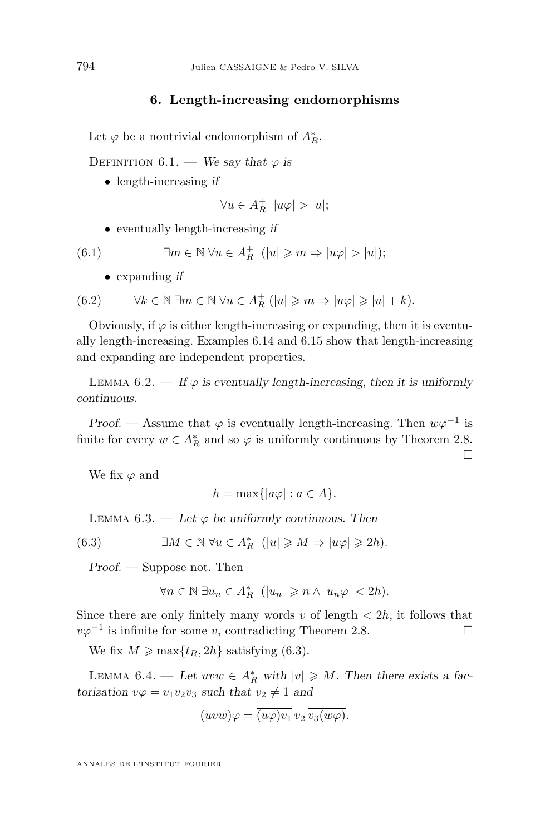#### **6. Length-increasing endomorphisms**

<span id="page-26-0"></span>Let  $\varphi$  be a nontrivial endomorphism of  $A_R^*$ .

DEFINITION  $6.1.$  — *We say that*  $\varphi$  *is* 

• length-increasing *if*

$$
\forall u \in A_R^+ \ \ |u\varphi| > |u|;
$$

• eventually length-increasing *if*

(6.1) 
$$
\exists m \in \mathbb{N} \; \forall u \in A_R^+ \; (|u| \geq m \Rightarrow |u\varphi| > |u|);
$$

• expanding *if*

(6.2) 
$$
\forall k \in \mathbb{N} \; \exists m \in \mathbb{N} \; \forall u \in A_R^+ \; (|u| \geqslant m \Rightarrow |u\varphi| \geqslant |u| + k).
$$

Obviously, if  $\varphi$  is either length-increasing or expanding, then it is eventually length-increasing. Examples [6.14](#page-34-0) and [6.15](#page-34-0) show that length-increasing and expanding are independent properties.

LEMMA  $6.2.$  — If  $\varphi$  is eventually length-increasing, then it is uniformly *continuous.*

*Proof.* — Assume that  $\varphi$  is eventually length-increasing. Then  $w\varphi^{-1}$  is finite for every  $w \in A_R^*$  and so  $\varphi$  is uniformly continuous by Theorem [2.8.](#page-8-0)

 $\Box$ 

We fix  $\varphi$  and

$$
h = \max\{|a\varphi| : a \in A\}.
$$

LEMMA  $6.3.$  — Let  $\varphi$  be uniformly continuous. Then

(6.3) 
$$
\exists M \in \mathbb{N} \,\forall u \in A_R^* \,\ (|u| \geqslant M \Rightarrow |u\varphi| \geqslant 2h).
$$

*Proof. —* Suppose not. Then

$$
\forall n \in \mathbb{N} \ \exists u_n \in A_R^* \ \ (|u_n| \geqslant n \land |u_n\varphi| < 2h).
$$

Since there are only finitely many words  $v$  of length  $\langle 2h, h \rangle$  it follows that  $v\varphi^{-1}$  is infinite for some v, contradicting Theorem [2.8.](#page-8-0)

We fix  $M \ge \max\{t_R, 2h\}$  satisfying (6.3).

LEMMA 6.4. — Let  $uvw \in A_R^*$  with  $|v| \geq M$ . Then there exists a fac*torization*  $v\varphi = v_1v_2v_3$  *such that*  $v_2 \neq 1$  *and* 

$$
(uvw)\varphi = \overline{(u\varphi)v_1} \overline{v_2} \overline{v_3(w\varphi)}.
$$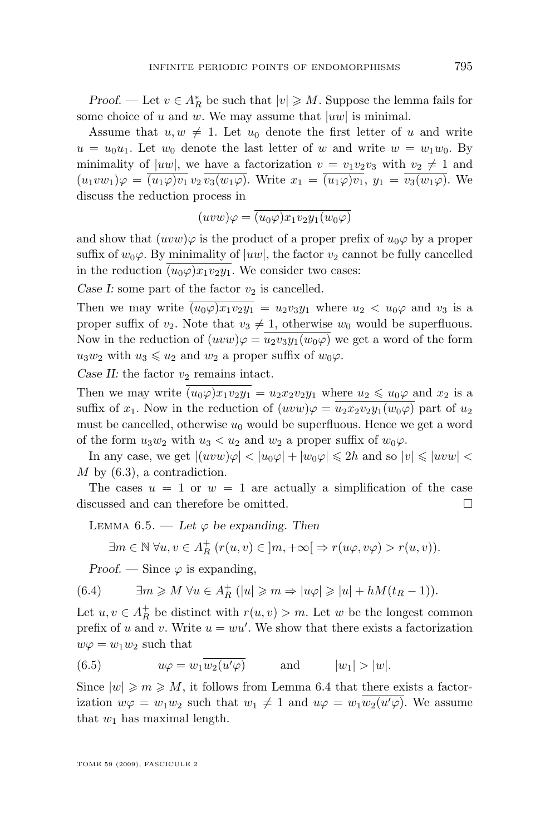<span id="page-27-0"></span>*Proof.* — Let  $v \in A_R^*$  be such that  $|v| \geq M$ . Suppose the lemma fails for some choice of u and w. We may assume that  $|uw|$  is minimal.

Assume that  $u, w \neq 1$ . Let  $u_0$  denote the first letter of u and write  $u = u_0u_1$ . Let  $w_0$  denote the last letter of w and write  $w = w_1w_0$ . By minimality of  $|uw|$ , we have a factorization  $v = v_1v_2v_3$  with  $v_2 \neq 1$  and  $(u_1vw_1)\varphi = \overline{(u_1\varphi)v_1}v_2\overline{v_3(w_1\varphi)}$ . Write  $x_1 = \overline{(u_1\varphi)v_1}$ ,  $y_1 = \overline{v_3(w_1\varphi)}$ . We discuss the reduction process in

$$
(uvw)\varphi = (u_0\varphi)x_1v_2y_1(w_0\varphi)
$$

and show that  $(uvw)\varphi$  is the product of a proper prefix of  $u_0\varphi$  by a proper suffix of  $w_0\varphi$ . By minimality of  $|uw|$ , the factor  $v_2$  cannot be fully cancelled in the reduction  $(u_0\varphi)x_1v_2y_1$ . We consider two cases:

*Case I:* some part of the factor  $v_2$  is cancelled.

Then we may write  $(u_0\varphi)x_1v_2y_1 = u_2v_3y_1$  where  $u_2 < u_0\varphi$  and  $v_3$  is a proper suffix of  $v_2$ . Note that  $v_3 \neq 1$ , otherwise  $w_0$  would be superfluous. Now in the reduction of  $(uvw)\varphi = u_2v_3y_1(w_0\varphi)$  we get a word of the form  $u_3w_2$  with  $u_3 \leq u_2$  and  $w_2$  a proper suffix of  $w_0\varphi$ .

*Case II:* the factor  $v_2$  remains intact.

Then we may write  $(u_0\varphi)x_1v_2y_1 = u_2x_2v_2y_1$  where  $u_2 \leq u_0\varphi$  and  $x_2$  is a suffix of  $x_1$ . Now in the reduction of  $(uvw)\varphi = u_2x_2v_2y_1(w_0\varphi)$  part of  $u_2$ must be cancelled, otherwise  $u_0$  would be superfluous. Hence we get a word of the form  $u_3w_2$  with  $u_3 < u_2$  and  $w_2$  a proper suffix of  $w_0\varphi$ .

In any case, we get  $|(uvw)\varphi| < |u_0\varphi| + |w_0\varphi| \leq 2h$  and so  $|v| \leq |uvw|$  $M$  by  $(6.3)$ , a contradiction.

The cases  $u = 1$  or  $w = 1$  are actually a simplification of the case discussed and can therefore be omitted.

LEMMA  $6.5.$  — Let  $\varphi$  be expanding. Then

$$
\exists m \in \mathbb{N} \; \forall u, v \in A_R^+ \; (r(u, v) \in \, ]m, +\infty[ \Rightarrow r(u\varphi, v\varphi) > r(u, v)).
$$

*Proof.* — Since  $\varphi$  is expanding,

(6.4) 
$$
\exists m \geq M \ \forall u \in A_R^+ \ (|u| \geq m \Rightarrow |u\varphi| \geq |u| + hM(t_R - 1)).
$$

Let  $u, v \in A_R^+$  be distinct with  $r(u, v) > m$ . Let w be the longest common prefix of u and v. Write  $u = w u'$ . We show that there exists a factorization  $w\varphi = w_1w_2$  such that

(6.5) 
$$
u\varphi = w_1 \overline{w_2(u'\varphi)} \quad \text{and} \quad |w_1| > |w|.
$$

Since  $|w| \geqslant m \geqslant M$ , it follows from Lemma [6.4](#page-26-0) that there exists a factorization  $w\varphi = w_1w_2$  such that  $w_1 \neq 1$  and  $u\varphi = w_1w_2(u'\varphi)$ . We assume that  $w_1$  has maximal length.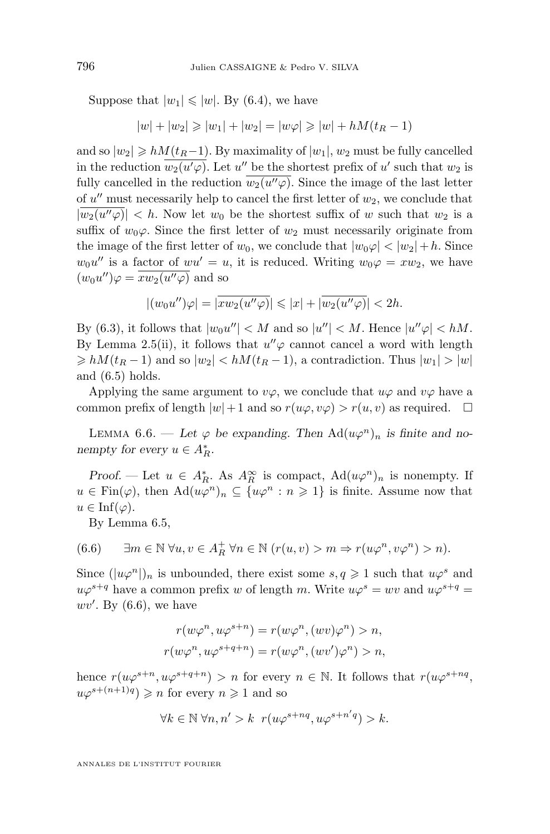<span id="page-28-0"></span>Suppose that  $|w_1| \leq |w|$ . By [\(6.4\)](#page-27-0), we have

$$
|w| + |w_2| \geq |w_1| + |w_2| = |w\varphi| \geq |w| + hM(t_R - 1)
$$

and so  $|w_2| \ge hM(t_R-1)$ . By maximality of  $|w_1|, w_2$  must be fully cancelled in the reduction  $\overline{w_2(u' \varphi)}$ . Let u'' be the shortest prefix of u' such that  $w_2$  is fully cancelled in the reduction  $w_2(u''\varphi)$ . Since the image of the last letter of  $u''$  must necessarily help to cancel the first letter of  $w_2$ , we conclude that  $|w_2(u''\varphi)| < h$ . Now let  $w_0$  be the shortest suffix of w such that  $w_2$  is a suffix of  $w_0\varphi$ . Since the first letter of  $w_2$  must necessarily originate from the image of the first letter of  $w_0$ , we conclude that  $|w_0\varphi| < |w_2| + h$ . Since  $w_0u''$  is a factor of  $wu'=u$ , it is reduced. Writing  $w_0\varphi = xw_2$ , we have  $(w_0u'')\varphi = \overline{xw_2(u''\varphi)}$  and so

$$
|(w_0u'')\varphi| = |\overline{xw_2(u''\varphi)}| \leq |x| + |\overline{w_2(u''\varphi)}| < 2h.
$$

By [\(6.3\)](#page-26-0), it follows that  $|w_0u''| < M$  and so  $|u''| < M$ . Hence  $|u''\varphi| < hM$ . By Lemma [2.5\(](#page-6-0)ii), it follows that  $u''\varphi$  cannot cancel a word with length  $\geq h(t_R-1)$  and so  $|w_2| < hM(t_R-1)$ , a contradiction. Thus  $|w_1| > |w|$ and  $(6.5)$  holds.

Applying the same argument to  $v\varphi$ , we conclude that  $u\varphi$  and  $v\varphi$  have a common prefix of length  $|w|+1$  and so  $r(u\varphi, v\varphi) > r(u, v)$  as required.  $\Box$ 

LEMMA 6.6. — Let  $\varphi$  be expanding. Then  $\text{Ad}(u\varphi^n)_n$  is finite and no*nempty for every*  $u \in A_R^*$ .

*Proof.* — Let  $u \in A_R^*$ . As  $A_R^{\infty}$  is compact,  $\text{Ad}(u\varphi^n)_n$  is nonempty. If  $u \in \text{Fin}(\varphi)$ , then  $\text{Ad}(u\varphi^n)_n \subseteq \{u\varphi^n : n \geq 1\}$  is finite. Assume now that  $u \in \text{Inf}(\varphi).$ 

By Lemma [6.5,](#page-27-0)

(6.6) 
$$
\exists m \in \mathbb{N} \ \forall u, v \in A_R^+ \ \forall n \in \mathbb{N} \ (r(u, v) > m \Rightarrow r(u\varphi^n, v\varphi^n) > n).
$$

Since  $(|u\varphi^n|)_n$  is unbounded, there exist some  $s, q \geq 1$  such that  $u\varphi^s$  and  $u\varphi^{s+q}$  have a common prefix w of length m. Write  $u\varphi^s = wv$  and  $u\varphi^{s+q} =$  $wv'$ . By  $(6.6)$ , we have

$$
r(w\varphi^n, u\varphi^{s+n}) = r(w\varphi^n, (wv)\varphi^n) > n,
$$
  

$$
r(w\varphi^n, u\varphi^{s+q+n}) = r(w\varphi^n, (wv')\varphi^n) > n,
$$

hence  $r(u\varphi^{s+n}, u\varphi^{s+q+n}) > n$  for every  $n \in \mathbb{N}$ . It follows that  $r(u\varphi^{s+nq}, u\varphi^{s+q+n})$  $u\varphi^{s+(n+1)q} \geqslant n$  for every  $n \geqslant 1$  and so

$$
\forall k \in \mathbb{N} \; \forall n,n'>k \; \; r(u\varphi^{s+nq},u\varphi^{s+n'q}) > k.
$$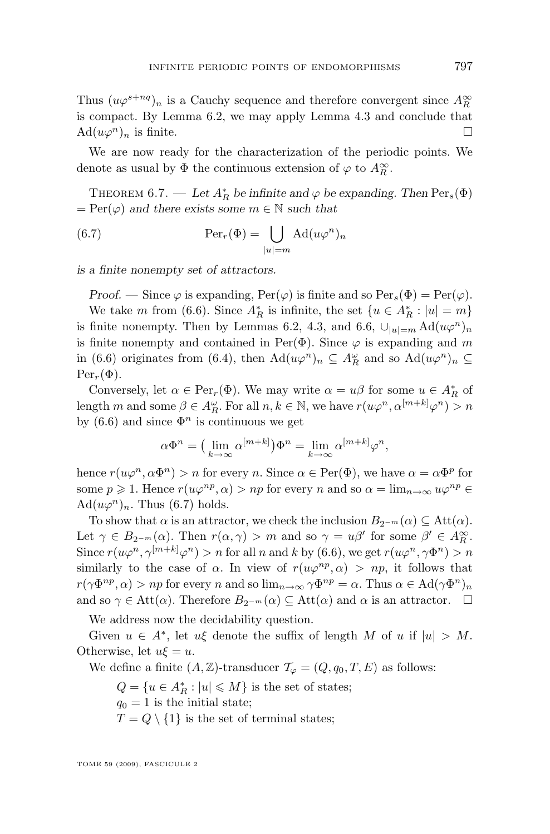<span id="page-29-0"></span>Thus  $(u\varphi^{s+nq})_n$  is a Cauchy sequence and therefore convergent since  $A_R^{\infty}$ is compact. By Lemma [6.2,](#page-26-0) we may apply Lemma [4.3](#page-12-0) and conclude that  $\mathrm{Ad}(u\varphi^n)_n$  is finite.

We are now ready for the characterization of the periodic points. We denote as usual by  $\Phi$  the continuous extension of  $\varphi$  to  $A_R^{\infty}$ .

THEOREM 6.7. — Let  $A_R^*$  be infinite and  $\varphi$  be expanding. Then  $\text{Per}_s(\Phi)$  $= \text{Per}(\varphi)$  *and there exists some*  $m \in \mathbb{N}$  *such that* 

(6.7) 
$$
\operatorname{Per}_r(\Phi) = \bigcup_{|u|=m} \operatorname{Ad}(u\varphi^n)_n
$$

*is a finite nonempty set of attractors.*

*Proof.* — Since  $\varphi$  is expanding,  $\text{Per}(\varphi)$  is finite and so  $\text{Per}_s(\Phi) = \text{Per}(\varphi)$ . We take m from [\(6.6\)](#page-28-0). Since  $A_R^*$  is infinite, the set  $\{u \in A_R^* : |u| = m\}$ is finite nonempty. Then by Lemmas [6.2,](#page-26-0) [4.3,](#page-12-0) and [6.6,](#page-28-0)  $\bigcup_{|u|=m} \text{Ad}(u\varphi^n)_n$ is finite nonempty and contained in Per( $\Phi$ ). Since  $\varphi$  is expanding and m in [\(6.6\)](#page-28-0) originates from [\(6.4\)](#page-27-0), then  $\text{Ad}(u\varphi^n)_n \subseteq A_R^{\omega}$  and so  $\text{Ad}(u\varphi^n)_n \subseteq$  $\text{Per}_r(\Phi)$ .

Conversely, let  $\alpha \in \text{Per}_r(\Phi)$ . We may write  $\alpha = u\beta$  for some  $u \in A_R^*$  of length m and some  $\beta \in A_R^{\omega}$ . For all  $n, k \in \mathbb{N}$ , we have  $r(u\varphi^n, \alpha^{[m+k]}\varphi^n) > n$ by [\(6.6\)](#page-28-0) and since  $\Phi^n$  is continuous we get

$$
\alpha \Phi^n = \left(\lim_{k \to \infty} \alpha^{[m+k]}\right) \Phi^n = \lim_{k \to \infty} \alpha^{[m+k]} \varphi^n,
$$

hence  $r(u\varphi^n, \alpha \Phi^n) > n$  for every n. Since  $\alpha \in \text{Per}(\Phi)$ , we have  $\alpha = \alpha \Phi^p$  for some  $p \geq 1$ . Hence  $r(u\varphi^{np}, \alpha) > np$  for every n and so  $\alpha = \lim_{n \to \infty} u\varphi^{np} \in$  $\text{Ad}(u\varphi^n)_n$ . Thus (6.7) holds.

To show that  $\alpha$  is an attractor, we check the inclusion  $B_{2^{-m}}(\alpha) \subseteq \text{Att}(\alpha)$ . Let  $\gamma \in B_{2^{-m}}(\alpha)$ . Then  $r(\alpha, \gamma) > m$  and so  $\gamma = u\beta'$  for some  $\beta' \in A_R^{\infty}$ . Since  $r(u\varphi^n, \gamma^{[m+k]}\varphi^n) > n$  for all n and k by [\(6.6\)](#page-28-0), we get  $r(u\varphi^n, \gamma\Phi^n) > n$ similarly to the case of  $\alpha$ . In view of  $r(u\varphi^{np}, \alpha) > np$ , it follows that  $r(\gamma \Phi^{np}, \alpha) > np$  for every n and so  $\lim_{n \to \infty} \gamma \Phi^{np} = \alpha$ . Thus  $\alpha \in \text{Ad}(\gamma \Phi^n)_n$ and so  $\gamma \in \text{Att}(\alpha)$ . Therefore  $B_{2^{-m}}(\alpha) \subseteq \text{Att}(\alpha)$  and  $\alpha$  is an attractor.  $\square$ 

We address now the decidability question.

Given  $u \in A^*$ , let  $u\xi$  denote the suffix of length M of u if  $|u| > M$ . Otherwise, let  $u\xi = u$ .

We define a finite  $(A, \mathbb{Z})$ -transducer  $\mathcal{T}_{\varphi} = (Q, q_0, T, E)$  as follows:

 $Q = \{u \in A_R^* : |u| \leq M\}$  is the set of states;

 $q_0 = 1$  is the initial state;

 $T = Q \setminus \{1\}$  is the set of terminal states;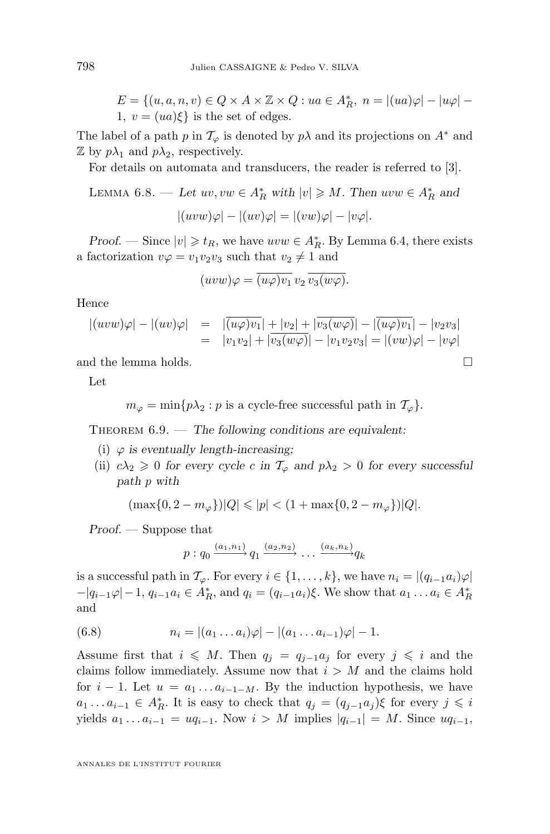$$
E = \{(u, a, n, v) \in Q \times A \times \mathbb{Z} \times Q : ua \in A_R^*, n = |(ua)\varphi| - |u\varphi| - 1, v = (ua)\xi\}
$$
 is the set of edges.

The label of a path p in  $\mathcal{T}_{\varphi}$  is denoted by p $\lambda$  and its projections on  $A^*$  and  $\mathbb Z$  by  $p\lambda_1$  and  $p\lambda_2$ , respectively.

For details on automata and transducers, the reader is referred to [\[3\]](#page-41-0).

LEMMA 6.8. — Let 
$$
uv, vw \in A_R^*
$$
 with  $|v| \ge M$ . Then  $uvw \in A_R^*$  and  

$$
|(uvw)\varphi| - |(uv)\varphi| = |(vw)\varphi| - |v\varphi|.
$$

*Proof.* — Since  $|v| \geq t_R$ , we have  $uvw \in A_R^*$ . By Lemma [6.4,](#page-26-0) there exists a factorization  $v\varphi = v_1v_2v_3$  such that  $v_2 \neq 1$  and

$$
(uvw)\varphi = \overline{(u\varphi)v_1} \, v_2 \, \overline{v_3(w\varphi)}.
$$

Hence

$$
\begin{array}{rcl}\n| (uvw)\varphi| - |(uv)\varphi| & = & |\overline{(u\varphi)v_1}| + |v_2| + |\overline{v_3(w\varphi)}| - |\overline{(u\varphi)v_1}| - |v_2v_3| \\
& = & |v_1v_2| + |\overline{v_3(w\varphi)}| - |v_1v_2v_3| = |(vw)\varphi| - |v\varphi|\n\end{array}
$$

and the lemma holds.  $\hfill \square$ 

Let

$$
m_{\varphi} = \min\{p\lambda_2 : p \text{ is a cycle-free successful path in } \mathcal{T}_{\varphi}\}.
$$

Theorem 6.9. — *The following conditions are equivalent:*

- (i)  $\varphi$  *is eventually length-increasing*;
- (ii)  $c\lambda_2 \geq 0$  *for every cycle c in*  $\mathcal{T}_{\varphi}$  *and*  $p\lambda_2 > 0$  *for every successful path* p *with*

$$
(\max\{0, 2 - m_{\varphi}\})|Q| \leqslant |p| < (1 + \max\{0, 2 - m_{\varphi}\})|Q|.
$$

*Proof. —* Suppose that

$$
p: q_0 \xrightarrow{(a_1,n_1)} q_1 \xrightarrow{(a_2,n_2)} \dots \xrightarrow{(a_k,n_k)} q_k
$$

is a successful path in  $\mathcal{T}_{\varphi}$ . For every  $i \in \{1, \ldots, k\}$ , we have  $n_i = |(q_{i-1}a_i)\varphi|$  $-|q_{i-1}\varphi| - 1$ ,  $q_{i-1}a_i \in A_R^*$ , and  $q_i = (q_{i-1}a_i)\xi$ . We show that  $a_1 \dots a_i \in A_R^*$ and

(6.8) 
$$
n_i = |(a_1 \dots a_i)\varphi| - |(a_1 \dots a_{i-1})\varphi| - 1.
$$

Assume first that  $i \leq M$ . Then  $q_i = q_{i-1}a_i$  for every  $j \leq i$  and the claims follow immediately. Assume now that  $i > M$  and the claims hold for  $i-1$ . Let  $u = a_1 \ldots a_{i-1-M}$ . By the induction hypothesis, we have  $a_1 \dots a_{i-1} \in A_R^*$ . It is easy to check that  $q_j = (q_{j-1}a_j)\xi$  for every  $j \leq i$ yields  $a_1 \, ... \, a_{i-1} = uq_{i-1}$ . Now  $i > M$  implies  $|q_{i-1}| = M$ . Since  $uq_{i-1}$ ,

<span id="page-30-0"></span>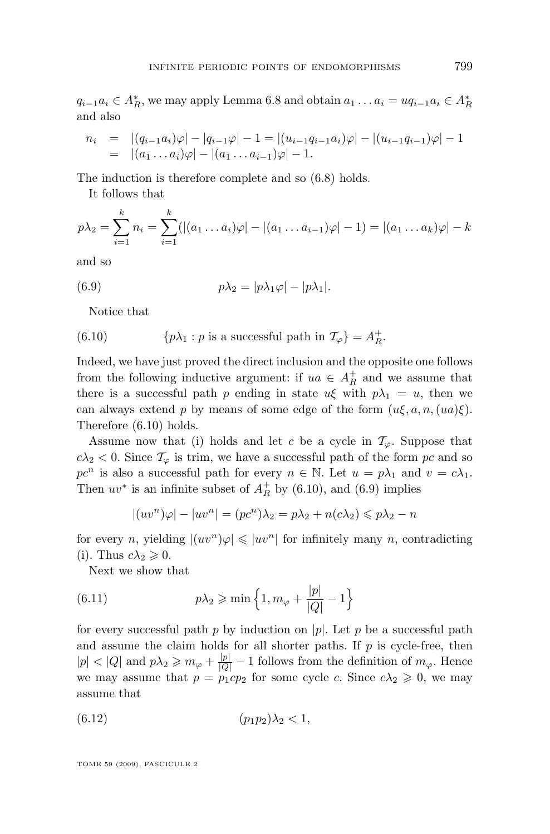<span id="page-31-0"></span> $q_{i-1}a_i \in A_R^*$ , we may apply Lemma [6.8](#page-30-0) and obtain  $a_1 \dots a_i = uq_{i-1}a_i \in A_R^*$ and also

$$
n_i = |(q_{i-1}a_i)\varphi| - |q_{i-1}\varphi| - 1 = |(u_{i-1}q_{i-1}a_i)\varphi| - |(u_{i-1}q_{i-1})\varphi| - 1
$$
  
=  $|(a_1 \dots a_i)\varphi| - |(a_1 \dots a_{i-1})\varphi| - 1.$ 

The induction is therefore complete and so [\(6.8\)](#page-30-0) holds.

It follows that

$$
p\lambda_2 = \sum_{i=1}^k n_i = \sum_{i=1}^k (|(a_1 \dots a_i)\varphi| - |(a_1 \dots a_{i-1})\varphi| - 1) = |(a_1 \dots a_k)\varphi| - k
$$

and so

(6.9) 
$$
p\lambda_2 = |p\lambda_1\varphi| - |p\lambda_1|.
$$

Notice that

(6.10) 
$$
\{p\lambda_1 : p \text{ is a successful path in } \mathcal{T}_{\varphi}\} = A_R^+.
$$

Indeed, we have just proved the direct inclusion and the opposite one follows from the following inductive argument: if  $ua \in A_R^+$  and we assume that there is a successful path p ending in state  $u\xi$  with  $p\lambda_1 = u$ , then we can always extend p by means of some edge of the form  $(u\xi, a, n, (ua)\xi)$ . Therefore (6.10) holds.

Assume now that (i) holds and let c be a cycle in  $\mathcal{T}_{\varphi}$ . Suppose that  $c\lambda_2 < 0$ . Since  $\mathcal{T}_{\varphi}$  is trim, we have a successful path of the form pc and so  $pc^n$  is also a successful path for every  $n \in \mathbb{N}$ . Let  $u = p\lambda_1$  and  $v = c\lambda_1$ . Then  $uv^*$  is an infinite subset of  $A_R^+$  by (6.10), and (6.9) implies

$$
|(uv^n)\varphi| - |uv^n| = (pc^n)\lambda_2 = p\lambda_2 + n(c\lambda_2) \le p\lambda_2 - n
$$

for every n, yielding  $|(uv^n)\varphi| \leq |uv^n|$  for infinitely many n, contradicting (i). Thus  $c\lambda_2 \geqslant 0$ .

Next we show that

(6.11) 
$$
p\lambda_2 \geqslant \min\left\{1, m_{\varphi} + \frac{|p|}{|Q|} - 1\right\}
$$

for every successful path p by induction on |p|. Let p be a successful path and assume the claim holds for all shorter paths. If  $p$  is cycle-free, then  $|p| < |Q|$  and  $p\lambda_2 \geq m_\varphi + \frac{|p|}{|Q|} - 1$  follows from the definition of  $m_\varphi$ . Hence we may assume that  $p = p_1cp_2$  for some cycle c. Since  $c\lambda_2 \geq 0$ , we may assume that

(6.12) (p1p2)λ<sup>2</sup> < 1,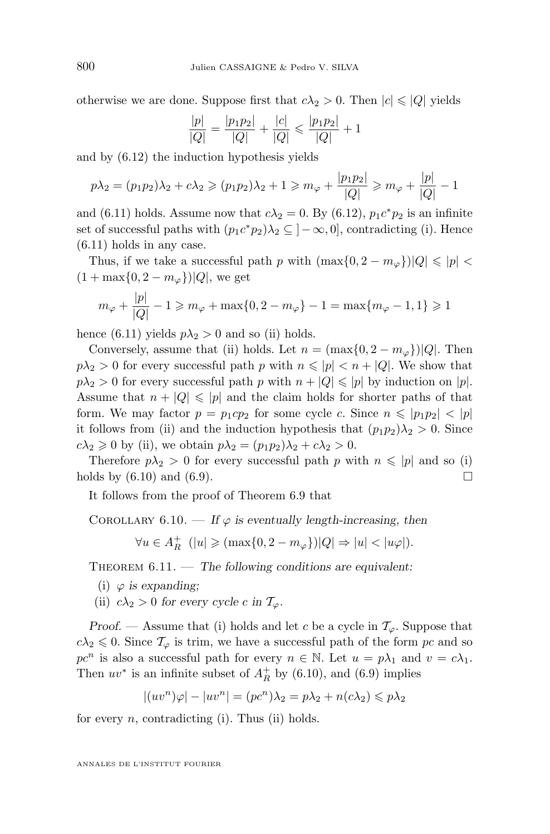<span id="page-32-0"></span>otherwise we are done. Suppose first that  $c\lambda_2 > 0$ . Then  $|c| \leq |Q|$  yields

$$
\frac{|p|}{|Q|} = \frac{|p_1p_2|}{|Q|} + \frac{|c|}{|Q|} \leqslant \frac{|p_1p_2|}{|Q|} + 1
$$

and by [\(6.12\)](#page-31-0) the induction hypothesis yields

$$
p\lambda_2 = (p_1p_2)\lambda_2 + c\lambda_2 \ge (p_1p_2)\lambda_2 + 1 \ge m_\varphi + \frac{|p_1p_2|}{|Q|} \ge m_\varphi + \frac{|p|}{|Q|} - 1
$$

and [\(6.11\)](#page-31-0) holds. Assume now that  $c\lambda_2 = 0$ . By [\(6.12\)](#page-31-0),  $p_1 c^* p_2$  is an infinite set of successful paths with  $(p_1 c^* p_2) \lambda_2 \subseteq ]-\infty,0]$ , contradicting (i). Hence [\(6.11\)](#page-31-0) holds in any case.

Thus, if we take a successful path p with  $(\max\{0, 2 - m_{\varphi}\})|Q| \leq |p|$  $(1 + \max\{0, 2 - m_{\varphi}\})|Q|$ , we get

$$
m_{\varphi} + \frac{|p|}{|Q|} - 1 \ge m_{\varphi} + \max\{0, 2 - m_{\varphi}\} - 1 = \max\{m_{\varphi} - 1, 1\} \ge 1
$$

hence [\(6.11\)](#page-31-0) yields  $p\lambda_2 > 0$  and so (ii) holds.

Conversely, assume that (ii) holds. Let  $n = (\max\{0, 2 - m_{\varphi}\})|Q|$ . Then  $p\lambda_2 > 0$  for every successful path p with  $n \leqslant |p| < n + |Q|$ . We show that  $p\lambda_2 > 0$  for every successful path p with  $n + |Q| \leqslant |p|$  by induction on  $|p|$ . Assume that  $n + |Q| \leqslant |p|$  and the claim holds for shorter paths of that form. We may factor  $p = p_1cp_2$  for some cycle c. Since  $n \leq |p_1p_2| < |p|$ it follows from (ii) and the induction hypothesis that  $(p_1p_2)\lambda_2 > 0$ . Since  $c\lambda_2 \geqslant 0$  by (ii), we obtain  $p\lambda_2 = (p_1p_2)\lambda_2 + c\lambda_2 > 0$ .

Therefore  $p\lambda_2 > 0$  for every successful path p with  $n \leqslant |p|$  and so (i) holds by  $(6.10)$  and  $(6.9)$ .

It follows from the proof of Theorem [6.9](#page-30-0) that

COROLLARY  $6.10.$  — If  $\varphi$  is eventually length-increasing, then

$$
\forall u \in A_R^+ \ \ (|u| \geqslant (\max\{0, 2 - m_\varphi\})|Q| \Rightarrow |u| < |u\varphi|).
$$

Theorem 6.11. — *The following conditions are equivalent:*

- (i)  $\varphi$  *is expanding*;
- (ii)  $c\lambda_2 > 0$  for every cycle c in  $\mathcal{T}_{\varphi}$ .

*Proof.* — Assume that (i) holds and let c be a cycle in  $\mathcal{T}_{\varphi}$ . Suppose that  $c\lambda_2 \leq 0$ . Since  $\mathcal{T}_{\varphi}$  is trim, we have a successful path of the form pc and so  $pc<sup>n</sup>$  is also a successful path for every  $n \in \mathbb{N}$ . Let  $u = p\lambda_1$  and  $v = c\lambda_1$ . Then  $uv^*$  is an infinite subset of  $A_R^+$  by [\(6.10\)](#page-31-0), and [\(6.9\)](#page-31-0) implies

$$
|(uv^n)\varphi| - |uv^n| = (pc^n)\lambda_2 = p\lambda_2 + n(c\lambda_2) \leq p\lambda_2
$$

for every  $n$ , contradicting (i). Thus (ii) holds.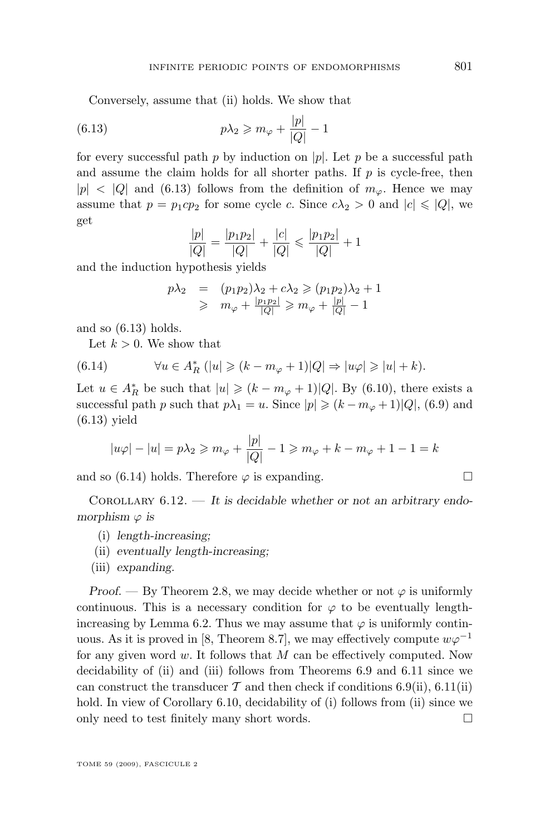<span id="page-33-0"></span>Conversely, assume that (ii) holds. We show that

(6.13) 
$$
p\lambda_2 \geqslant m_\varphi + \frac{|p|}{|Q|} - 1
$$

for every successful path p by induction on  $|p|$ . Let p be a successful path and assume the claim holds for all shorter paths. If  $p$  is cycle-free, then  $|p| < |Q|$  and (6.13) follows from the definition of  $m_{\varphi}$ . Hence we may assume that  $p = p_1cp_2$  for some cycle c. Since  $c\lambda_2 > 0$  and  $|c| \leq |Q|$ , we get

$$
\frac{|p|}{|Q|} = \frac{|p_1 p_2|}{|Q|} + \frac{|c|}{|Q|} \leq \frac{|p_1 p_2|}{|Q|} + 1
$$

and the induction hypothesis yields

$$
p\lambda_2 = (p_1p_2)\lambda_2 + c\lambda_2 \ge (p_1p_2)\lambda_2 + 1
$$
  
 
$$
\ge m_\varphi + \frac{|p_1p_2|}{|Q|} \ge m_\varphi + \frac{|p|}{|Q|} - 1
$$

and so (6.13) holds.

Let  $k > 0$ . We show that

(6.14) 
$$
\forall u \in A_R^* \ (|u| \geq (k - m_\varphi + 1)|Q| \Rightarrow |u\varphi| \geq |u| + k).
$$

Let  $u \in A_R^*$  be such that  $|u| \geq (k - m_\varphi + 1)|Q|$ . By [\(6.10\)](#page-31-0), there exists a successful path p such that  $p\lambda_1 = u$ . Since  $|p| \geq (k - m_{\varphi} + 1)|Q|$ , [\(6.9\)](#page-31-0) and (6.13) yield

$$
|u\varphi| - |u| = p\lambda_2 \ge m_{\varphi} + \frac{|p|}{|Q|} - 1 \ge m_{\varphi} + k - m_{\varphi} + 1 - 1 = k
$$

and so (6.14) holds. Therefore  $\varphi$  is expanding.

Corollary 6.12. — *It is decidable whether or not an arbitrary endomorphism*  $\varphi$  *is* 

- (i) *length-increasing;*
- (ii) *eventually length-increasing;*
- (iii) *expanding.*

*Proof.* — By Theorem [2.8,](#page-8-0) we may decide whether or not  $\varphi$  is uniformly continuous. This is a necessary condition for  $\varphi$  to be eventually length-increasing by Lemma [6.2.](#page-26-0) Thus we may assume that  $\varphi$  is uniformly contin-uous. As it is proved in [\[8,](#page-41-0) Theorem 8.7], we may effectively compute  $w\varphi^{-1}$ for any given word  $w$ . It follows that  $M$  can be effectively computed. Now decidability of (ii) and (iii) follows from Theorems [6.9](#page-30-0) and [6.11](#page-32-0) since we can construct the transducer  $\mathcal T$  and then check if conditions [6.9\(](#page-30-0)ii), [6.11\(](#page-32-0)ii) hold. In view of Corollary [6.10,](#page-32-0) decidability of (i) follows from (ii) since we only need to test finitely many short words.  $\Box$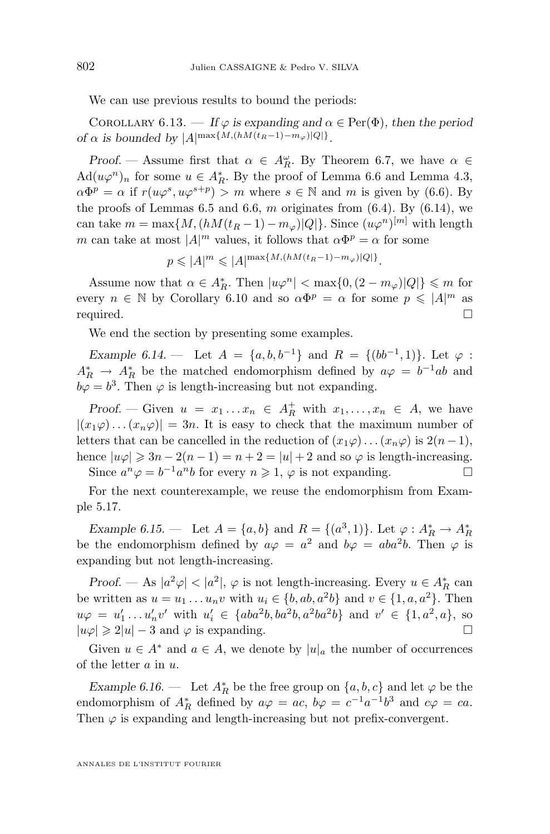<span id="page-34-0"></span>We can use previous results to bound the periods:

COROLLARY 6.13. — If  $\varphi$  is expanding and  $\alpha \in \text{Per}(\Phi)$ , then the period *of*  $\alpha$  *is bounded by*  $|A|^{\max\{M,(hM(t_R-1)-m_\varphi)|Q|\}}$ .

*Proof.* — Assume first that  $\alpha \in A_R^{\omega}$ . By Theorem [6.7,](#page-29-0) we have  $\alpha \in$  $\text{Ad}(u\varphi^n)_n$  for some  $u \in A_R^*$ . By the proof of Lemma [6.6](#page-28-0) and Lemma [4.3,](#page-12-0)  $\alpha \Phi^p = \alpha$  if  $r(u\varphi^s, u\varphi^{s+p}) > m$  where  $s \in \mathbb{N}$  and m is given by [\(6.6\)](#page-28-0). By the proofs of Lemmas [6.5](#page-27-0) and [6.6,](#page-28-0) m originates from  $(6.4)$ . By  $(6.14)$ , we can take  $m = \max\{M, (hM(t_R - 1) - m_\varphi)|Q|\}$ . Since  $(u\varphi^n)^{[m]}$  with length m can take at most  $|A|^m$  values, it follows that  $\alpha \Phi^p = \alpha$  for some

$$
p \leqslant |A|^m \leqslant |A|^{\max\{M,(hM(t_R-1)-m_\varphi)|Q|\}}.
$$

Assume now that  $\alpha \in A_R^*$ . Then  $|u\varphi^n| < \max\{0, (2 - m_\varphi)|Q|\} \leq m$  for every  $n \in \mathbb{N}$  by Corollary [6.10](#page-32-0) and so  $\alpha \Phi^p = \alpha$  for some  $p \leqslant |A|^m$  as required.  $\hfill \square$ 

We end the section by presenting some examples.

*Example 6.14.* — Let  $A = \{a, b, b^{-1}\}\$ and  $R = \{(bb^{-1}, 1)\}\$ . Let  $\varphi$ :  $A_R^* \rightarrow A_R^*$  be the matched endomorphism defined by  $a\varphi = b^{-1}ab$  and  $b\varphi = b^3$ . Then  $\varphi$  is length-increasing but not expanding.

*Proof.* — Given  $u = x_1 \dots x_n \in A_R^+$  with  $x_1, \dots, x_n \in A$ , we have  $|(x_1\varphi)\dots(x_n\varphi)|=3n$ . It is easy to check that the maximum number of letters that can be cancelled in the reduction of  $(x_1\varphi) \dots (x_n\varphi)$  is  $2(n-1)$ , hence  $|u\varphi| \geq 3n - 2(n-1) = n+2 = |u|+2$  and so  $\varphi$  is length-increasing. Since  $a^n \varphi = b^{-1} a^n b$  for every  $n \ge 1$ ,  $\varphi$  is not expanding.

For the next counterexample, we reuse the endomorphism from Example [5.17.](#page-24-0)

*Example 6.15.* — Let  $A = \{a, b\}$  and  $R = \{(a^3, 1)\}\$ . Let  $\varphi : A_R^* \to A_R^*$ be the endomorphism defined by  $a\varphi = a^2$  and  $b\varphi = aba^2b$ . Then  $\varphi$  is expanding but not length-increasing.

*Proof.* — As  $|a^2\varphi| < |a^2|$ ,  $\varphi$  is not length-increasing. Every  $u \in A_R^*$  can be written as  $u = u_1 \dots u_n v$  with  $u_i \in \{b, ab, a^2b\}$  and  $v \in \{1, a, a^2\}$ . Then  $u\varphi = u'_1 \dots u'_n v'$  with  $u'_i \in \{aba^2b, ba^2b, a^2ba^2b\}$  and  $v' \in \{1, a^2, a\}$ , so  $|u\varphi| \geq 2|u| - 3$  and  $\varphi$  is expanding.

Given  $u \in A^*$  and  $a \in A$ , we denote by  $|u|_a$  the number of occurrences of the letter a in u.

*Example 6.16.* — Let  $A_R^*$  be the free group on  $\{a, b, c\}$  and let  $\varphi$  be the endomorphism of  $A_R^*$  defined by  $a\varphi = ac$ ,  $b\varphi = c^{-1}a^{-1}b^3$  and  $c\varphi = ca$ . Then  $\varphi$  is expanding and length-increasing but not prefix-convergent.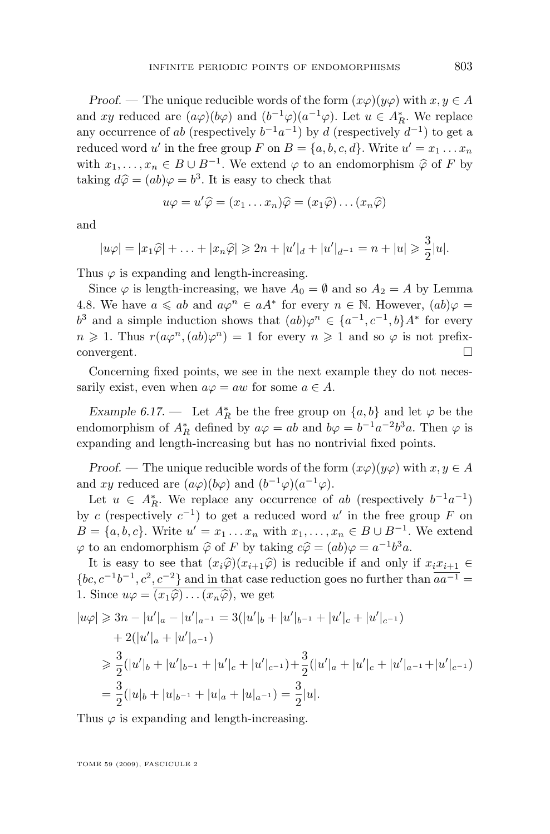*Proof.* — The unique reducible words of the form  $(x\varphi)(y\varphi)$  with  $x, y \in A$ and xy reduced are  $(a\varphi)(b\varphi)$  and  $(b^{-1}\varphi)(a^{-1}\varphi)$ . Let  $u \in A_R^*$ . We replace any occurrence of ab (respectively  $b^{-1}a^{-1}$ ) by d (respectively  $d^{-1}$ ) to get a reduced word u' in the free group F on  $B = \{a, b, c, d\}$ . Write  $u' = x_1 \dots x_n$ with  $x_1, \ldots, x_n \in B \cup B^{-1}$ . We extend  $\varphi$  to an endomorphism  $\widehat{\varphi}$  of F by taking  $d\widehat{\alpha} = (ab)c - b^3$ . It is easy to shock that taking  $d\hat{\varphi} = (ab)\varphi = b^3$ . It is easy to check that

$$
u\varphi = u'\widehat{\varphi} = (x_1 \dots x_n)\widehat{\varphi} = (x_1\widehat{\varphi}) \dots (x_n\widehat{\varphi})
$$

and

$$
|u\varphi| = |x_1\widehat{\varphi}| + \ldots + |x_n\widehat{\varphi}| \geq 2n + |u'|_d + |u'|_{d^{-1}} = n + |u| \geq \frac{3}{2}|u|.
$$

Thus  $\varphi$  is expanding and length-increasing.

Since  $\varphi$  is length-increasing, we have  $A_0 = \emptyset$  and so  $A_2 = A$  by Lemma [4.8.](#page-15-0) We have  $a \leq ab$  and  $a\varphi^n \in aA^*$  for every  $n \in \mathbb{N}$ . However,  $(ab)\varphi =$  $b^3$  and a simple induction shows that  $(ab)\varphi^n \in \{a^{-1}, c^{-1}, b\}A^*$  for every  $n \geq 1$ . Thus  $r(a\varphi^n,(ab)\varphi^n) = 1$  for every  $n \geq 1$  and so  $\varphi$  is not prefixconvergent.  $\Box$ 

Concerning fixed points, we see in the next example they do not necessarily exist, even when  $a\varphi = aw$  for some  $a \in A$ .

*Example 6.17.* — Let  $A_R^*$  be the free group on  $\{a, b\}$  and let  $\varphi$  be the endomorphism of  $A_R^*$  defined by  $a\varphi = ab$  and  $b\varphi = b^{-1}a^{-2}b^3a$ . Then  $\varphi$  is expanding and length-increasing but has no nontrivial fixed points.

*Proof.* — The unique reducible words of the form  $(x\varphi)(y\varphi)$  with  $x, y \in A$ and xy reduced are  $(a\varphi)(b\varphi)$  and  $(b^{-1}\varphi)(a^{-1}\varphi)$ .

Let  $u \in A_R^*$ . We replace any occurrence of ab (respectively  $b^{-1}a^{-1}$ ) by c (respectively  $c^{-1}$ ) to get a reduced word u' in the free group F on  $B = \{a, b, c\}$ . Write  $u' = x_1 \dots x_n$  with  $x_1, \dots, x_n \in B \cup B^{-1}$ . We extend  $\varphi$  to an endomorphism  $\widehat{\varphi}$  of F by taking  $c\widehat{\varphi} = (ab)\varphi = a^{-1}b^3a$ .<br>It is easy to see that  $(a,\widehat{\varphi})(a,-\widehat{\varphi})$  is not with  $\varphi$  and only

It is easy to see that  $(x_i\widehat{\varphi})(x_{i+1}\widehat{\varphi})$  is reducible if and only if  $x_ix_{i+1} \in$  ${bc, c<sup>-1</sup>b<sup>-1</sup>, c<sup>2</sup>, c<sup>-2</sup>}$  and in that case reduction goes no further than  $\overline{aa^{-1}}$  = 1. Since  $u\varphi = \overline{(x_1\widehat{\varphi})\dots(x_n\widehat{\varphi})}$ , we get

$$
|u\varphi| \geq 3n - |u'|_a - |u'|_{a^{-1}} = 3(|u'|_b + |u'|_{b^{-1}} + |u'|_c + |u'|_{c^{-1}})
$$
  
+ 2(|u'|\_a + |u'|\_{a^{-1}})  

$$
\geq \frac{3}{2}(|u'|_b + |u'|_{b^{-1}} + |u'|_c + |u'|_{c^{-1}}) + \frac{3}{2}(|u'|_a + |u'|_c + |u'|_{a^{-1}} + |u'|_{c^{-1}})
$$
  
= 
$$
\frac{3}{2}(|u|_b + |u|_{b^{-1}} + |u|_a + |u|_{a^{-1}}) = \frac{3}{2}|u|.
$$

Thus  $\varphi$  is expanding and length-increasing.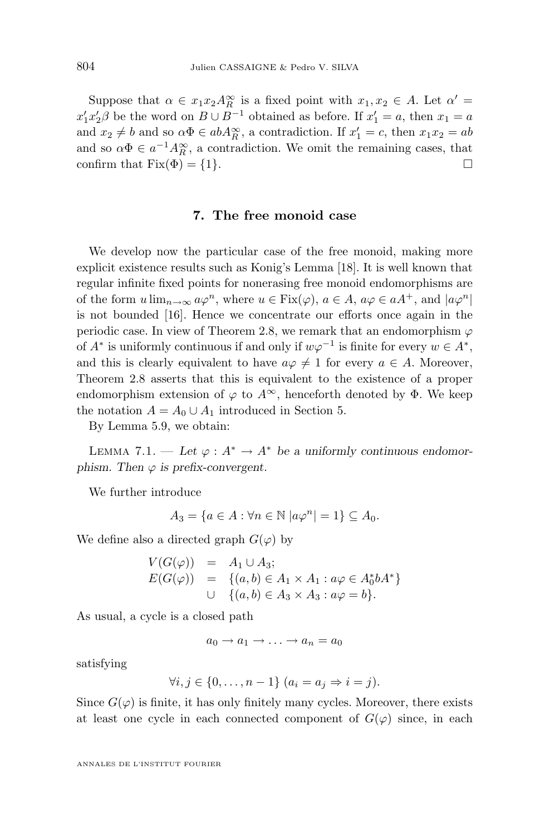<span id="page-36-0"></span>Suppose that  $\alpha \in x_1 x_2 A_R^{\infty}$  is a fixed point with  $x_1, x_2 \in A$ . Let  $\alpha' =$  $x'_1 x'_2 \beta$  be the word on  $B \cup B^{-1}$  obtained as before. If  $x'_1 = a$ , then  $x_1 = a$ and  $x_2 \neq b$  and so  $\alpha \Phi \in abA_R^{\infty}$ , a contradiction. If  $x_1' = c$ , then  $x_1x_2 = ab$ and so  $\alpha \Phi \in a^{-1} A_R^{\infty}$ , a contradiction. We omit the remaining cases, that confirm that  $Fix(\Phi) = \{1\}.$ 

#### **7. The free monoid case**

We develop now the particular case of the free monoid, making more explicit existence results such as Konig's Lemma [\[18\]](#page-42-0). It is well known that regular infinite fixed points for nonerasing free monoid endomorphisms are of the form  $u \lim_{n \to \infty} a\varphi^n$ , where  $u \in \text{Fix}(\varphi)$ ,  $a \in A$ ,  $a\varphi \in aA^+$ , and  $|a\varphi^n|$ is not bounded [\[16\]](#page-42-0). Hence we concentrate our efforts once again in the periodic case. In view of Theorem [2.8,](#page-8-0) we remark that an endomorphism  $\varphi$ of  $A^*$  is uniformly continuous if and only if  $w\varphi^{-1}$  is finite for every  $w \in A^*$ , and this is clearly equivalent to have  $a\varphi \neq 1$  for every  $a \in A$ . Moreover, Theorem [2.8](#page-8-0) asserts that this is equivalent to the existence of a proper endomorphism extension of  $\varphi$  to  $A^{\infty}$ , henceforth denoted by  $\Phi$ . We keep the notation  $A = A_0 \cup A_1$  introduced in Section [5.](#page-15-0)

By Lemma [5.9,](#page-20-0) we obtain:

LEMMA 7.1. — Let  $\varphi : A^* \to A^*$  be a uniformly continuous endomor*phism. Then*  $\varphi$  *is prefix-convergent.* 

We further introduce

$$
A_3 = \{ a \in A : \forall n \in \mathbb{N} \ |a\varphi^n| = 1 \} \subseteq A_0.
$$

We define also a directed graph  $G(\varphi)$  by

$$
V(G(\varphi)) = A_1 \cup A_3; \nE(G(\varphi)) = \{(a, b) \in A_1 \times A_1 : a\varphi \in A_0^* b A^* \} \n\cup \{(a, b) \in A_3 \times A_3 : a\varphi = b \}.
$$

As usual, a cycle is a closed path

$$
a_0 \to a_1 \to \ldots \to a_n = a_0
$$

satisfying

$$
\forall i, j \in \{0, \ldots, n-1\} \ (a_i = a_j \Rightarrow i = j).
$$

Since  $G(\varphi)$  is finite, it has only finitely many cycles. Moreover, there exists at least one cycle in each connected component of  $G(\varphi)$  since, in each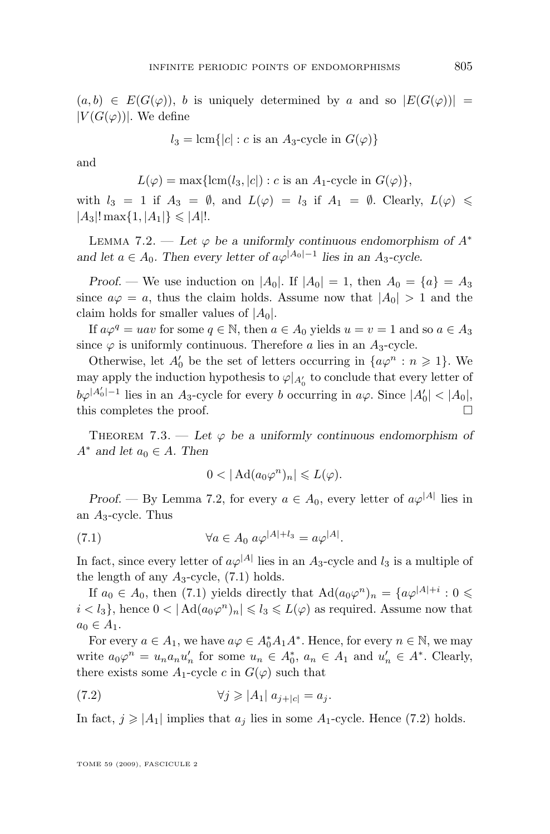<span id="page-37-0"></span> $(a, b) \in E(G(\varphi)), b$  is uniquely determined by a and so  $|E(G(\varphi))|$  =  $|V(G(\varphi))|$ . We define

$$
l_3 = \text{lcm}\{|c| : c \text{ is an } A_3\text{-cycle in } G(\varphi)\}\
$$

and

$$
L(\varphi) = \max\{\operatorname{lcm}(l_3, |c|) : c \text{ is an } A_1\text{-cycle in } G(\varphi)\},\
$$

with  $l_3 = 1$  if  $A_3 = \emptyset$ , and  $L(\varphi) = l_3$  if  $A_1 = \emptyset$ . Clearly,  $L(\varphi) \leq$  $|A_3|! \max\{1, |A_1|\} \leq |A|!$ .

LEMMA 7.2. — Let  $\varphi$  be a uniformly continuous endomorphism of  $A^*$ *and let*  $a \in A_0$ . Then every letter of  $a\varphi^{A_0|-1}$  lies in an  $A_3$ -cycle.

*Proof.* — We use induction on  $|A_0|$ . If  $|A_0| = 1$ , then  $A_0 = \{a\} = A_3$ since  $a\varphi = a$ , thus the claim holds. Assume now that  $|A_0| > 1$  and the claim holds for smaller values of  $|A_0|$ .

If  $a\varphi^q = uav$  for some  $q \in \mathbb{N}$ , then  $a \in A_0$  yields  $u = v = 1$  and so  $a \in A_3$ since  $\varphi$  is uniformly continuous. Therefore a lies in an  $A_3$ -cycle.

Otherwise, let  $A'_0$  be the set of letters occurring in  $\{a\varphi^n : n \geq 1\}$ . We may apply the induction hypothesis to  $\varphi|_{A_0'}$  to conclude that every letter of  $b\varphi^{|A'_0|-1}$  lies in an  $A_3$ -cycle for every b occurring in  $a\varphi$ . Since  $|A'_0| < |A_0|$ , this completes the proof.  $\Box$ 

THEOREM 7.3. — Let  $\varphi$  be a uniformly continuous endomorphism of  $A^*$  *and let*  $a_0 \in A$ *. Then* 

$$
0 < |\operatorname{Ad}(a_0 \varphi^n)_n| \leqslant L(\varphi).
$$

*Proof.* — By Lemma 7.2, for every  $a \in A_0$ , every letter of  $a\varphi^{|A|}$  lies in an  $A_3$ -cycle. Thus

(7.1) 
$$
\forall a \in A_0 \ a\varphi^{|A|+l_3} = a\varphi^{|A|}.
$$

In fact, since every letter of  $a\varphi^{|A|}$  lies in an  $A_3$ -cycle and  $l_3$  is a multiple of the length of any  $A_3$ -cycle, (7.1) holds.

If  $a_0 \in A_0$ , then (7.1) yields directly that  $\text{Ad}(a_0\varphi^n)_n = \{a\varphi^{|A|+i} : 0 \leq$  $i < l_3$ , hence  $0 < |\mathrm{Ad}(a_0\varphi^n)_n| \leq l_3 \leq L(\varphi)$  as required. Assume now that  $a_0 \in A_1$ .

For every  $a \in A_1$ , we have  $a\varphi \in A_0^*A_1A^*$ . Hence, for every  $n \in \mathbb{N}$ , we may write  $a_0\varphi^n = u_na_nu'_n$  for some  $u_n \in A_0^*$ ,  $a_n \in A_1$  and  $u'_n \in A^*$ . Clearly, there exists some  $A_1$ -cycle c in  $G(\varphi)$  such that

(7.2) 
$$
\forall j \geqslant |A_1| \ a_{j+|c|} = a_j.
$$

In fact,  $j \geqslant |A_1|$  implies that  $a_j$  lies in some  $A_1$ -cycle. Hence (7.2) holds.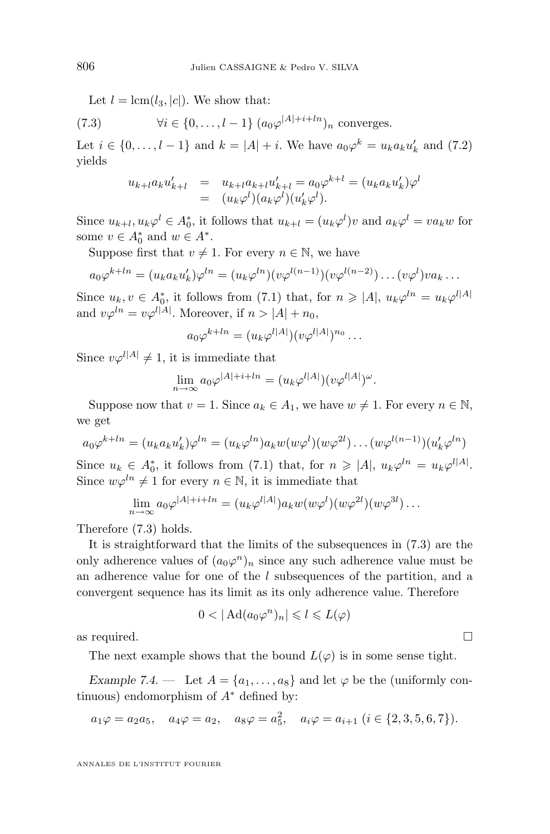<span id="page-38-0"></span>Let  $l = \text{lcm}(l_3, |c|)$ . We show that:

(7.3) 
$$
\forall i \in \{0, \ldots, l-1\} \ (a_0 \varphi^{|A|+i+ln})_n \text{ converges.}
$$

Let  $i \in \{0, \ldots, l-1\}$  and  $k = |A| + i$ . We have  $a_0 \varphi^k = u_k a_k u'_k$  and [\(7.2\)](#page-37-0) yields

$$
u_{k+l}a_k u'_{k+l} = u_{k+l}a_{k+l}u'_{k+l} = a_0 \varphi^{k+l} = (u_k a_k u'_k) \varphi^l
$$
  
=  $(u_k \varphi^l)(a_k \varphi^l)(u'_k \varphi^l).$ 

Since  $u_{k+l}, u_k \varphi^l \in A_0^*$ , it follows that  $u_{k+l} = (u_k \varphi^l) v$  and  $a_k \varphi^l = v a_k w$  for some  $v \in A_0^*$  and  $w \in A^*$ .

Suppose first that  $v \neq 1$ . For every  $n \in \mathbb{N}$ , we have

$$
a_0\varphi^{k+ln} = (u_k a_k u'_k)\varphi^{ln} = (u_k \varphi^{ln})(v\varphi^{l(n-1)})(v\varphi^{l(n-2)})\dots(v\varphi^l)va_k\dots
$$

Since  $u_k, v \in A_0^*$ , it follows from [\(7.1\)](#page-37-0) that, for  $n \geq |A|, u_k \varphi^{ln} = u_k \varphi^{l|A|}$ and  $v\varphi^{ln} = v\varphi^{l|A|}$ . Moreover, if  $n > |A| + n_0$ ,

$$
a_0\varphi^{k+ln}=(u_k\varphi^{l|A|})(v\varphi^{l|A|})^{n_0}\ldots
$$

Since  $v\varphi^{l|A|} \neq 1$ , it is immediate that

$$
\lim_{n \to \infty} a_0 \varphi^{|A|+i+ln} = (u_k \varphi^{|A|})(v \varphi^{|A|})^{\omega}.
$$

Suppose now that  $v = 1$ . Since  $a_k \in A_1$ , we have  $w \neq 1$ . For every  $n \in \mathbb{N}$ , we get

$$
a_0\varphi^{k+ln} = (u_k a_k u'_k)\varphi^{ln} = (u_k \varphi^{ln})a_k w(w\varphi^l)(w\varphi^{2l})\dots (w\varphi^{l(n-1)})(u'_k \varphi^{ln})
$$

Since  $u_k \in A_0^*$ , it follows from [\(7.1\)](#page-37-0) that, for  $n \geq |A|$ ,  $u_k \varphi^{ln} = u_k \varphi^{l|A|}$ . Since  $w\varphi^{ln} \neq 1$  for every  $n \in \mathbb{N}$ , it is immediate that

$$
\lim_{n \to \infty} a_0 \varphi^{|A|+i+ln} = (u_k \varphi^{l|A|}) a_k w(w \varphi^l) (w \varphi^{2l}) (w \varphi^{3l}) \dots
$$

Therefore (7.3) holds.

It is straightforward that the limits of the subsequences in (7.3) are the only adherence values of  $(a_0\varphi^n)_n$  since any such adherence value must be an adherence value for one of the l subsequences of the partition, and a convergent sequence has its limit as its only adherence value. Therefore

$$
0 < |\operatorname{Ad}(a_0 \varphi^n)_n| \leqslant l \leqslant L(\varphi)
$$

as required.  $\Box$ 

The next example shows that the bound  $L(\varphi)$  is in some sense tight.

*Example 7.4.* — Let  $A = \{a_1, \ldots, a_8\}$  and let  $\varphi$  be the (uniformly continuous) endomorphism of  $A^*$  defined by:

$$
a_1\varphi = a_2a_5
$$
,  $a_4\varphi = a_2$ ,  $a_8\varphi = a_5^2$ ,  $a_i\varphi = a_{i+1}$   $(i \in \{2, 3, 5, 6, 7\})$ .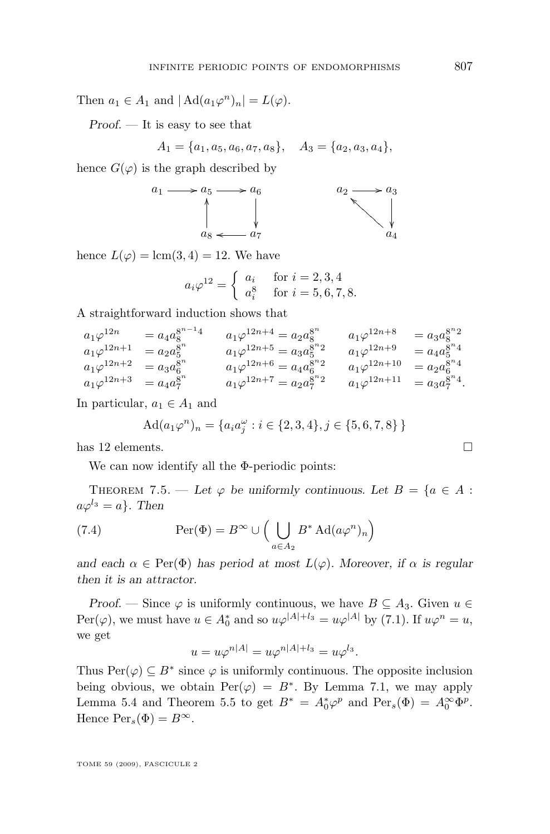<span id="page-39-0"></span>Then  $a_1 \in A_1$  and  $|\operatorname{Ad}(a_1\varphi^n)_n| = L(\varphi)$ .

*Proof. —* It is easy to see that

 $A_1 = \{a_1, a_5, a_6, a_7, a_8\}, \quad A_3 = \{a_2, a_3, a_4\},\$ 

hence  $G(\varphi)$  is the graph described by



hence  $L(\varphi) = \text{lcm}(3, 4) = 12$ . We have

$$
a_i \varphi^{12} = \begin{cases} a_i & \text{for } i = 2, 3, 4 \\ a_i^8 & \text{for } i = 5, 6, 7, 8. \end{cases}
$$

A straightforward induction shows that

$$
a_1\varphi^{12n} = a_4 a_8^{8^{n-1}4} \t a_1\varphi^{12n+4} = a_2 a_8^{8^n} \t a_1\varphi^{12n+8} = a_3 a_8^{8^n 2}
$$
  
\n
$$
a_1\varphi^{12n+1} = a_2 a_5^{8^n} \t a_1\varphi^{12n+5} = a_3 a_5^{8^n 2} \t a_1\varphi^{12n+9} = a_4 a_5^{8^n 4}
$$
  
\n
$$
a_1\varphi^{12n+2} = a_3 a_6^{8^n} \t a_1\varphi^{12n+6} = a_4 a_6^{8^n 2} \t a_1\varphi^{12n+10} = a_2 a_6^{8^n 4}
$$
  
\n
$$
a_1\varphi^{12n+3} = a_4 a_7^{8^n} \t a_1\varphi^{12n+7} = a_2 a_7^{8^n 2} \t a_1\varphi^{12n+11} = a_3 a_7^{8^n 4}.
$$

In particular,  $a_1 \in A_1$  and

$$
Ad(a_1\varphi^n)_n = \{a_i a_j^{\omega} : i \in \{2, 3, 4\}, j \in \{5, 6, 7, 8\}\}
$$

has 12 elements.

We can now identify all the Φ-periodic points:

THEOREM 7.5. — Let  $\varphi$  be uniformly continuous. Let  $B = \{a \in A :$  $a\varphi^{l_3} = a$ . Then

(7.4) 
$$
\operatorname{Per}(\Phi) = B^{\infty} \cup \left( \bigcup_{a \in A_2} B^* \operatorname{Ad}(a \varphi^n)_n \right)
$$

*and each*  $\alpha \in \text{Per}(\Phi)$  *has period at most*  $L(\varphi)$ *. Moreover, if*  $\alpha$  *is regular then it is an attractor.*

*Proof.* — Since  $\varphi$  is uniformly continuous, we have  $B \subseteq A_3$ . Given  $u \in$  $\text{Per}(\varphi)$ , we must have  $u \in A_0^*$  and so  $u\varphi^{|A|+l_3} = u\varphi^{|A|}$  by [\(7.1\)](#page-37-0). If  $u\varphi^n = u$ , we get

$$
u = u\varphi^{n|A|} = u\varphi^{n|A|+l_3} = u\varphi^{l_3}.
$$

Thus  $\text{Per}(\varphi) \subseteq B^*$  since  $\varphi$  is uniformly continuous. The opposite inclusion being obvious, we obtain  $\text{Per}(\varphi) = B^*$ . By Lemma [7.1,](#page-36-0) we may apply Lemma [5.4](#page-16-0) and Theorem [5.5](#page-17-0) to get  $B^* = A_0^* \varphi^p$  and  $\text{Per}_s(\Phi) = A_0^{\infty} \Phi^p$ . Hence  $Per_s(\Phi) = B^{\infty}$ .

$$
\Box
$$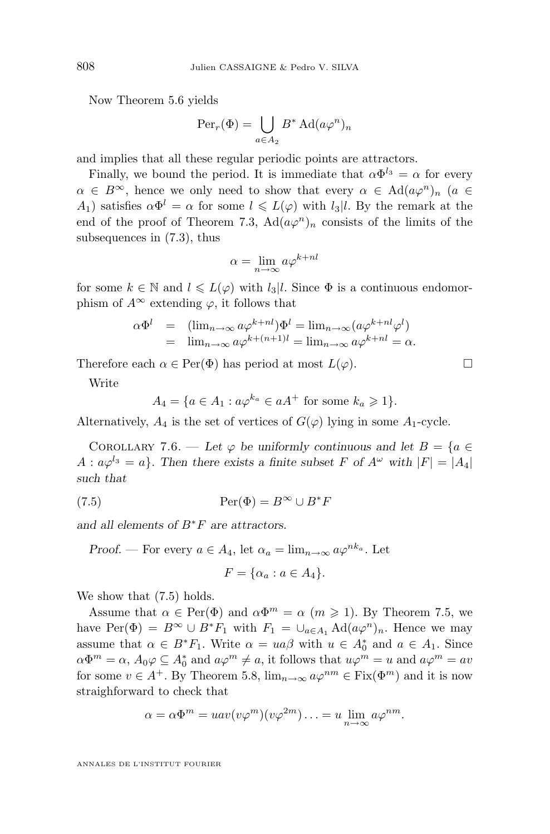Now Theorem [5.6](#page-17-0) yields

$$
\operatorname{Per}_r(\Phi) = \bigcup_{a \in A_2} B^* \operatorname{Ad}(a\varphi^n)_n
$$

and implies that all these regular periodic points are attractors.

Finally, we bound the period. It is immediate that  $\alpha \Phi^{l_3} = \alpha$  for every  $\alpha \in B^{\infty}$ , hence we only need to show that every  $\alpha \in \text{Ad}(a\varphi^{n})_{n}$  ( $a \in$ A<sub>1</sub>) satisfies  $\alpha \Phi^l = \alpha$  for some  $l \leq L(\varphi)$  with  $l_3 \mid l$ . By the remark at the end of the proof of Theorem [7.3,](#page-37-0)  $\text{Ad}(a\varphi^n)_n$  consists of the limits of the subsequences in [\(7.3\)](#page-38-0), thus

$$
\alpha = \lim_{n \to \infty} a\varphi^{k+nl}
$$

for some  $k \in \mathbb{N}$  and  $l \le L(\varphi)$  with  $l_3|l$ . Since  $\Phi$  is a continuous endomorphism of  $A^{\infty}$  extending  $\varphi$ , it follows that

$$
\alpha \Phi^l = (\lim_{n \to \infty} a \varphi^{k+n} ) \Phi^l = \lim_{n \to \infty} (a \varphi^{k+n} \varphi^l)
$$
  
= 
$$
\lim_{n \to \infty} a \varphi^{k+(n+1)l} = \lim_{n \to \infty} a \varphi^{k+nl} = \alpha.
$$

Therefore each  $\alpha \in \text{Per}(\Phi)$  has period at most  $L(\varphi)$ .

Write

$$
A_4 = \{ a \in A_1 : a\varphi^{k_a} \in aA^+ \text{ for some } k_a \ge 1 \}.
$$

Alternatively,  $A_4$  is the set of vertices of  $G(\varphi)$  lying in some  $A_1$ -cycle.

COROLLARY 7.6. — Let  $\varphi$  be uniformly continuous and let  $B = \{a \in$  $A: a\varphi^{l_3} = a$ . Then there exists a finite subset F of  $A^{\omega}$  with  $|F| = |A_4|$ *such that*

(7.5) 
$$
\operatorname{Per}(\Phi) = B^{\infty} \cup B^*F
$$

*and all elements of* B∗F *are attractors.*

*Proof.* — For every  $a \in A_4$ , let  $\alpha_a = \lim_{n \to \infty} a \varphi^{nk_a}$ . Let

$$
F = \{\alpha_a : a \in A_4\}.
$$

We show that  $(7.5)$  holds.

Assume that  $\alpha \in \text{Per}(\Phi)$  and  $\alpha \Phi^m = \alpha$   $(m \geq 1)$ . By Theorem [7.5,](#page-39-0) we have Per( $\Phi$ ) =  $B^{\infty} \cup B^*F_1$  with  $F_1 = \bigcup_{a \in A_1} \text{Ad}(a\varphi^n)_n$ . Hence we may assume that  $\alpha \in B^*F_1$ . Write  $\alpha = ua\beta$  with  $u \in A_0^*$  and  $a \in A_1$ . Since  $\alpha\Phi^m=\alpha$ ,  $A_0\varphi\subseteq A_0^*$  and  $a\varphi^m\neq a$ , it follows that  $u\varphi^m=u$  and  $a\varphi^m=av$ for some  $v \in A^+$ . By Theorem [5.8,](#page-19-0)  $\lim_{n\to\infty} a\varphi^{nm} \in \text{Fix}(\Phi^m)$  and it is now straighforward to check that

$$
\alpha = \alpha \Phi^m = u \alpha v (v \varphi^m) (v \varphi^{2m}) \dots = u \lim_{n \to \infty} a \varphi^{nm}.
$$

<span id="page-40-0"></span>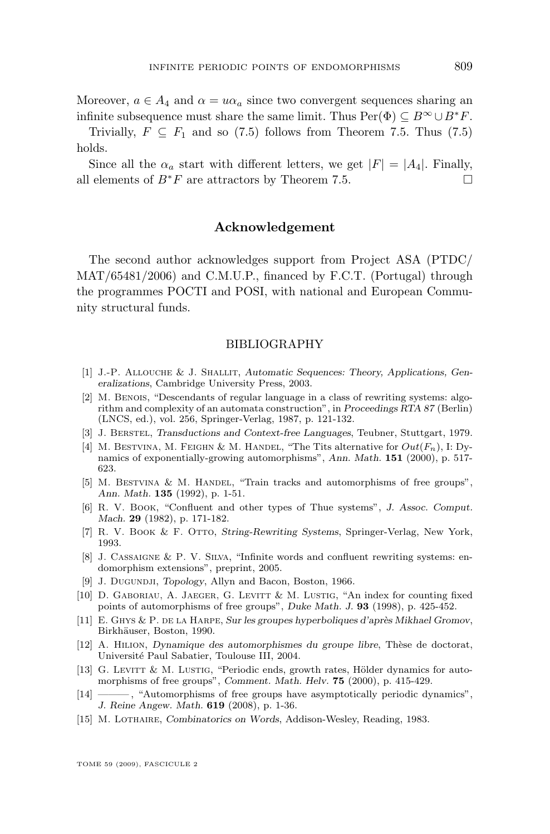<span id="page-41-0"></span>Moreover,  $a \in A_4$  and  $\alpha = u\alpha_a$  since two convergent sequences sharing an infinite subsequence must share the same limit. Thus  $Per(\Phi) \subset B^{\infty} \cup B^*F$ .

Trivially,  $F \subseteq F_1$  and so [\(7.5\)](#page-40-0) follows from Theorem [7.5.](#page-39-0) Thus (7.5) holds.

Since all the  $\alpha_a$  start with different letters, we get  $|F| = |A_4|$ . Finally, all elements of  $B^*F$  are attractors by Theorem [7.5.](#page-39-0)

#### **Acknowledgement**

The second author acknowledges support from Project ASA (PTDC/ MAT/65481/2006) and C.M.U.P., financed by F.C.T. (Portugal) through the programmes POCTI and POSI, with national and European Community structural funds.

#### BIBLIOGRAPHY

- [1] J.-P. Allouche & J. Shallit, *Automatic Sequences: Theory, Applications, Generalizations*, Cambridge University Press, 2003.
- [2] M. BENOIS, "Descendants of regular language in a class of rewriting systems: algorithm and complexity of an automata construction", in *Proceedings RTA 87* (Berlin) (LNCS, ed.), vol. 256, Springer-Verlag, 1987, p. 121-132.
- [3] J. Berstel, *Transductions and Context-free Languages*, Teubner, Stuttgart, 1979.
- [4] M. BESTVINA, M. FEIGHN & M. HANDEL, "The Tits alternative for  $Out(F_n)$ , I: Dynamics of exponentially-growing automorphisms", *Ann. Math.* **151** (2000), p. 517- 623.
- [5] M. BESTVINA & M. HANDEL, "Train tracks and automorphisms of free groups", *Ann. Math.* **135** (1992), p. 1-51.
- [6] R. V. Book, "Confluent and other types of Thue systems", *J. Assoc. Comput. Mach.* **29** (1982), p. 171-182.
- [7] R. V. Book & F. Otto, *String-Rewriting Systems*, Springer-Verlag, New York, 1993.
- [8] J. CASSAIGNE & P. V. SILVA, "Infinite words and confluent rewriting systems: endomorphism extensions", preprint, 2005.
- [9] J. Dugundji, *Topology*, Allyn and Bacon, Boston, 1966.
- [10] D. GABORIAU, A. JAEGER, G. LEVITT & M. LUSTIG, "An index for counting fixed points of automorphisms of free groups", *Duke Math. J.* **93** (1998), p. 425-452.
- [11] E. Ghys & P. de la Harpe, *Sur les groupes hyperboliques d'après Mikhael Gromov*, Birkhäuser, Boston, 1990.
- [12] A. Hilion, *Dynamique des automorphismes du groupe libre*, Thèse de doctorat, Université Paul Sabatier, Toulouse III, 2004.
- [13] G. LEVITT & M. LUSTIG, "Periodic ends, growth rates, Hölder dynamics for automorphisms of free groups", *Comment. Math. Helv.* **75** (2000), p. 415-429.
- [14] ——— , "Automorphisms of free groups have asymptotically periodic dynamics", *J. Reine Angew. Math.* **619** (2008), p. 1-36.
- [15] M. Lothaire, *Combinatorics on Words*, Addison-Wesley, Reading, 1983.